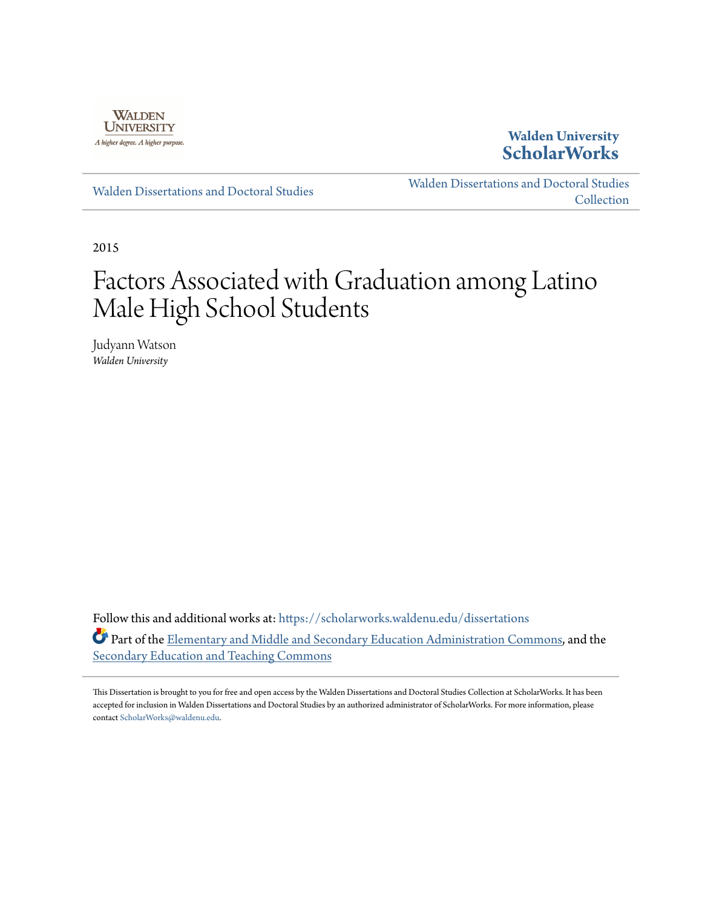

# **Walden University [ScholarWorks](https://scholarworks.waldenu.edu?utm_source=scholarworks.waldenu.edu%2Fdissertations%2F528&utm_medium=PDF&utm_campaign=PDFCoverPages)**

[Walden Dissertations and Doctoral Studies](https://scholarworks.waldenu.edu/dissertations?utm_source=scholarworks.waldenu.edu%2Fdissertations%2F528&utm_medium=PDF&utm_campaign=PDFCoverPages)

[Walden Dissertations and Doctoral Studies](https://scholarworks.waldenu.edu/dissanddoc?utm_source=scholarworks.waldenu.edu%2Fdissertations%2F528&utm_medium=PDF&utm_campaign=PDFCoverPages) **[Collection](https://scholarworks.waldenu.edu/dissanddoc?utm_source=scholarworks.waldenu.edu%2Fdissertations%2F528&utm_medium=PDF&utm_campaign=PDFCoverPages)** 

2015

# Factors Associated with Graduation among Latino Male High School Students

Judyann Watson *Walden University*

Follow this and additional works at: [https://scholarworks.waldenu.edu/dissertations](https://scholarworks.waldenu.edu/dissertations?utm_source=scholarworks.waldenu.edu%2Fdissertations%2F528&utm_medium=PDF&utm_campaign=PDFCoverPages) Part of the [Elementary and Middle and Secondary Education Administration Commons,](http://network.bepress.com/hgg/discipline/790?utm_source=scholarworks.waldenu.edu%2Fdissertations%2F528&utm_medium=PDF&utm_campaign=PDFCoverPages) and the [Secondary Education and Teaching Commons](http://network.bepress.com/hgg/discipline/809?utm_source=scholarworks.waldenu.edu%2Fdissertations%2F528&utm_medium=PDF&utm_campaign=PDFCoverPages)

This Dissertation is brought to you for free and open access by the Walden Dissertations and Doctoral Studies Collection at ScholarWorks. It has been accepted for inclusion in Walden Dissertations and Doctoral Studies by an authorized administrator of ScholarWorks. For more information, please contact [ScholarWorks@waldenu.edu](mailto:ScholarWorks@waldenu.edu).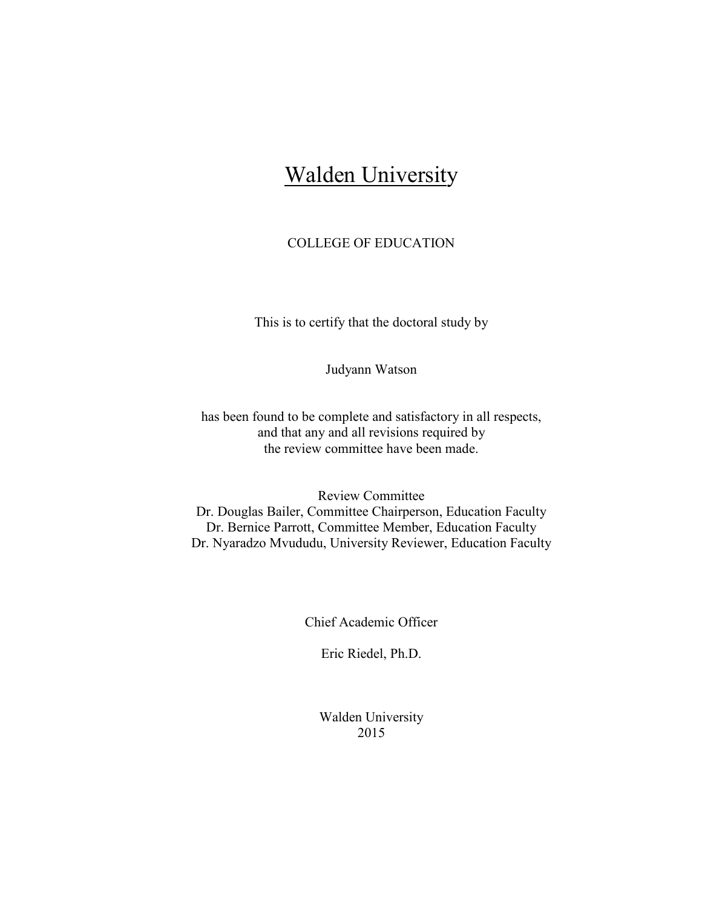# **Walden University**

# COLLEGE OF EDUCATION

This is to certify that the doctoral study by

Judyann Watson

has been found to be complete and satisfactory in all respects, and that any and all revisions required by the review committee have been made.

Review Committee Dr. Douglas Bailer, Committee Chairperson, Education Faculty Dr. Bernice Parrott, Committee Member, Education Faculty Dr. Nyaradzo Mvududu, University Reviewer, Education Faculty

Chief Academic Officer

Eric Riedel, Ph.D.

Walden University 2015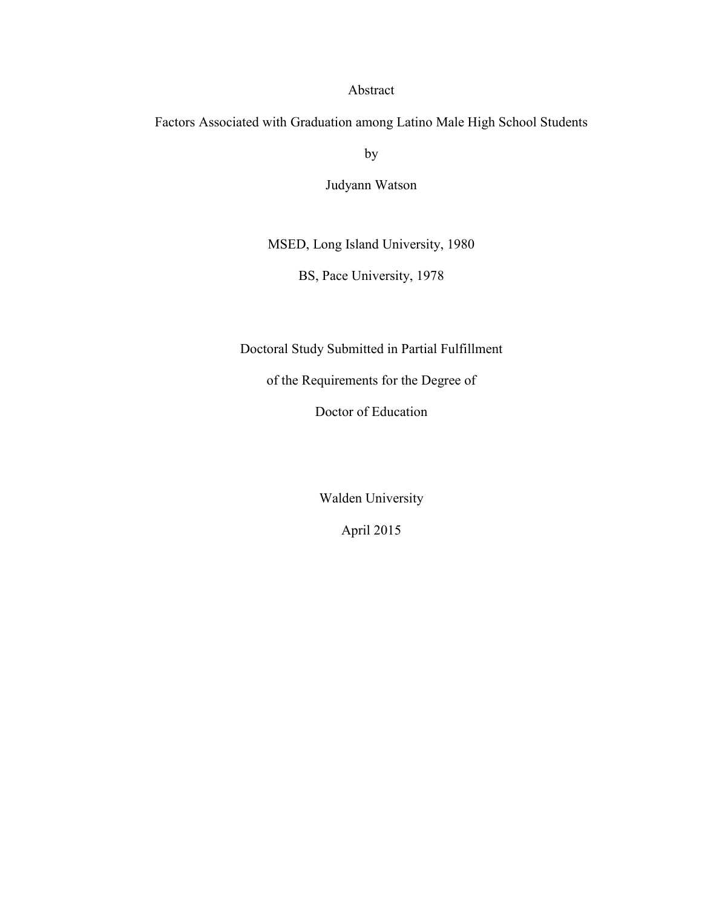# Abstract

Factors Associated with Graduation among Latino Male High School Students

by

Judyann Watson

MSED, Long Island University, 1980

BS, Pace University, 1978

Doctoral Study Submitted in Partial Fulfillment

of the Requirements for the Degree of

Doctor of Education

Walden University

April 2015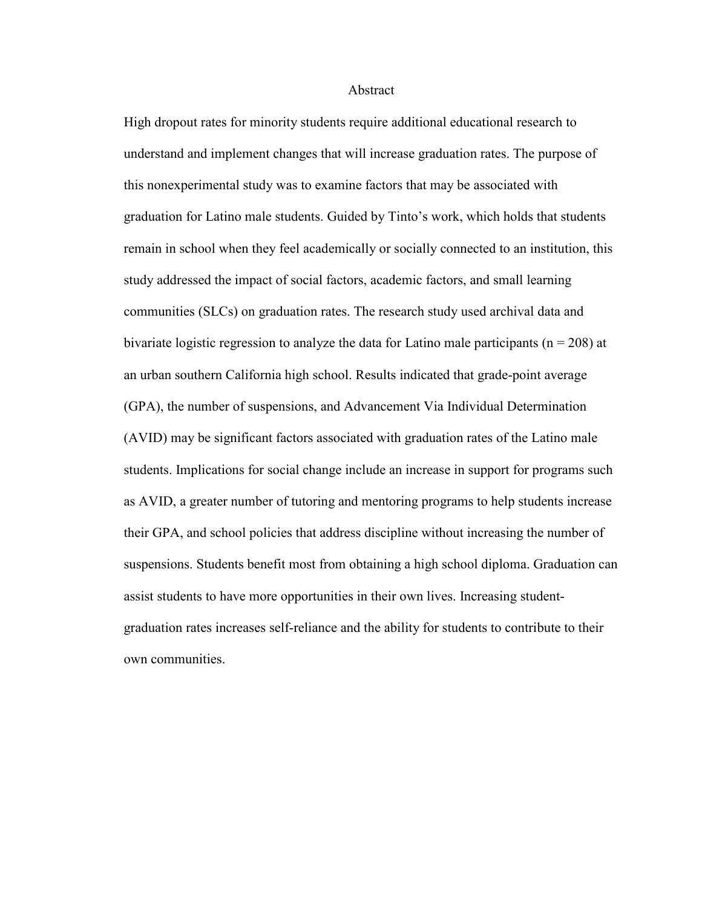#### Abstract

High dropout rates for minority students require additional educational research to understand and implement changes that will increase graduation rates. The purpose of this nonexperimental study was to examine factors that may be associated with graduation for Latino male students. Guided by Tinto's work, which holds that students remain in school when they feel academically or socially connected to an institution, this study addressed the impact of social factors, academic factors, and small learning communities (SLCs) on graduation rates. The research study used archival data and bivariate logistic regression to analyze the data for Latino male participants ( $n = 208$ ) at an urban southern California high school. Results indicated that grade-point average (GPA), the number of suspensions, and Advancement Via Individual Determination (AVID) may be significant factors associated with graduation rates of the Latino male students. Implications for social change include an increase in support for programs such as AVID, a greater number of tutoring and mentoring programs to help students increase their GPA, and school policies that address discipline without increasing the number of suspensions. Students benefit most from obtaining a high school diploma. Graduation can assist students to have more opportunities in their own lives. Increasing studentgraduation rates increases self-reliance and the ability for students to contribute to their own communities.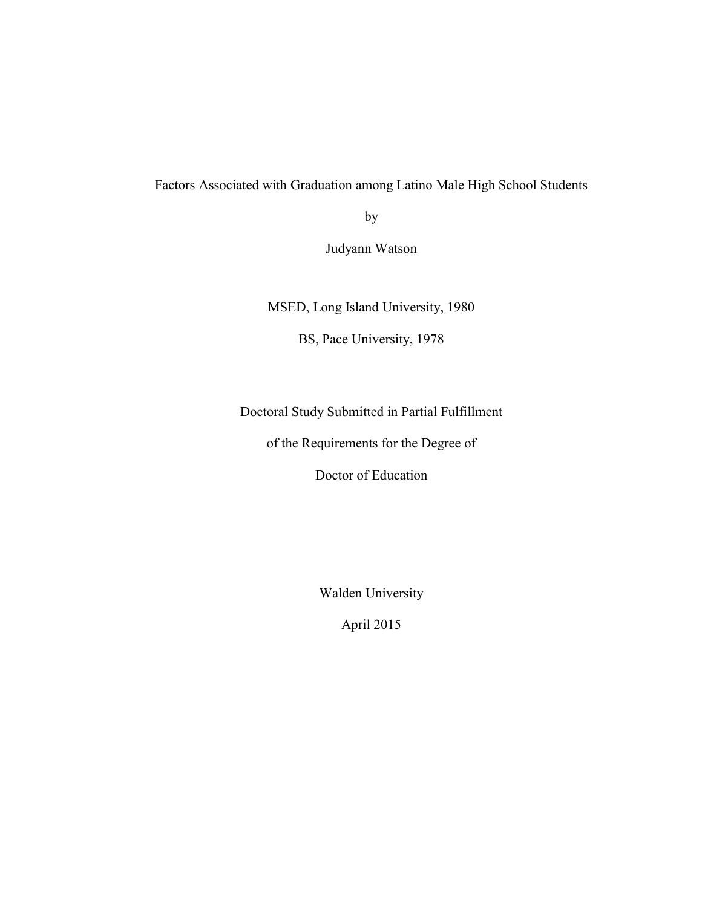# Factors Associated with Graduation among Latino Male High School Students

by

Judyann Watson

MSED, Long Island University, 1980

BS, Pace University, 1978

Doctoral Study Submitted in Partial Fulfillment

of the Requirements for the Degree of

Doctor of Education

Walden University

April 2015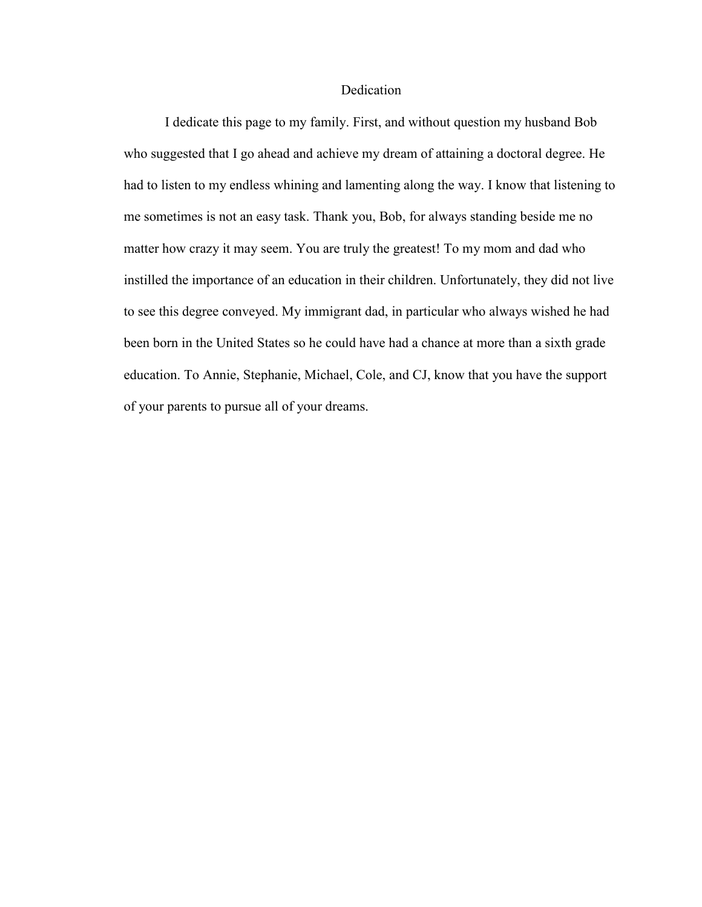# Dedication

I dedicate this page to my family. First, and without question my husband Bob who suggested that I go ahead and achieve my dream of attaining a doctoral degree. He had to listen to my endless whining and lamenting along the way. I know that listening to me sometimes is not an easy task. Thank you, Bob, for always standing beside me no matter how crazy it may seem. You are truly the greatest! To my mom and dad who instilled the importance of an education in their children. Unfortunately, they did not live to see this degree conveyed. My immigrant dad, in particular who always wished he had been born in the United States so he could have had a chance at more than a sixth grade education. To Annie, Stephanie, Michael, Cole, and CJ, know that you have the support of your parents to pursue all of your dreams.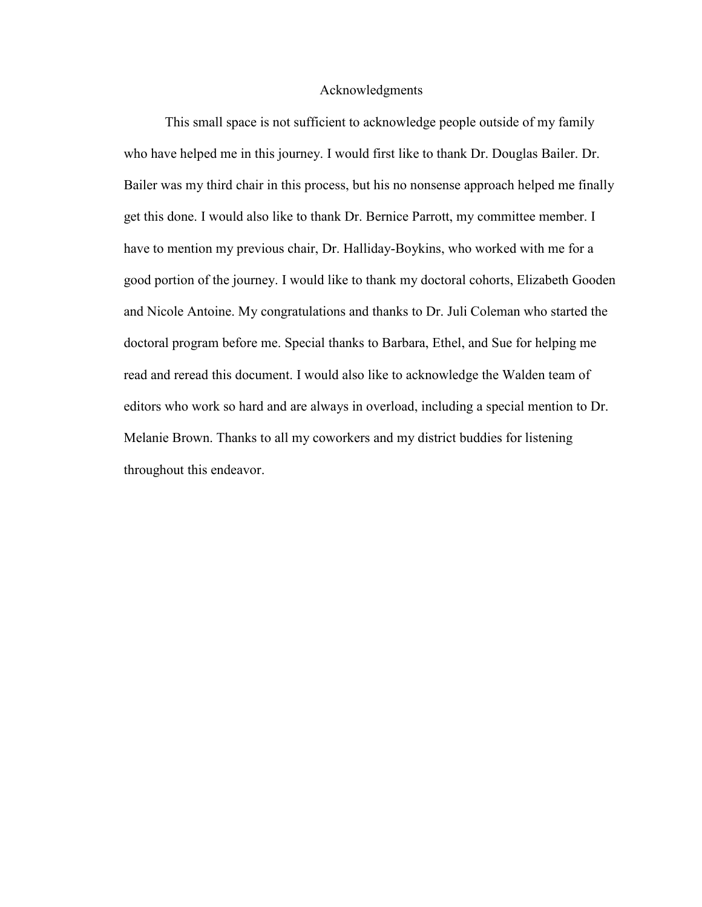### Acknowledgments

This small space is not sufficient to acknowledge people outside of my family who have helped me in this journey. I would first like to thank Dr. Douglas Bailer. Dr. Bailer was my third chair in this process, but his no nonsense approach helped me finally get this done. I would also like to thank Dr. Bernice Parrott, my committee member. I have to mention my previous chair, Dr. Halliday-Boykins, who worked with me for a good portion of the journey. I would like to thank my doctoral cohorts, Elizabeth Gooden and Nicole Antoine. My congratulations and thanks to Dr. Juli Coleman who started the doctoral program before me. Special thanks to Barbara, Ethel, and Sue for helping me read and reread this document. I would also like to acknowledge the Walden team of editors who work so hard and are always in overload, including a special mention to Dr. Melanie Brown. Thanks to all my coworkers and my district buddies for listening throughout this endeavor.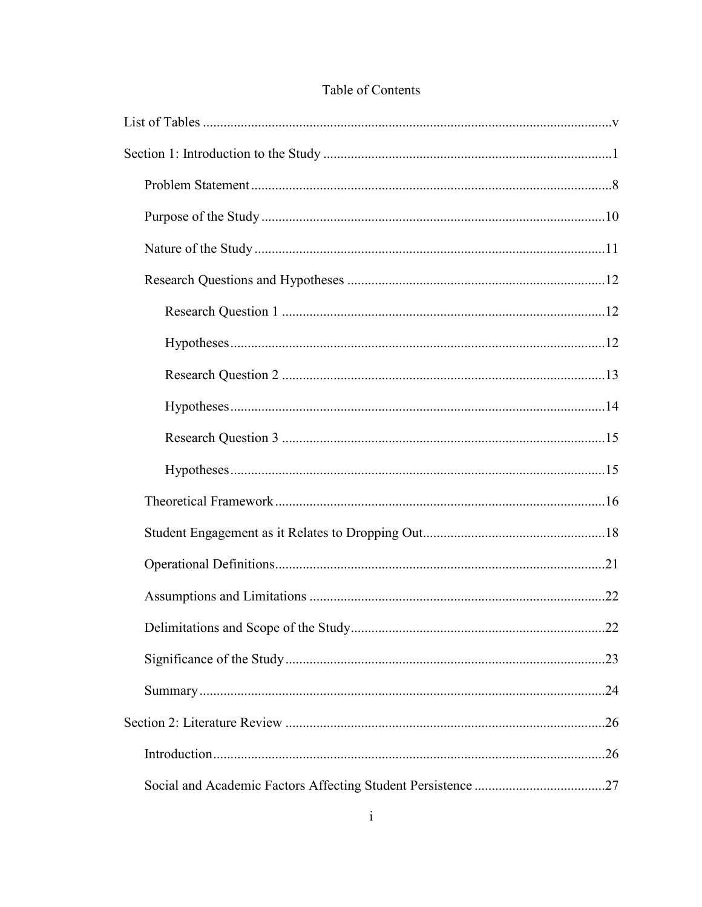# Table of Contents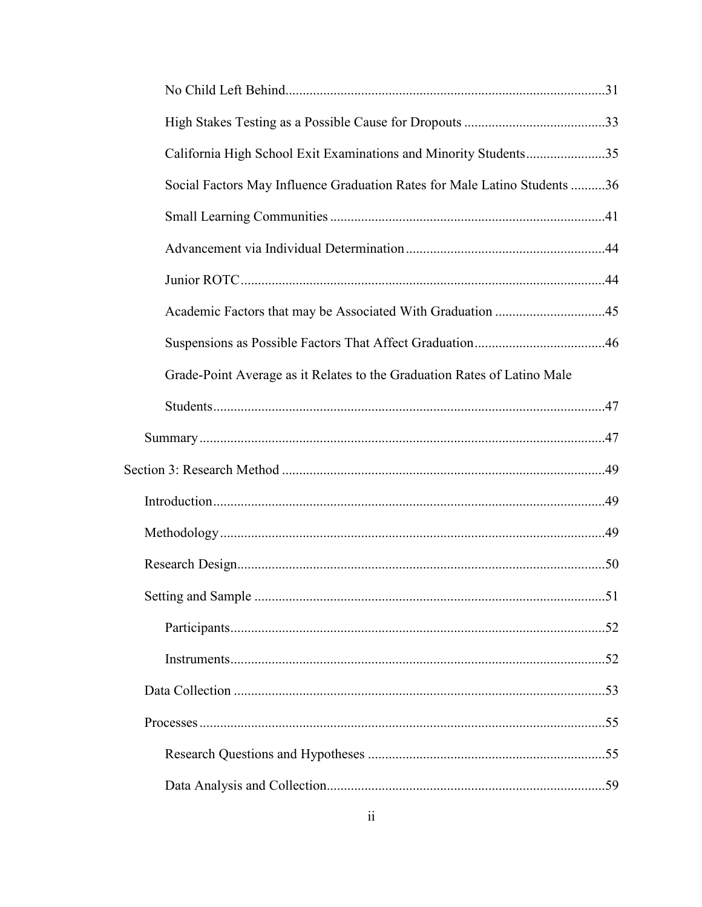| California High School Exit Examinations and Minority Students35          |  |
|---------------------------------------------------------------------------|--|
| Social Factors May Influence Graduation Rates for Male Latino Students 36 |  |
|                                                                           |  |
|                                                                           |  |
|                                                                           |  |
|                                                                           |  |
|                                                                           |  |
| Grade-Point Average as it Relates to the Graduation Rates of Latino Male  |  |
|                                                                           |  |
|                                                                           |  |
|                                                                           |  |
|                                                                           |  |
|                                                                           |  |
|                                                                           |  |
|                                                                           |  |
|                                                                           |  |
|                                                                           |  |
|                                                                           |  |
|                                                                           |  |
|                                                                           |  |
|                                                                           |  |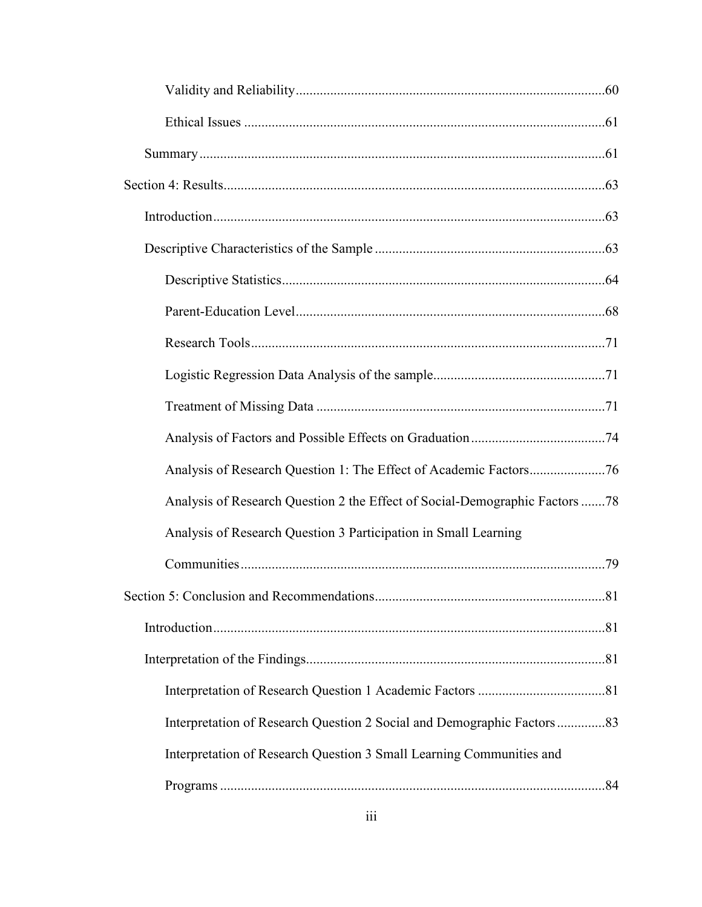| Analysis of Research Question 2 the Effect of Social-Demographic Factors 78 |  |
|-----------------------------------------------------------------------------|--|
| Analysis of Research Question 3 Participation in Small Learning             |  |
|                                                                             |  |
|                                                                             |  |
|                                                                             |  |
|                                                                             |  |
|                                                                             |  |
| Interpretation of Research Question 2 Social and Demographic Factors83      |  |
| Interpretation of Research Question 3 Small Learning Communities and        |  |
|                                                                             |  |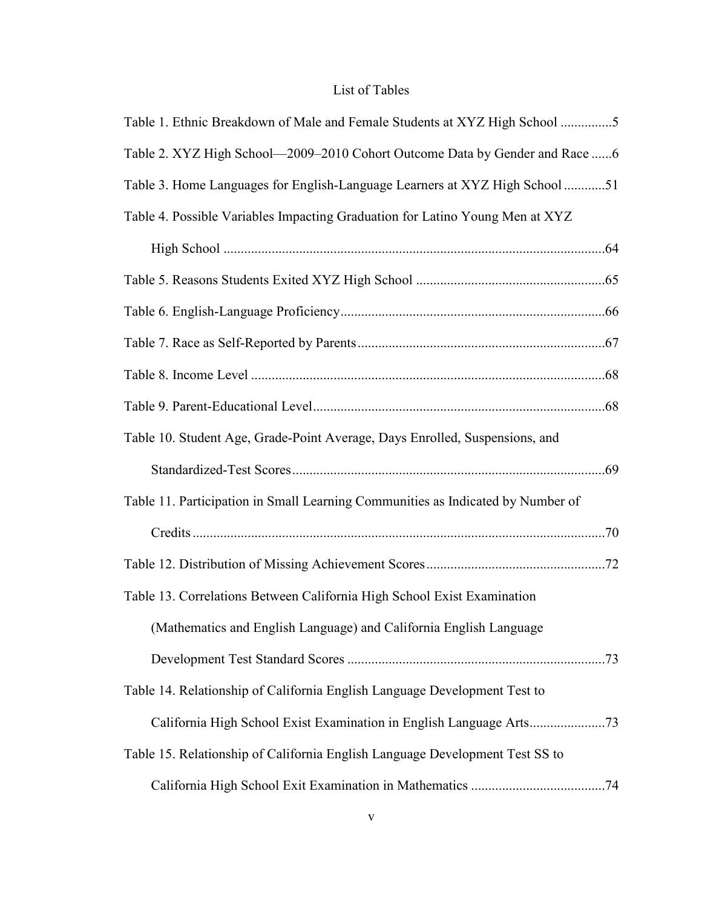# List of Tables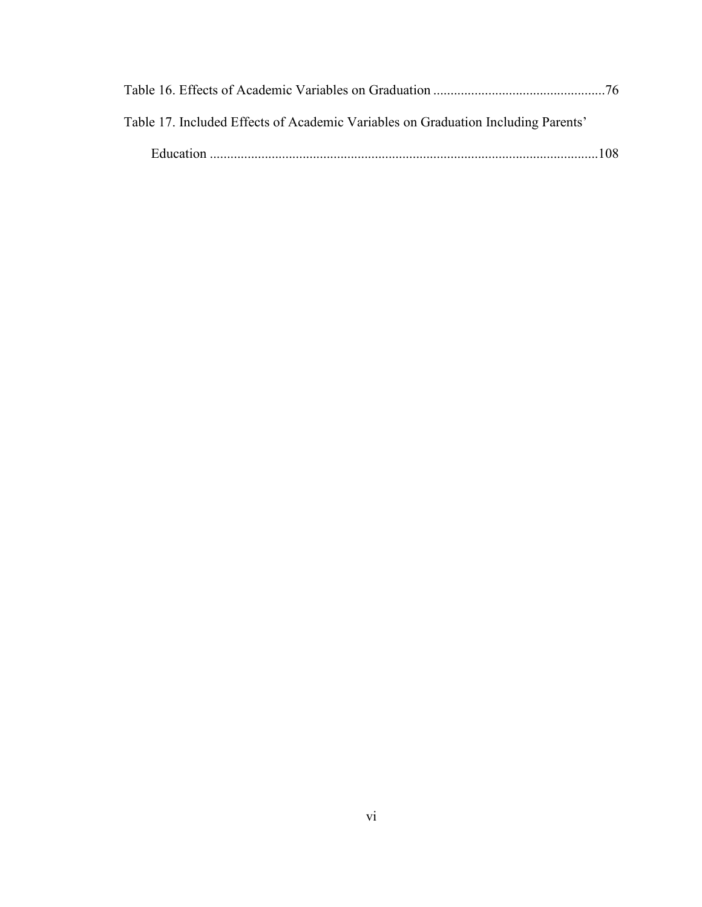| Table 17. Included Effects of Academic Variables on Graduation Including Parents' |  |
|-----------------------------------------------------------------------------------|--|
|                                                                                   |  |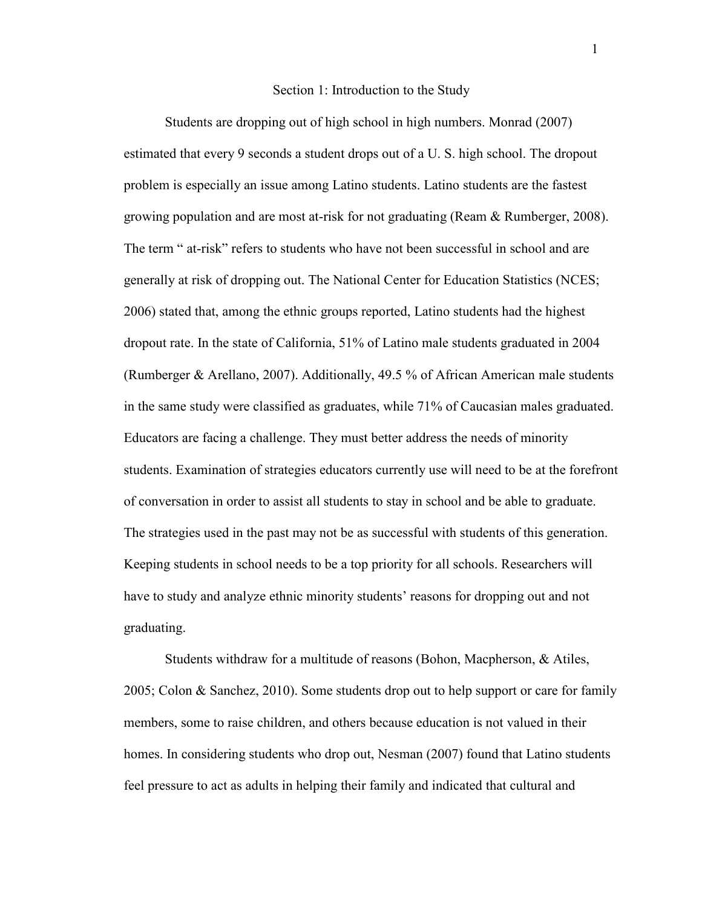#### Section 1: Introduction to the Study

Students are dropping out of high school in high numbers. Monrad (2007) estimated that every 9 seconds a student drops out of a U. S. high school. The dropout problem is especially an issue among Latino students. Latino students are the fastest growing population and are most at-risk for not graduating (Ream & Rumberger, 2008). The term " at-risk" refers to students who have not been successful in school and are generally at risk of dropping out. The National Center for Education Statistics (NCES; 2006) stated that, among the ethnic groups reported, Latino students had the highest dropout rate. In the state of California, 51% of Latino male students graduated in 2004 (Rumberger & Arellano, 2007). Additionally, 49.5 % of African American male students in the same study were classified as graduates, while 71% of Caucasian males graduated. Educators are facing a challenge. They must better address the needs of minority students. Examination of strategies educators currently use will need to be at the forefront of conversation in order to assist all students to stay in school and be able to graduate. The strategies used in the past may not be as successful with students of this generation. Keeping students in school needs to be a top priority for all schools. Researchers will have to study and analyze ethnic minority students' reasons for dropping out and not graduating.

Students withdraw for a multitude of reasons (Bohon, Macpherson, & Atiles, 2005; Colon & Sanchez, 2010). Some students drop out to help support or care for family members, some to raise children, and others because education is not valued in their homes. In considering students who drop out, Nesman (2007) found that Latino students feel pressure to act as adults in helping their family and indicated that cultural and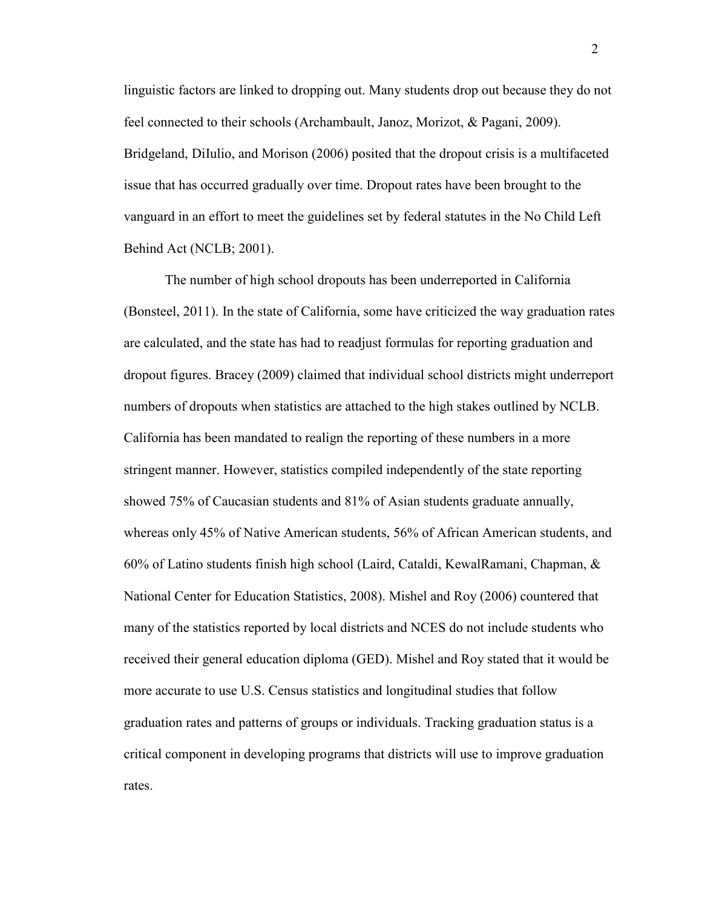linguistic factors are linked to dropping out. Many students drop out because they do not feel connected to their schools (Archambault, Janoz, Morizot, & Pagani, 2009). Bridgeland, DiIulio, and Morison (2006) posited that the dropout crisis is a multifaceted issue that has occurred gradually over time. Dropout rates have been brought to the vanguard in an effort to meet the guidelines set by federal statutes in the No Child Left Behind Act (NCLB; 2001).

The number of high school dropouts has been underreported in California (Bonsteel, 2011). In the state of California, some have criticized the way graduation rates are calculated, and the state has had to readjust formulas for reporting graduation and dropout figures. Bracey (2009) claimed that individual school districts might underreport numbers of dropouts when statistics are attached to the high stakes outlined by NCLB. California has been mandated to realign the reporting of these numbers in a more stringent manner. However, statistics compiled independently of the state reporting showed 75% of Caucasian students and 81% of Asian students graduate annually, whereas only 45% of Native American students, 56% of African American students, and 60% of Latino students finish high school (Laird, Cataldi, KewalRamani, Chapman, & National Center for Education Statistics, 2008). Mishel and Roy (2006) countered that many of the statistics reported by local districts and NCES do not include students who received their general education diploma (GED). Mishel and Roy stated that it would be more accurate to use U.S. Census statistics and longitudinal studies that follow graduation rates and patterns of groups or individuals. Tracking graduation status is a critical component in developing programs that districts will use to improve graduation rates.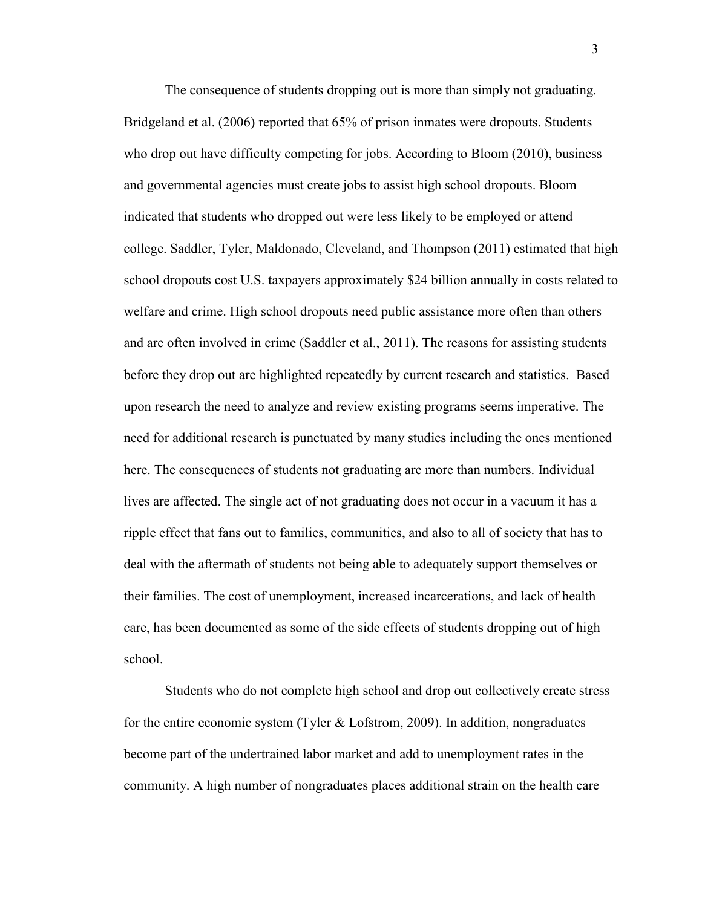The consequence of students dropping out is more than simply not graduating. Bridgeland et al. (2006) reported that 65% of prison inmates were dropouts. Students who drop out have difficulty competing for jobs. According to Bloom (2010), business and governmental agencies must create jobs to assist high school dropouts. Bloom indicated that students who dropped out were less likely to be employed or attend college. Saddler, Tyler, Maldonado, Cleveland, and Thompson (2011) estimated that high school dropouts cost U.S. taxpayers approximately \$24 billion annually in costs related to welfare and crime. High school dropouts need public assistance more often than others and are often involved in crime (Saddler et al., 2011). The reasons for assisting students before they drop out are highlighted repeatedly by current research and statistics. Based upon research the need to analyze and review existing programs seems imperative. The need for additional research is punctuated by many studies including the ones mentioned here. The consequences of students not graduating are more than numbers. Individual lives are affected. The single act of not graduating does not occur in a vacuum it has a ripple effect that fans out to families, communities, and also to all of society that has to deal with the aftermath of students not being able to adequately support themselves or their families. The cost of unemployment, increased incarcerations, and lack of health care, has been documented as some of the side effects of students dropping out of high school.

Students who do not complete high school and drop out collectively create stress for the entire economic system (Tyler & Lofstrom, 2009). In addition, nongraduates become part of the undertrained labor market and add to unemployment rates in the community. A high number of nongraduates places additional strain on the health care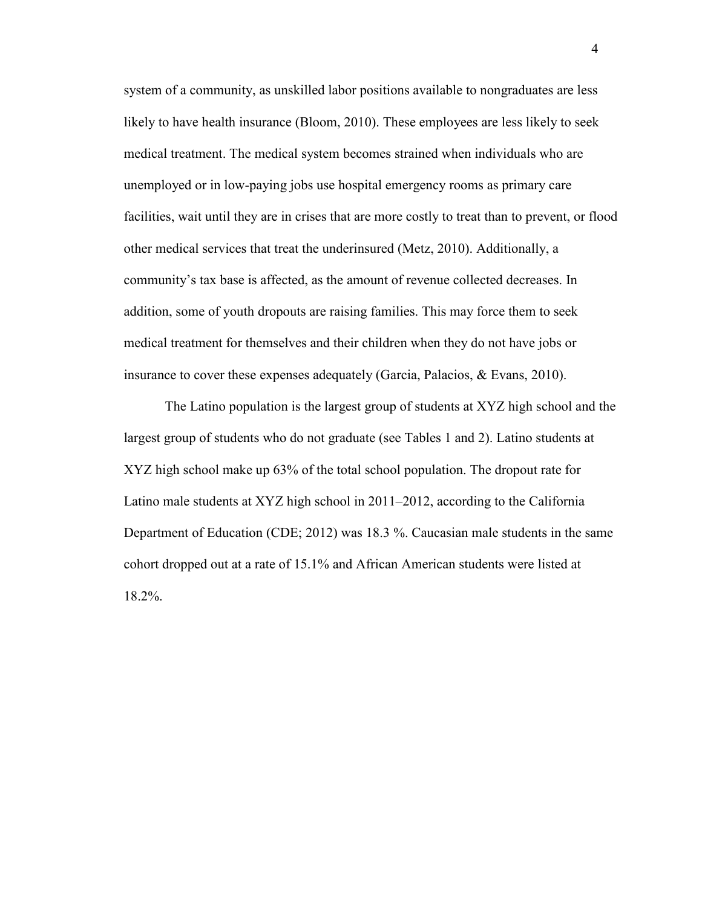system of a community, as unskilled labor positions available to nongraduates are less likely to have health insurance (Bloom, 2010). These employees are less likely to seek medical treatment. The medical system becomes strained when individuals who are unemployed or in low-paying jobs use hospital emergency rooms as primary care facilities, wait until they are in crises that are more costly to treat than to prevent, or flood other medical services that treat the underinsured (Metz, 2010). Additionally, a community's tax base is affected, as the amount of revenue collected decreases. In addition, some of youth dropouts are raising families. This may force them to seek medical treatment for themselves and their children when they do not have jobs or insurance to cover these expenses adequately (Garcia, Palacios, & Evans, 2010).

The Latino population is the largest group of students at XYZ high school and the largest group of students who do not graduate (see Tables 1 and 2). Latino students at XYZ high school make up 63% of the total school population. The dropout rate for Latino male students at XYZ high school in 2011–2012, according to the California Department of Education (CDE; 2012) was 18.3 %. Caucasian male students in the same cohort dropped out at a rate of 15.1% and African American students were listed at 18.2%.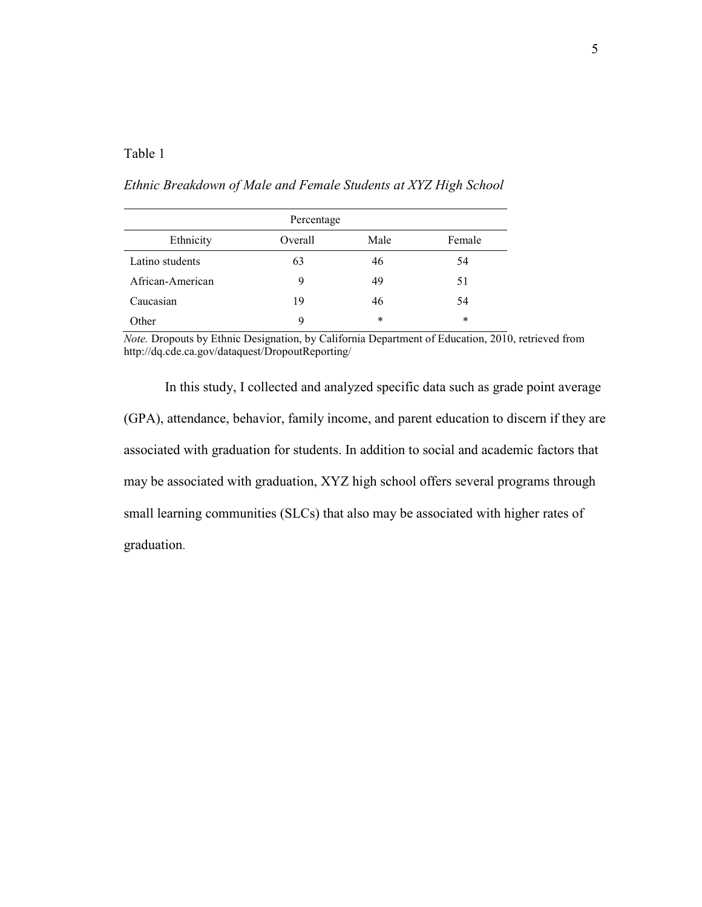# Table 1

# *Ethnic Breakdown of Male and Female Students at XYZ High School*

| Percentage       |         |        |        |  |
|------------------|---------|--------|--------|--|
| Ethnicity        | Overall | Male   | Female |  |
| Latino students  | 63      | 46     | 54     |  |
| African-American | 9       | 49     | 51     |  |
| Caucasian        | 19      | 46     | 54     |  |
| Other            | 9       | $\ast$ | $\ast$ |  |

*Note.* Dropouts by Ethnic Designation, by California Department of Education, 2010, retrieved from http://dq.cde.ca.gov/dataquest/DropoutReporting/

In this study, I collected and analyzed specific data such as grade point average (GPA), attendance, behavior, family income, and parent education to discern if they are associated with graduation for students. In addition to social and academic factors that may be associated with graduation, XYZ high school offers several programs through small learning communities (SLCs) that also may be associated with higher rates of graduation.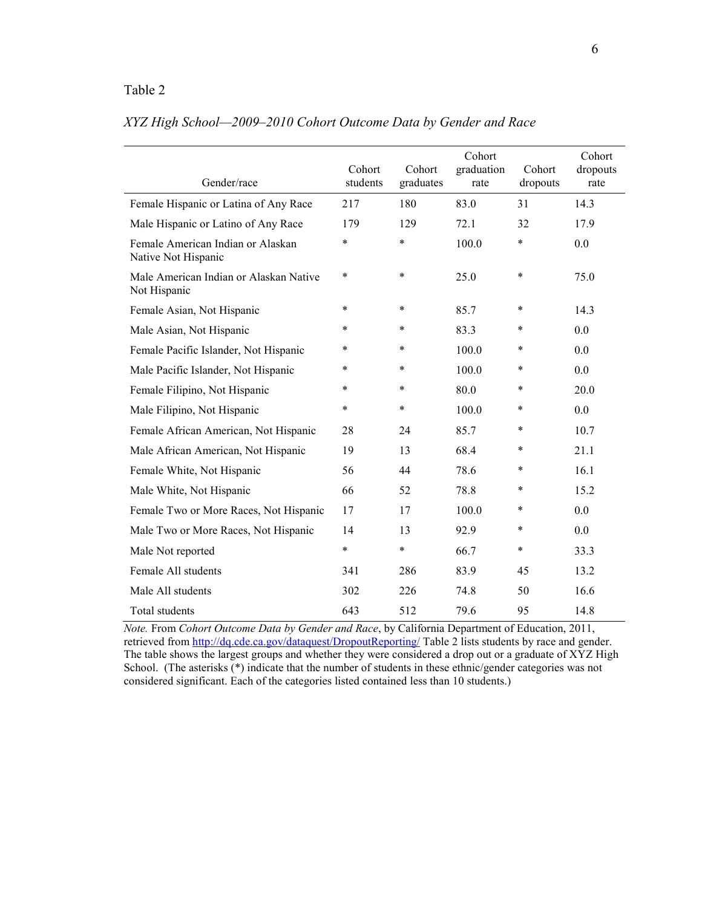# Table 2

| Gender/race                                              | Cohort<br>students | Cohort<br>graduates | Cohort<br>graduation<br>rate | Cohort<br>dropouts | Cohort<br>dropouts<br>rate |
|----------------------------------------------------------|--------------------|---------------------|------------------------------|--------------------|----------------------------|
| Female Hispanic or Latina of Any Race                    | 217                | 180                 | 83.0                         | 31                 | 14.3                       |
| Male Hispanic or Latino of Any Race                      | 179                | 129                 | 72.1                         | 32                 | 17.9                       |
| Female American Indian or Alaskan<br>Native Not Hispanic | $\ast$             | $\ast$              | 100.0                        | $\ast$             | 0.0                        |
| Male American Indian or Alaskan Native<br>Not Hispanic   | $\ast$             | $\ast$              | 25.0                         | $\ast$             | 75.0                       |
| Female Asian, Not Hispanic                               | $\ast$             | $\ast$              | 85.7                         | $\ast$             | 14.3                       |
| Male Asian, Not Hispanic                                 | $\ast$             | $\star$             | 83.3                         | $\ast$             | 0.0                        |
| Female Pacific Islander, Not Hispanic                    | $\ast$             | $\ast$              | 100.0                        | $\ast$             | 0.0                        |
| Male Pacific Islander, Not Hispanic                      | $\ast$             | $\ast$              | 100.0                        | $\ast$             | 0.0                        |
| Female Filipino, Not Hispanic                            | $\ast$             | $\ast$              | 80.0                         | $\ast$             | 20.0                       |
| Male Filipino, Not Hispanic                              | $\ast$             | $\ast$              | 100.0                        | $\ast$             | 0.0                        |
| Female African American, Not Hispanic                    | 28                 | 24                  | 85.7                         | $\ast$             | 10.7                       |
| Male African American, Not Hispanic                      | 19                 | 13                  | 68.4                         | $\ast$             | 21.1                       |
| Female White, Not Hispanic                               | 56                 | 44                  | 78.6                         | $\ast$             | 16.1                       |
| Male White, Not Hispanic                                 | 66                 | 52                  | 78.8                         | $\ast$             | 15.2                       |
| Female Two or More Races, Not Hispanic                   | 17                 | 17                  | 100.0                        | $\ast$             | 0.0                        |
| Male Two or More Races, Not Hispanic                     | 14                 | 13                  | 92.9                         | $\ast$             | 0.0                        |
| Male Not reported                                        | $\ast$             | $\ast$              | 66.7                         | $\ast$             | 33.3                       |
| Female All students                                      | 341                | 286                 | 83.9                         | 45                 | 13.2                       |
| Male All students                                        | 302                | 226                 | 74.8                         | 50                 | 16.6                       |
| Total students                                           | 643                | 512                 | 79.6                         | 95                 | 14.8                       |

# *XYZ High School—2009–2010 Cohort Outcome Data by Gender and Race*

*Note.* From *Cohort Outcome Data by Gender and Race*, by California Department of Education, 2011, retrieved from http://dq.cde.ca.gov/dataquest/DropoutReporting/ Table 2 lists students by race and gender. The table shows the largest groups and whether they were considered a drop out or a graduate of XYZ High School. (The asterisks  $(*)$  indicate that the number of students in these ethnic/gender categories was not considered significant. Each of the categories listed contained less than 10 students.)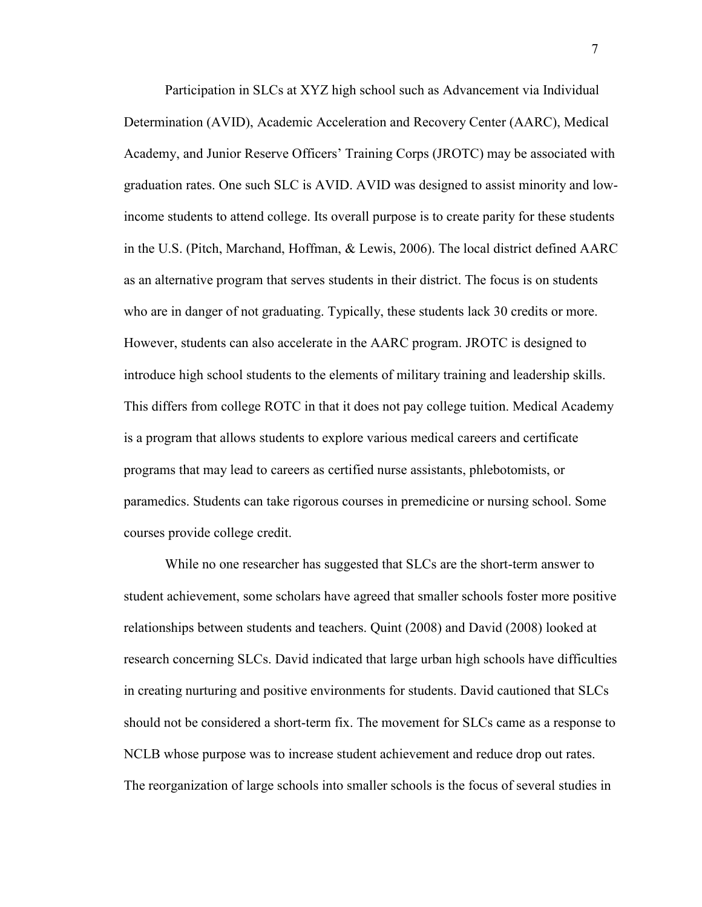Participation in SLCs at XYZ high school such as Advancement via Individual Determination (AVID), Academic Acceleration and Recovery Center (AARC), Medical Academy, and Junior Reserve Officers' Training Corps (JROTC) may be associated with graduation rates. One such SLC is AVID. AVID was designed to assist minority and lowincome students to attend college. Its overall purpose is to create parity for these students in the U.S. (Pitch, Marchand, Hoffman, & Lewis, 2006). The local district defined AARC as an alternative program that serves students in their district. The focus is on students who are in danger of not graduating. Typically, these students lack 30 credits or more. However, students can also accelerate in the AARC program. JROTC is designed to introduce high school students to the elements of military training and leadership skills. This differs from college ROTC in that it does not pay college tuition. Medical Academy is a program that allows students to explore various medical careers and certificate programs that may lead to careers as certified nurse assistants, phlebotomists, or paramedics. Students can take rigorous courses in premedicine or nursing school. Some courses provide college credit.

While no one researcher has suggested that SLCs are the short-term answer to student achievement, some scholars have agreed that smaller schools foster more positive relationships between students and teachers. Quint (2008) and David (2008) looked at research concerning SLCs. David indicated that large urban high schools have difficulties in creating nurturing and positive environments for students. David cautioned that SLCs should not be considered a short-term fix. The movement for SLCs came as a response to NCLB whose purpose was to increase student achievement and reduce drop out rates. The reorganization of large schools into smaller schools is the focus of several studies in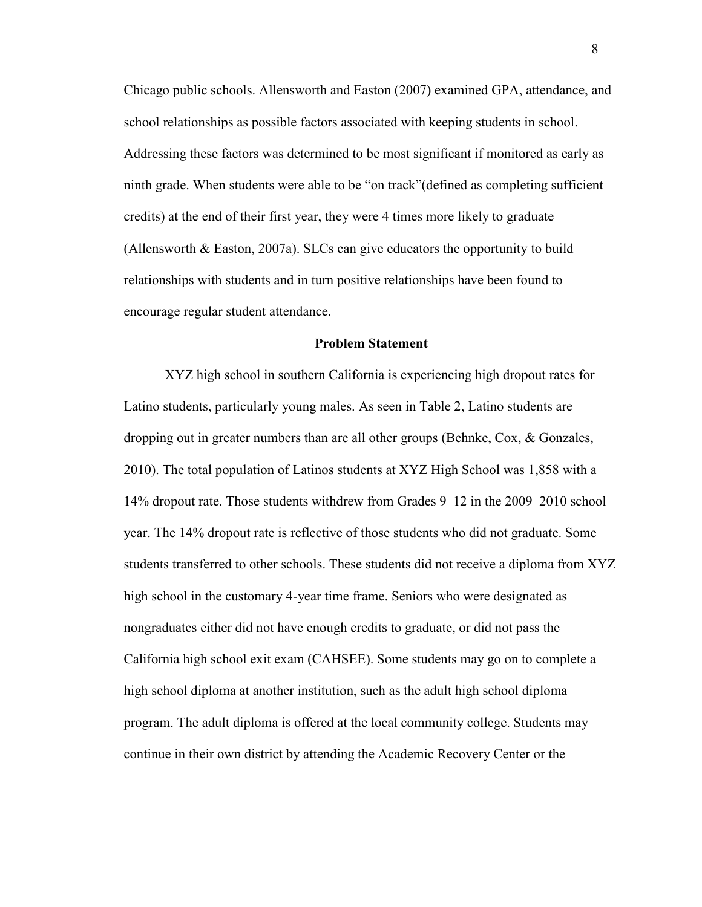Chicago public schools. Allensworth and Easton (2007) examined GPA, attendance, and school relationships as possible factors associated with keeping students in school. Addressing these factors was determined to be most significant if monitored as early as ninth grade. When students were able to be "on track"(defined as completing sufficient credits) at the end of their first year, they were 4 times more likely to graduate (Allensworth & Easton, 2007a). SLCs can give educators the opportunity to build relationships with students and in turn positive relationships have been found to encourage regular student attendance.

## **Problem Statement**

XYZ high school in southern California is experiencing high dropout rates for Latino students, particularly young males. As seen in Table 2, Latino students are dropping out in greater numbers than are all other groups (Behnke, Cox, & Gonzales, 2010). The total population of Latinos students at XYZ High School was 1,858 with a 14% dropout rate. Those students withdrew from Grades 9–12 in the 2009–2010 school year. The 14% dropout rate is reflective of those students who did not graduate. Some students transferred to other schools. These students did not receive a diploma from XYZ high school in the customary 4-year time frame. Seniors who were designated as nongraduates either did not have enough credits to graduate, or did not pass the California high school exit exam (CAHSEE). Some students may go on to complete a high school diploma at another institution, such as the adult high school diploma program. The adult diploma is offered at the local community college. Students may continue in their own district by attending the Academic Recovery Center or the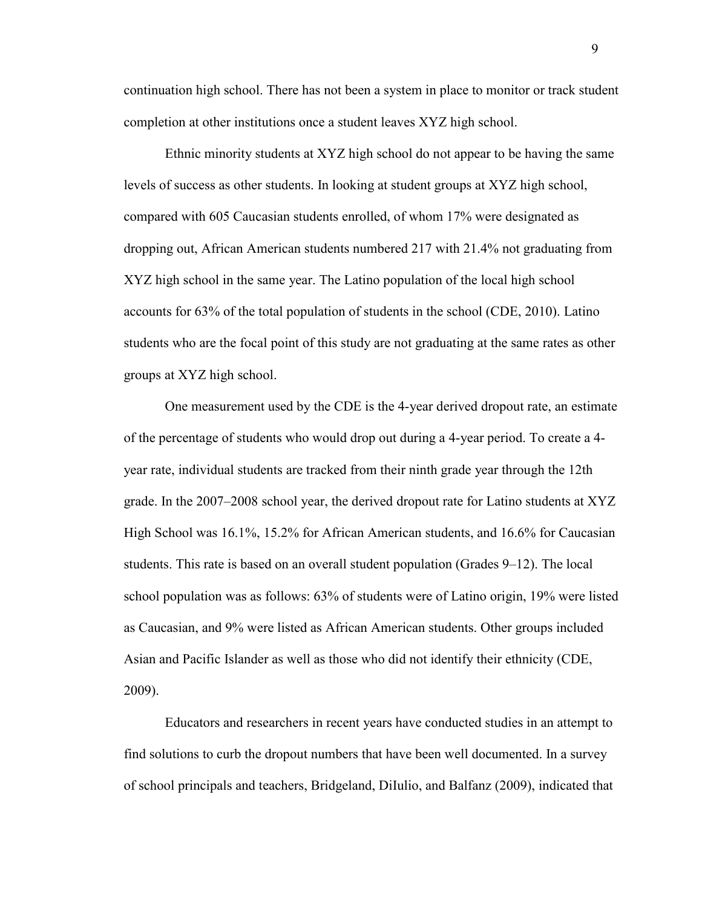continuation high school. There has not been a system in place to monitor or track student completion at other institutions once a student leaves XYZ high school.

Ethnic minority students at XYZ high school do not appear to be having the same levels of success as other students. In looking at student groups at XYZ high school, compared with 605 Caucasian students enrolled, of whom 17% were designated as dropping out, African American students numbered 217 with 21.4% not graduating from XYZ high school in the same year. The Latino population of the local high school accounts for 63% of the total population of students in the school (CDE, 2010). Latino students who are the focal point of this study are not graduating at the same rates as other groups at XYZ high school.

One measurement used by the CDE is the 4-year derived dropout rate, an estimate of the percentage of students who would drop out during a 4-year period. To create a 4 year rate, individual students are tracked from their ninth grade year through the 12th grade. In the 2007–2008 school year, the derived dropout rate for Latino students at XYZ High School was 16.1%, 15.2% for African American students, and 16.6% for Caucasian students. This rate is based on an overall student population (Grades 9–12). The local school population was as follows: 63% of students were of Latino origin, 19% were listed as Caucasian, and 9% were listed as African American students. Other groups included Asian and Pacific Islander as well as those who did not identify their ethnicity (CDE, 2009).

Educators and researchers in recent years have conducted studies in an attempt to find solutions to curb the dropout numbers that have been well documented. In a survey of school principals and teachers, Bridgeland, DiIulio, and Balfanz (2009), indicated that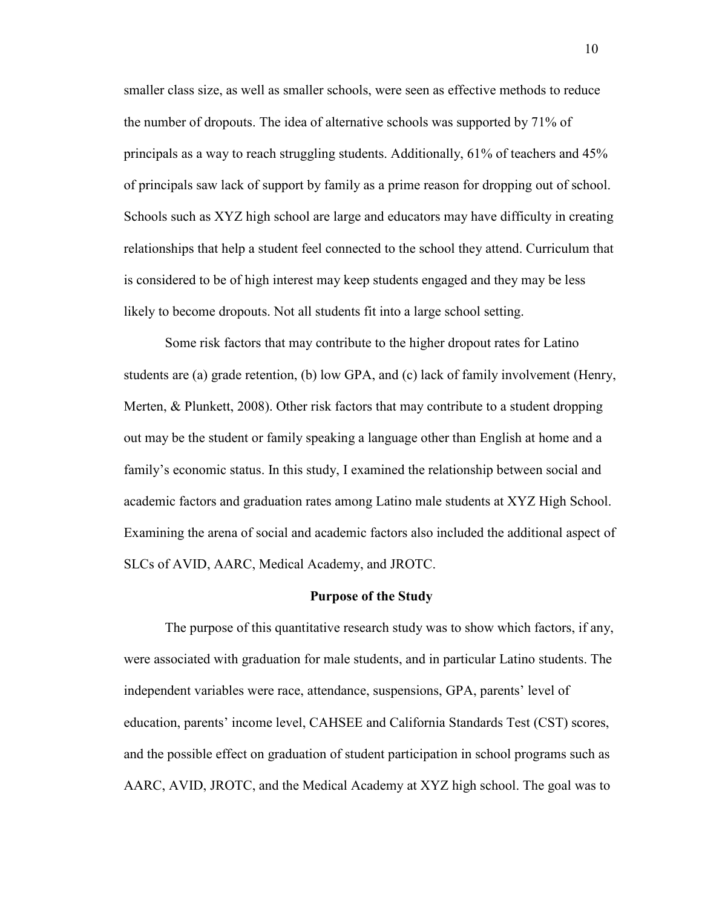smaller class size, as well as smaller schools, were seen as effective methods to reduce the number of dropouts. The idea of alternative schools was supported by 71% of principals as a way to reach struggling students. Additionally, 61% of teachers and 45% of principals saw lack of support by family as a prime reason for dropping out of school. Schools such as XYZ high school are large and educators may have difficulty in creating relationships that help a student feel connected to the school they attend. Curriculum that is considered to be of high interest may keep students engaged and they may be less likely to become dropouts. Not all students fit into a large school setting.

Some risk factors that may contribute to the higher dropout rates for Latino students are (a) grade retention, (b) low GPA, and (c) lack of family involvement (Henry, Merten, & Plunkett, 2008). Other risk factors that may contribute to a student dropping out may be the student or family speaking a language other than English at home and a family's economic status. In this study, I examined the relationship between social and academic factors and graduation rates among Latino male students at XYZ High School. Examining the arena of social and academic factors also included the additional aspect of SLCs of AVID, AARC, Medical Academy, and JROTC.

#### **Purpose of the Study**

The purpose of this quantitative research study was to show which factors, if any, were associated with graduation for male students, and in particular Latino students. The independent variables were race, attendance, suspensions, GPA, parents' level of education, parents' income level, CAHSEE and California Standards Test (CST) scores, and the possible effect on graduation of student participation in school programs such as AARC, AVID, JROTC, and the Medical Academy at XYZ high school. The goal was to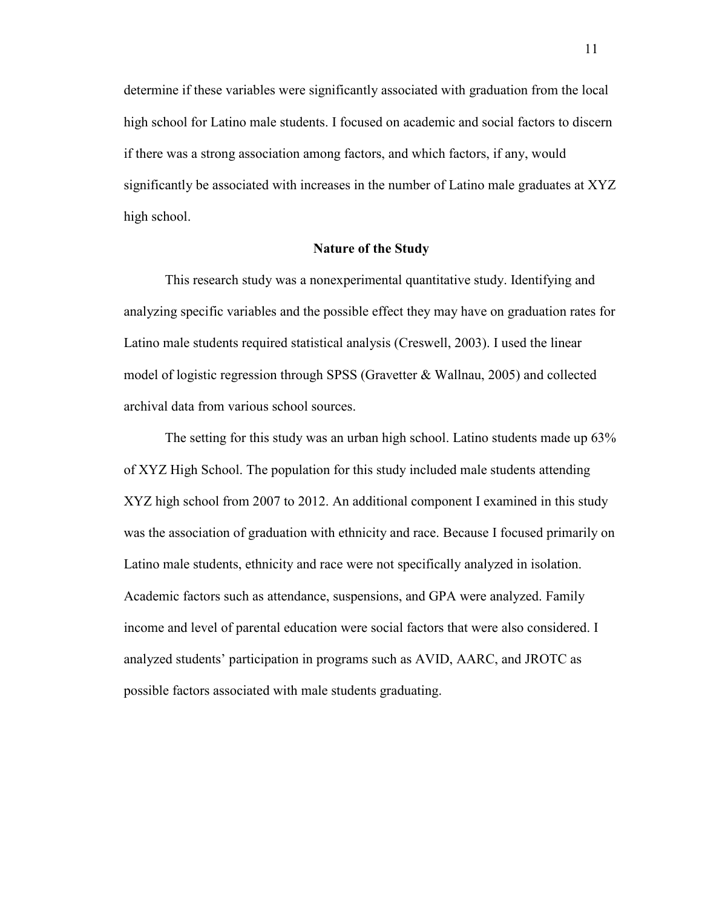determine if these variables were significantly associated with graduation from the local high school for Latino male students. I focused on academic and social factors to discern if there was a strong association among factors, and which factors, if any, would significantly be associated with increases in the number of Latino male graduates at XYZ high school.

# **Nature of the Study**

This research study was a nonexperimental quantitative study. Identifying and analyzing specific variables and the possible effect they may have on graduation rates for Latino male students required statistical analysis (Creswell, 2003). I used the linear model of logistic regression through SPSS (Gravetter & Wallnau, 2005) and collected archival data from various school sources.

The setting for this study was an urban high school. Latino students made up 63% of XYZ High School. The population for this study included male students attending XYZ high school from 2007 to 2012. An additional component I examined in this study was the association of graduation with ethnicity and race. Because I focused primarily on Latino male students, ethnicity and race were not specifically analyzed in isolation. Academic factors such as attendance, suspensions, and GPA were analyzed. Family income and level of parental education were social factors that were also considered. I analyzed students' participation in programs such as AVID, AARC, and JROTC as possible factors associated with male students graduating.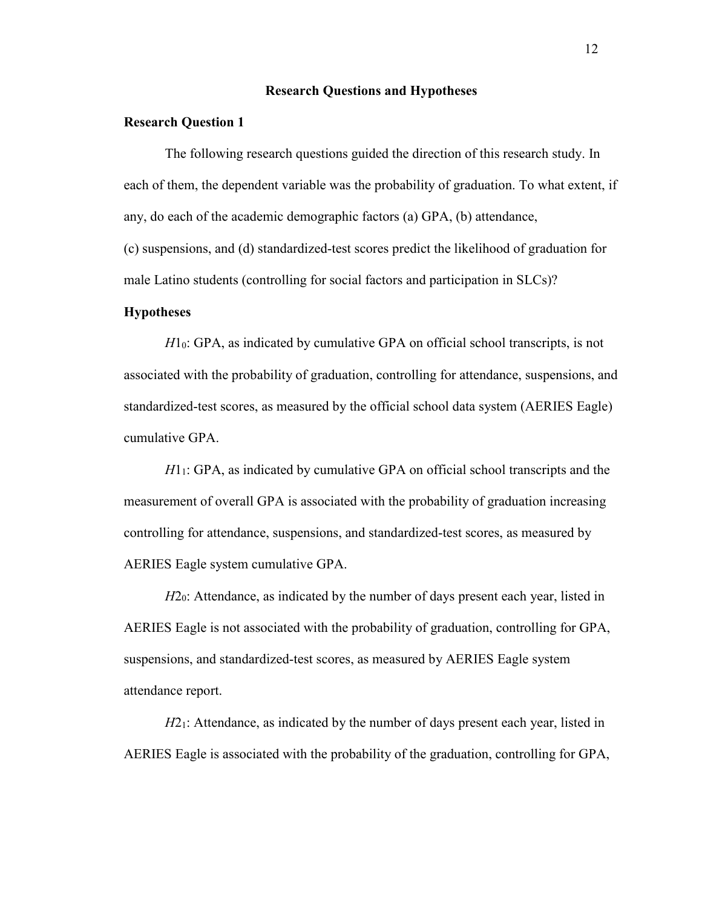## **Research Questions and Hypotheses**

#### **Research Question 1**

The following research questions guided the direction of this research study. In each of them, the dependent variable was the probability of graduation. To what extent, if any, do each of the academic demographic factors (a) GPA, (b) attendance, (c) suspensions, and (d) standardized-test scores predict the likelihood of graduation for

male Latino students (controlling for social factors and participation in SLCs)?

#### **Hypotheses**

*H*1<sub>0</sub>: GPA, as indicated by cumulative GPA on official school transcripts, is not associated with the probability of graduation, controlling for attendance, suspensions, and standardized-test scores, as measured by the official school data system (AERIES Eagle) cumulative GPA.

*H*1<sub>1</sub>: GPA, as indicated by cumulative GPA on official school transcripts and the measurement of overall GPA is associated with the probability of graduation increasing controlling for attendance, suspensions, and standardized-test scores, as measured by AERIES Eagle system cumulative GPA.

*H*2<sub>0</sub>: Attendance, as indicated by the number of days present each year, listed in AERIES Eagle is not associated with the probability of graduation, controlling for GPA, suspensions, and standardized-test scores, as measured by AERIES Eagle system attendance report.

*H*2<sub>1</sub>: Attendance, as indicated by the number of days present each year, listed in AERIES Eagle is associated with the probability of the graduation, controlling for GPA,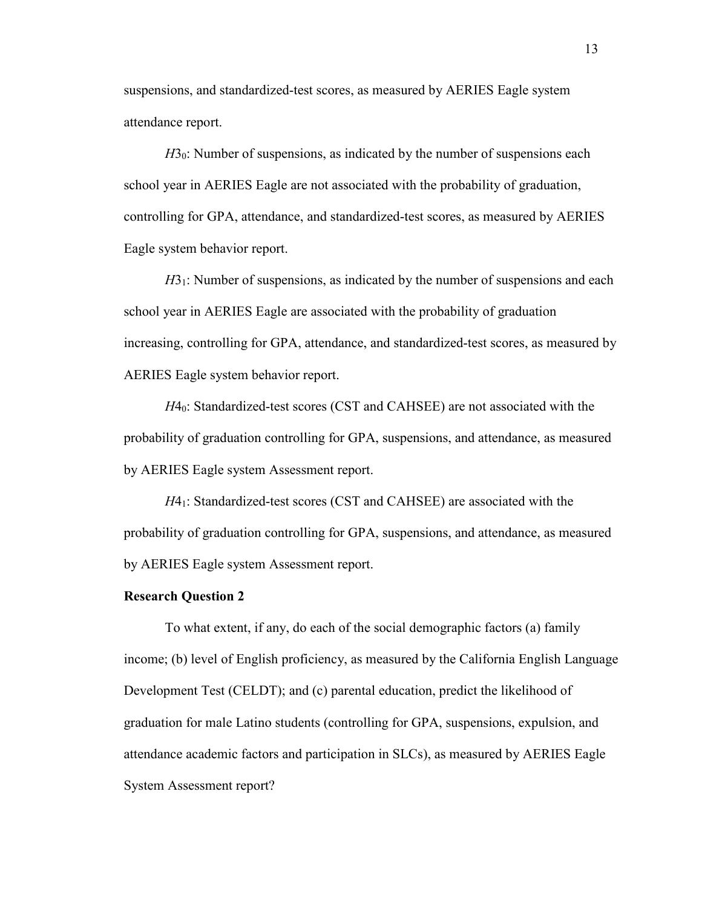suspensions, and standardized-test scores, as measured by AERIES Eagle system attendance report.

*H*3<sub>0</sub>: Number of suspensions, as indicated by the number of suspensions each school year in AERIES Eagle are not associated with the probability of graduation, controlling for GPA, attendance, and standardized-test scores, as measured by AERIES Eagle system behavior report.

*H*3<sub>1</sub>: Number of suspensions, as indicated by the number of suspensions and each school year in AERIES Eagle are associated with the probability of graduation increasing, controlling for GPA, attendance, and standardized-test scores, as measured by AERIES Eagle system behavior report.

*H*40: Standardized-test scores (CST and CAHSEE) are not associated with the probability of graduation controlling for GPA, suspensions, and attendance, as measured by AERIES Eagle system Assessment report.

*H*41: Standardized-test scores (CST and CAHSEE) are associated with the probability of graduation controlling for GPA, suspensions, and attendance, as measured by AERIES Eagle system Assessment report.

#### **Research Question 2**

To what extent, if any, do each of the social demographic factors (a) family income; (b) level of English proficiency, as measured by the California English Language Development Test (CELDT); and (c) parental education, predict the likelihood of graduation for male Latino students (controlling for GPA, suspensions, expulsion, and attendance academic factors and participation in SLCs), as measured by AERIES Eagle System Assessment report?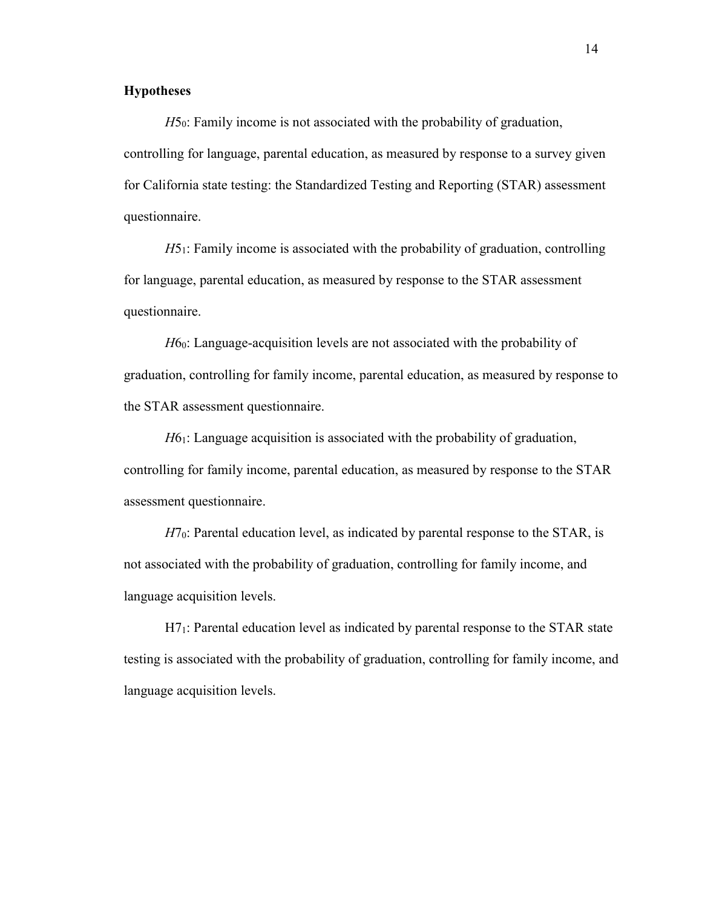# **Hypotheses**

*H*5<sub>0</sub>: Family income is not associated with the probability of graduation, controlling for language, parental education, as measured by response to a survey given for California state testing: the Standardized Testing and Reporting (STAR) assessment questionnaire.

*H*51: Family income is associated with the probability of graduation, controlling for language, parental education, as measured by response to the STAR assessment questionnaire.

*H*60: Language-acquisition levels are not associated with the probability of graduation, controlling for family income, parental education, as measured by response to the STAR assessment questionnaire.

*H*61: Language acquisition is associated with the probability of graduation, controlling for family income, parental education, as measured by response to the STAR assessment questionnaire.

*H*7<sub>0</sub>: Parental education level, as indicated by parental response to the STAR, is not associated with the probability of graduation, controlling for family income, and language acquisition levels.

H71: Parental education level as indicated by parental response to the STAR state testing is associated with the probability of graduation, controlling for family income, and language acquisition levels.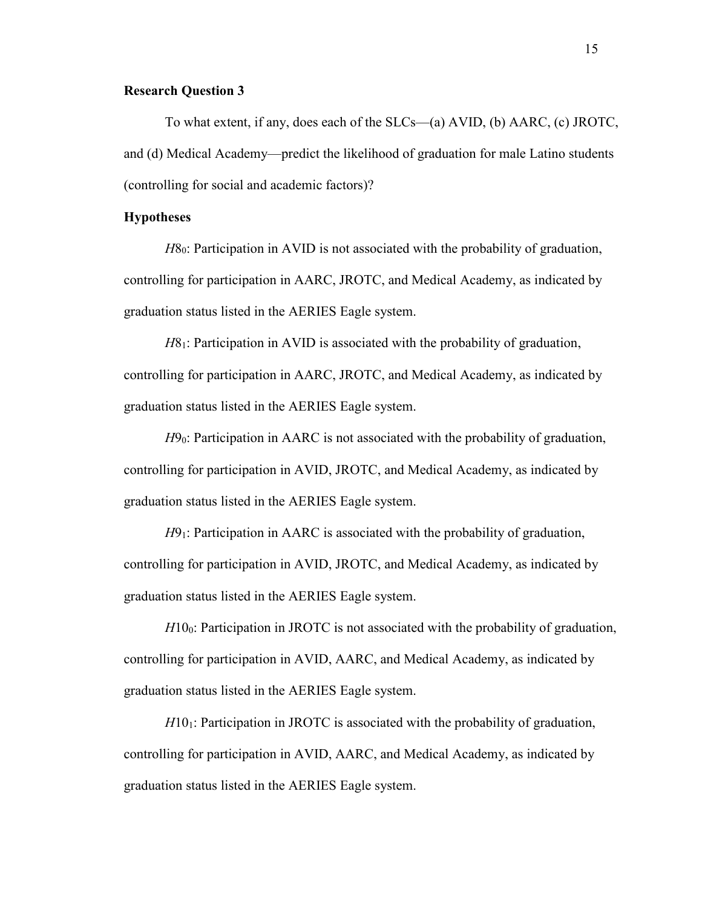## **Research Question 3**

To what extent, if any, does each of the SLCs—(a) AVID, (b) AARC, (c) JROTC, and (d) Medical Academy—predict the likelihood of graduation for male Latino students (controlling for social and academic factors)?

#### **Hypotheses**

*H*80: Participation in AVID is not associated with the probability of graduation, controlling for participation in AARC, JROTC, and Medical Academy, as indicated by graduation status listed in the AERIES Eagle system.

*H*8<sub>1</sub>: Participation in AVID is associated with the probability of graduation, controlling for participation in AARC, JROTC, and Medical Academy, as indicated by graduation status listed in the AERIES Eagle system.

*H*9<sub>0</sub>: Participation in AARC is not associated with the probability of graduation, controlling for participation in AVID, JROTC, and Medical Academy, as indicated by graduation status listed in the AERIES Eagle system.

*H*9<sub>1</sub>: Participation in AARC is associated with the probability of graduation, controlling for participation in AVID, JROTC, and Medical Academy, as indicated by graduation status listed in the AERIES Eagle system.

*H*10<sub>0</sub>: Participation in JROTC is not associated with the probability of graduation, controlling for participation in AVID, AARC, and Medical Academy, as indicated by graduation status listed in the AERIES Eagle system.

*H*10<sub>1</sub>: Participation in JROTC is associated with the probability of graduation, controlling for participation in AVID, AARC, and Medical Academy, as indicated by graduation status listed in the AERIES Eagle system.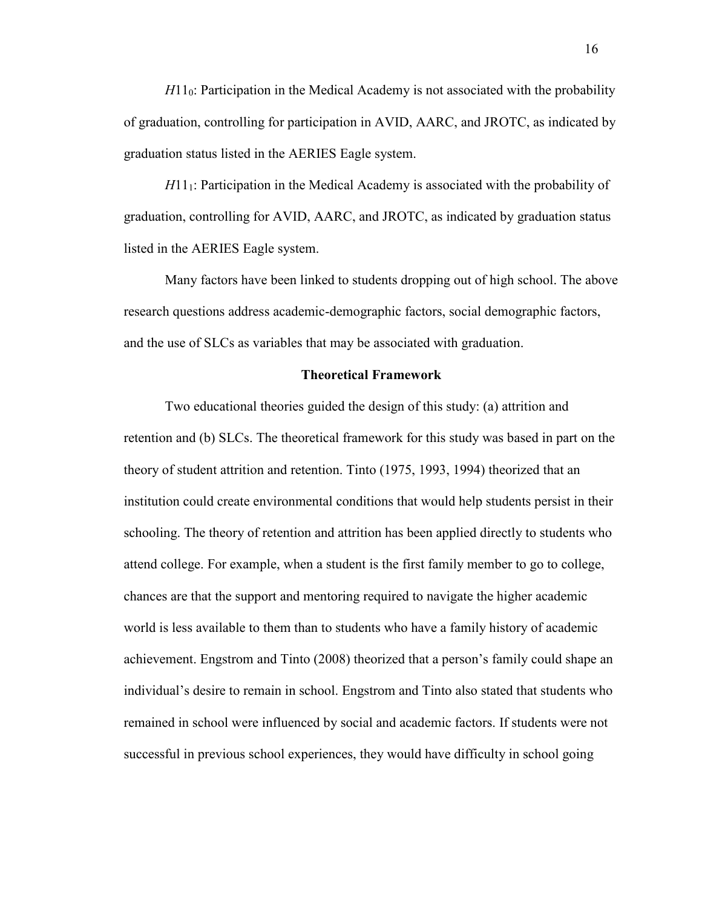*H*110: Participation in the Medical Academy is not associated with the probability of graduation, controlling for participation in AVID, AARC, and JROTC, as indicated by graduation status listed in the AERIES Eagle system.

*H*111: Participation in the Medical Academy is associated with the probability of graduation, controlling for AVID, AARC, and JROTC, as indicated by graduation status listed in the AERIES Eagle system.

Many factors have been linked to students dropping out of high school. The above research questions address academic-demographic factors, social demographic factors, and the use of SLCs as variables that may be associated with graduation.

## **Theoretical Framework**

Two educational theories guided the design of this study: (a) attrition and retention and (b) SLCs. The theoretical framework for this study was based in part on the theory of student attrition and retention. Tinto (1975, 1993, 1994) theorized that an institution could create environmental conditions that would help students persist in their schooling. The theory of retention and attrition has been applied directly to students who attend college. For example, when a student is the first family member to go to college, chances are that the support and mentoring required to navigate the higher academic world is less available to them than to students who have a family history of academic achievement. Engstrom and Tinto (2008) theorized that a person's family could shape an individual's desire to remain in school. Engstrom and Tinto also stated that students who remained in school were influenced by social and academic factors. If students were not successful in previous school experiences, they would have difficulty in school going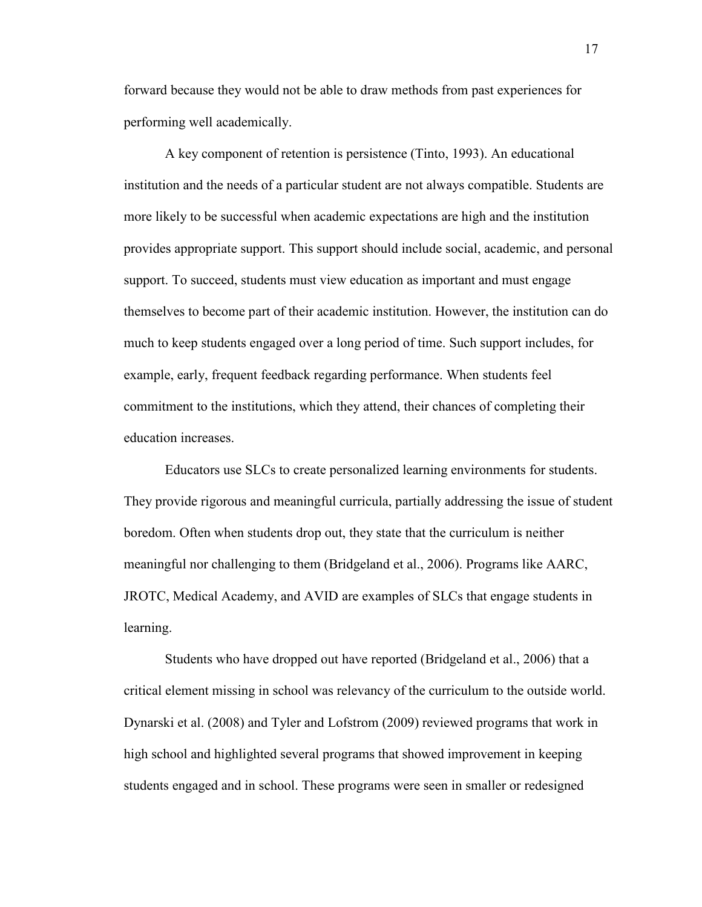forward because they would not be able to draw methods from past experiences for performing well academically.

A key component of retention is persistence (Tinto, 1993). An educational institution and the needs of a particular student are not always compatible. Students are more likely to be successful when academic expectations are high and the institution provides appropriate support. This support should include social, academic, and personal support. To succeed, students must view education as important and must engage themselves to become part of their academic institution. However, the institution can do much to keep students engaged over a long period of time. Such support includes, for example, early, frequent feedback regarding performance. When students feel commitment to the institutions, which they attend, their chances of completing their education increases.

Educators use SLCs to create personalized learning environments for students. They provide rigorous and meaningful curricula, partially addressing the issue of student boredom. Often when students drop out, they state that the curriculum is neither meaningful nor challenging to them (Bridgeland et al., 2006). Programs like AARC, JROTC, Medical Academy, and AVID are examples of SLCs that engage students in learning.

Students who have dropped out have reported (Bridgeland et al., 2006) that a critical element missing in school was relevancy of the curriculum to the outside world. Dynarski et al. (2008) and Tyler and Lofstrom (2009) reviewed programs that work in high school and highlighted several programs that showed improvement in keeping students engaged and in school. These programs were seen in smaller or redesigned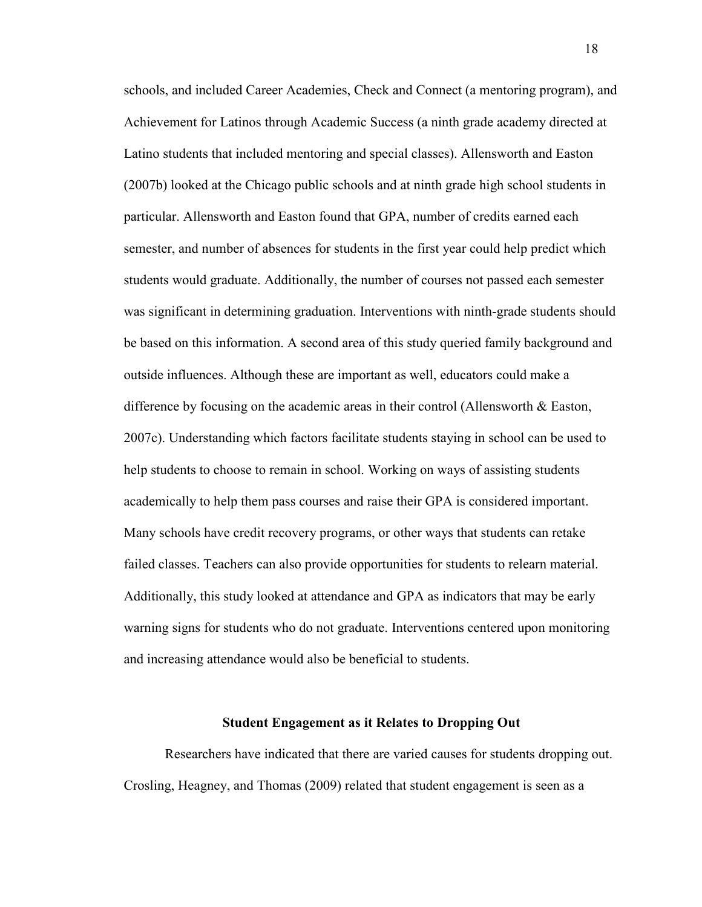schools, and included Career Academies, Check and Connect (a mentoring program), and Achievement for Latinos through Academic Success (a ninth grade academy directed at Latino students that included mentoring and special classes). Allensworth and Easton (2007b) looked at the Chicago public schools and at ninth grade high school students in particular. Allensworth and Easton found that GPA, number of credits earned each semester, and number of absences for students in the first year could help predict which students would graduate. Additionally, the number of courses not passed each semester was significant in determining graduation. Interventions with ninth-grade students should be based on this information. A second area of this study queried family background and outside influences. Although these are important as well, educators could make a difference by focusing on the academic areas in their control (Allensworth & Easton, 2007c). Understanding which factors facilitate students staying in school can be used to help students to choose to remain in school. Working on ways of assisting students academically to help them pass courses and raise their GPA is considered important. Many schools have credit recovery programs, or other ways that students can retake failed classes. Teachers can also provide opportunities for students to relearn material. Additionally, this study looked at attendance and GPA as indicators that may be early warning signs for students who do not graduate. Interventions centered upon monitoring and increasing attendance would also be beneficial to students.

#### **Student Engagement as it Relates to Dropping Out**

Researchers have indicated that there are varied causes for students dropping out. Crosling, Heagney, and Thomas (2009) related that student engagement is seen as a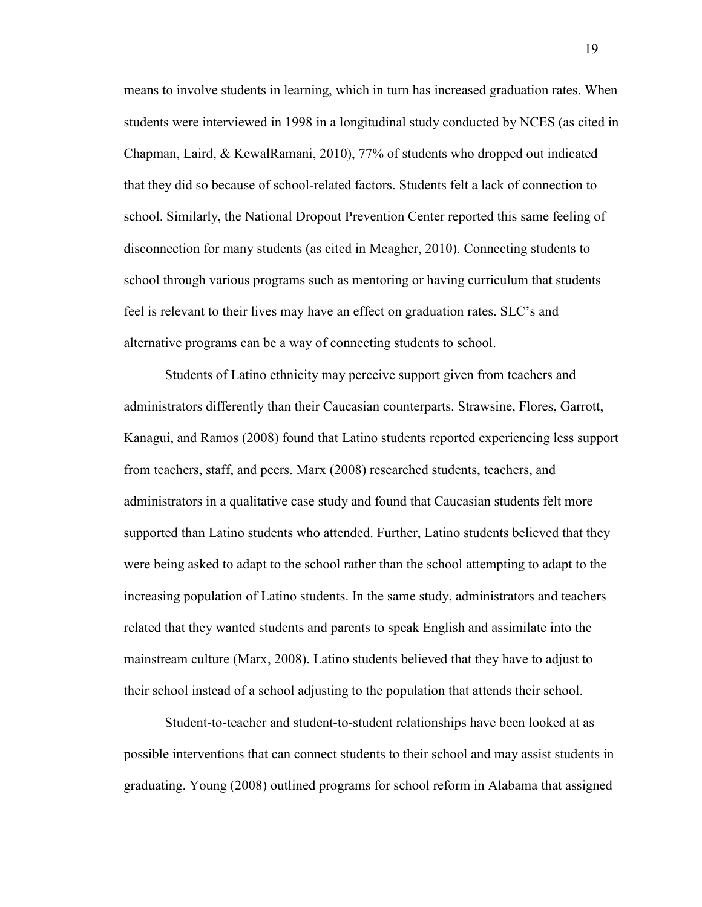means to involve students in learning, which in turn has increased graduation rates. When students were interviewed in 1998 in a longitudinal study conducted by NCES (as cited in Chapman, Laird, & KewalRamani, 2010), 77% of students who dropped out indicated that they did so because of school-related factors. Students felt a lack of connection to school. Similarly, the National Dropout Prevention Center reported this same feeling of disconnection for many students (as cited in Meagher, 2010). Connecting students to school through various programs such as mentoring or having curriculum that students feel is relevant to their lives may have an effect on graduation rates. SLC's and alternative programs can be a way of connecting students to school.

Students of Latino ethnicity may perceive support given from teachers and administrators differently than their Caucasian counterparts. Strawsine, Flores, Garrott, Kanagui, and Ramos (2008) found that Latino students reported experiencing less support from teachers, staff, and peers. Marx (2008) researched students, teachers, and administrators in a qualitative case study and found that Caucasian students felt more supported than Latino students who attended. Further, Latino students believed that they were being asked to adapt to the school rather than the school attempting to adapt to the increasing population of Latino students. In the same study, administrators and teachers related that they wanted students and parents to speak English and assimilate into the mainstream culture (Marx, 2008). Latino students believed that they have to adjust to their school instead of a school adjusting to the population that attends their school.

Student-to-teacher and student-to-student relationships have been looked at as possible interventions that can connect students to their school and may assist students in graduating. Young (2008) outlined programs for school reform in Alabama that assigned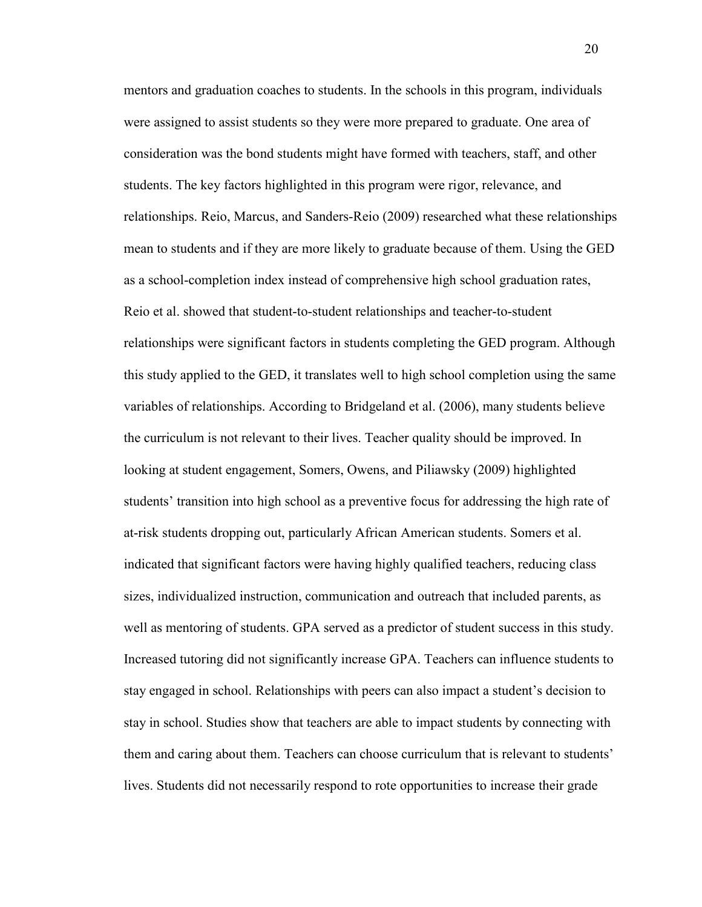mentors and graduation coaches to students. In the schools in this program, individuals were assigned to assist students so they were more prepared to graduate. One area of consideration was the bond students might have formed with teachers, staff, and other students. The key factors highlighted in this program were rigor, relevance, and relationships. Reio, Marcus, and Sanders-Reio (2009) researched what these relationships mean to students and if they are more likely to graduate because of them. Using the GED as a school-completion index instead of comprehensive high school graduation rates, Reio et al. showed that student-to-student relationships and teacher-to-student relationships were significant factors in students completing the GED program. Although this study applied to the GED, it translates well to high school completion using the same variables of relationships. According to Bridgeland et al. (2006), many students believe the curriculum is not relevant to their lives. Teacher quality should be improved. In looking at student engagement, Somers, Owens, and Piliawsky (2009) highlighted students' transition into high school as a preventive focus for addressing the high rate of at-risk students dropping out, particularly African American students. Somers et al. indicated that significant factors were having highly qualified teachers, reducing class sizes, individualized instruction, communication and outreach that included parents, as well as mentoring of students. GPA served as a predictor of student success in this study. Increased tutoring did not significantly increase GPA. Teachers can influence students to stay engaged in school. Relationships with peers can also impact a student's decision to stay in school. Studies show that teachers are able to impact students by connecting with them and caring about them. Teachers can choose curriculum that is relevant to students' lives. Students did not necessarily respond to rote opportunities to increase their grade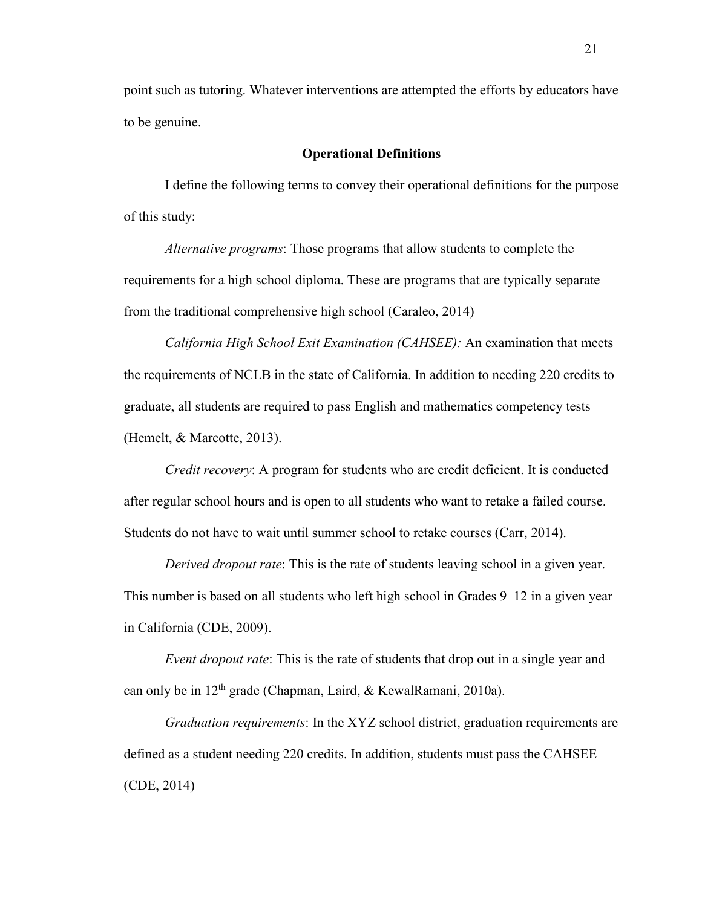point such as tutoring. Whatever interventions are attempted the efforts by educators have to be genuine.

## **Operational Definitions**

I define the following terms to convey their operational definitions for the purpose of this study:

*Alternative programs*: Those programs that allow students to complete the requirements for a high school diploma. These are programs that are typically separate from the traditional comprehensive high school (Caraleo, 2014)

*California High School Exit Examination (CAHSEE):* An examination that meets the requirements of NCLB in the state of California. In addition to needing 220 credits to graduate, all students are required to pass English and mathematics competency tests (Hemelt, & Marcotte, 2013).

*Credit recovery*: A program for students who are credit deficient. It is conducted after regular school hours and is open to all students who want to retake a failed course. Students do not have to wait until summer school to retake courses (Carr, 2014).

*Derived dropout rate*: This is the rate of students leaving school in a given year. This number is based on all students who left high school in Grades 9–12 in a given year in California (CDE, 2009).

*Event dropout rate*: This is the rate of students that drop out in a single year and can only be in  $12<sup>th</sup>$  grade (Chapman, Laird, & KewalRamani, 2010a).

*Graduation requirements*: In the XYZ school district, graduation requirements are defined as a student needing 220 credits. In addition, students must pass the CAHSEE (CDE, 2014)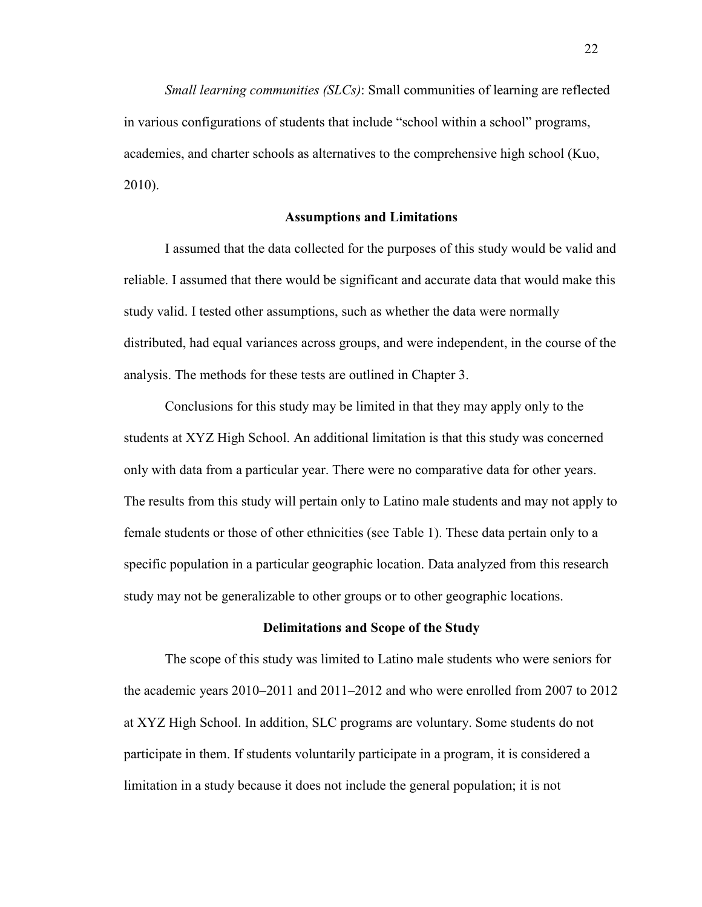*Small learning communities (SLCs)*: Small communities of learning are reflected in various configurations of students that include "school within a school" programs, academies, and charter schools as alternatives to the comprehensive high school (Kuo, 2010).

## **Assumptions and Limitations**

I assumed that the data collected for the purposes of this study would be valid and reliable. I assumed that there would be significant and accurate data that would make this study valid. I tested other assumptions, such as whether the data were normally distributed, had equal variances across groups, and were independent, in the course of the analysis. The methods for these tests are outlined in Chapter 3.

Conclusions for this study may be limited in that they may apply only to the students at XYZ High School. An additional limitation is that this study was concerned only with data from a particular year. There were no comparative data for other years. The results from this study will pertain only to Latino male students and may not apply to female students or those of other ethnicities (see Table 1). These data pertain only to a specific population in a particular geographic location. Data analyzed from this research study may not be generalizable to other groups or to other geographic locations.

#### **Delimitations and Scope of the Study**

The scope of this study was limited to Latino male students who were seniors for the academic years 2010–2011 and 2011–2012 and who were enrolled from 2007 to 2012 at XYZ High School. In addition, SLC programs are voluntary. Some students do not participate in them. If students voluntarily participate in a program, it is considered a limitation in a study because it does not include the general population; it is not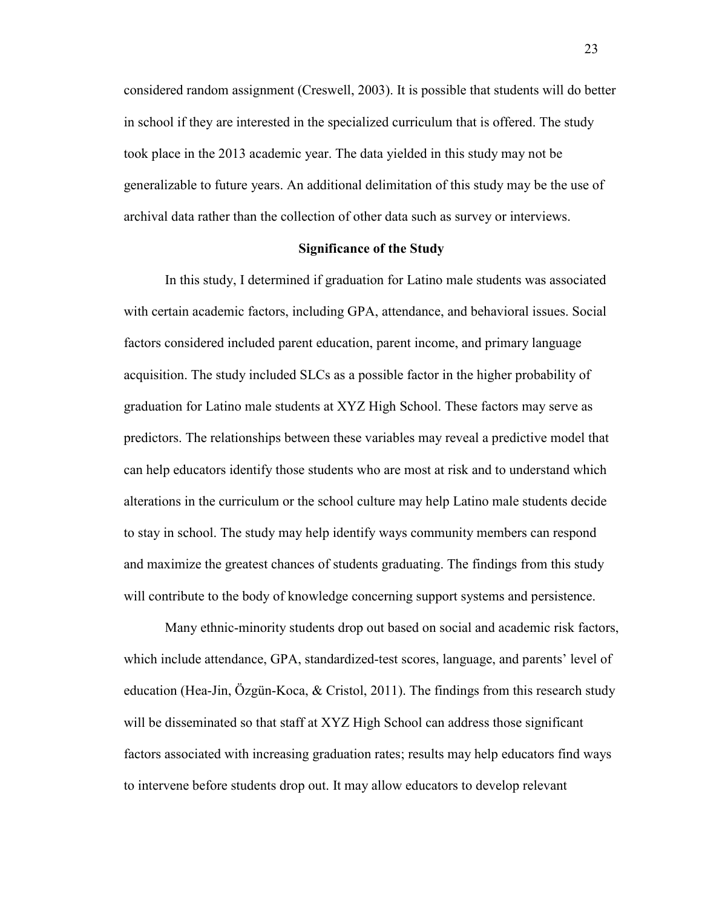considered random assignment (Creswell, 2003). It is possible that students will do better in school if they are interested in the specialized curriculum that is offered. The study took place in the 2013 academic year. The data yielded in this study may not be generalizable to future years. An additional delimitation of this study may be the use of archival data rather than the collection of other data such as survey or interviews.

## **Significance of the Study**

In this study, I determined if graduation for Latino male students was associated with certain academic factors, including GPA, attendance, and behavioral issues. Social factors considered included parent education, parent income, and primary language acquisition. The study included SLCs as a possible factor in the higher probability of graduation for Latino male students at XYZ High School. These factors may serve as predictors. The relationships between these variables may reveal a predictive model that can help educators identify those students who are most at risk and to understand which alterations in the curriculum or the school culture may help Latino male students decide to stay in school. The study may help identify ways community members can respond and maximize the greatest chances of students graduating. The findings from this study will contribute to the body of knowledge concerning support systems and persistence.

Many ethnic-minority students drop out based on social and academic risk factors, which include attendance, GPA, standardized-test scores, language, and parents' level of education (Hea-Jin, Özgün-Koca, & Cristol, 2011). The findings from this research study will be disseminated so that staff at XYZ High School can address those significant factors associated with increasing graduation rates; results may help educators find ways to intervene before students drop out. It may allow educators to develop relevant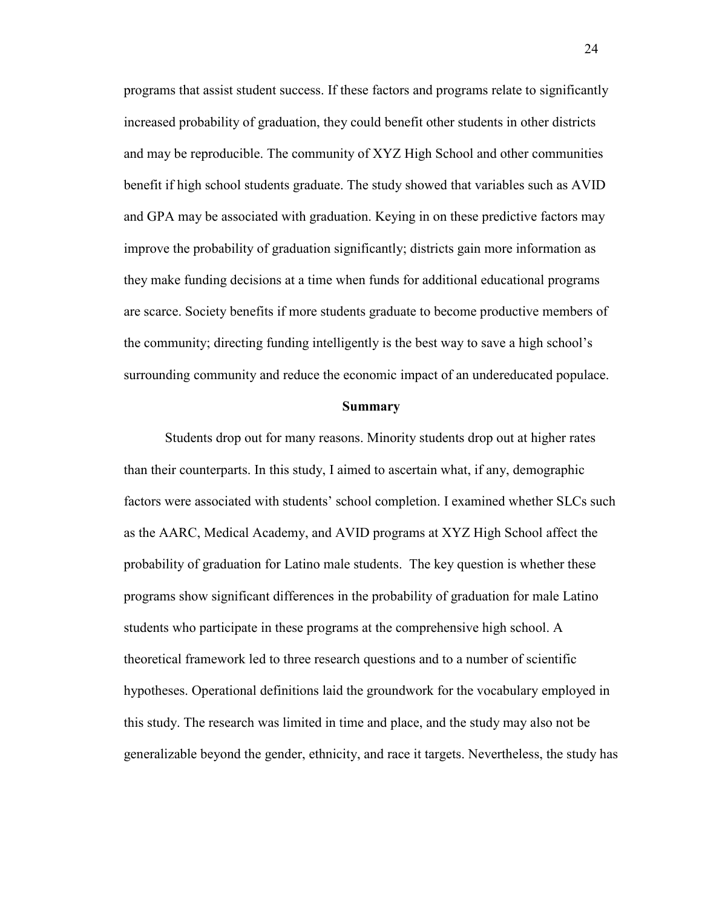programs that assist student success. If these factors and programs relate to significantly increased probability of graduation, they could benefit other students in other districts and may be reproducible. The community of XYZ High School and other communities benefit if high school students graduate. The study showed that variables such as AVID and GPA may be associated with graduation. Keying in on these predictive factors may improve the probability of graduation significantly; districts gain more information as they make funding decisions at a time when funds for additional educational programs are scarce. Society benefits if more students graduate to become productive members of the community; directing funding intelligently is the best way to save a high school's surrounding community and reduce the economic impact of an undereducated populace.

#### **Summary**

Students drop out for many reasons. Minority students drop out at higher rates than their counterparts. In this study, I aimed to ascertain what, if any, demographic factors were associated with students' school completion. I examined whether SLCs such as the AARC, Medical Academy, and AVID programs at XYZ High School affect the probability of graduation for Latino male students. The key question is whether these programs show significant differences in the probability of graduation for male Latino students who participate in these programs at the comprehensive high school. A theoretical framework led to three research questions and to a number of scientific hypotheses. Operational definitions laid the groundwork for the vocabulary employed in this study. The research was limited in time and place, and the study may also not be generalizable beyond the gender, ethnicity, and race it targets. Nevertheless, the study has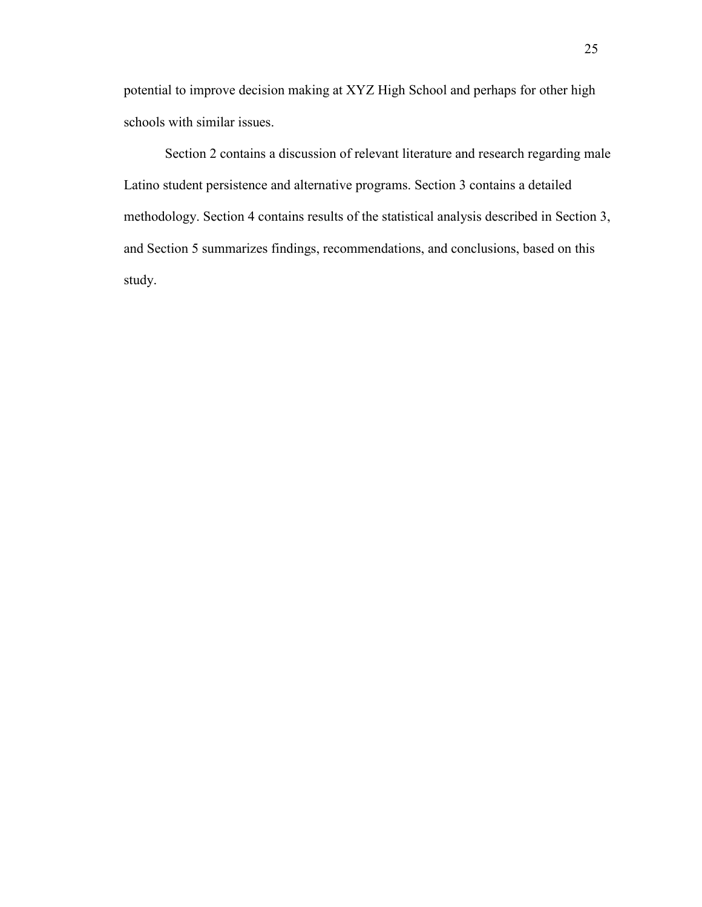potential to improve decision making at XYZ High School and perhaps for other high schools with similar issues.

Section 2 contains a discussion of relevant literature and research regarding male Latino student persistence and alternative programs. Section 3 contains a detailed methodology. Section 4 contains results of the statistical analysis described in Section 3, and Section 5 summarizes findings, recommendations, and conclusions, based on this study.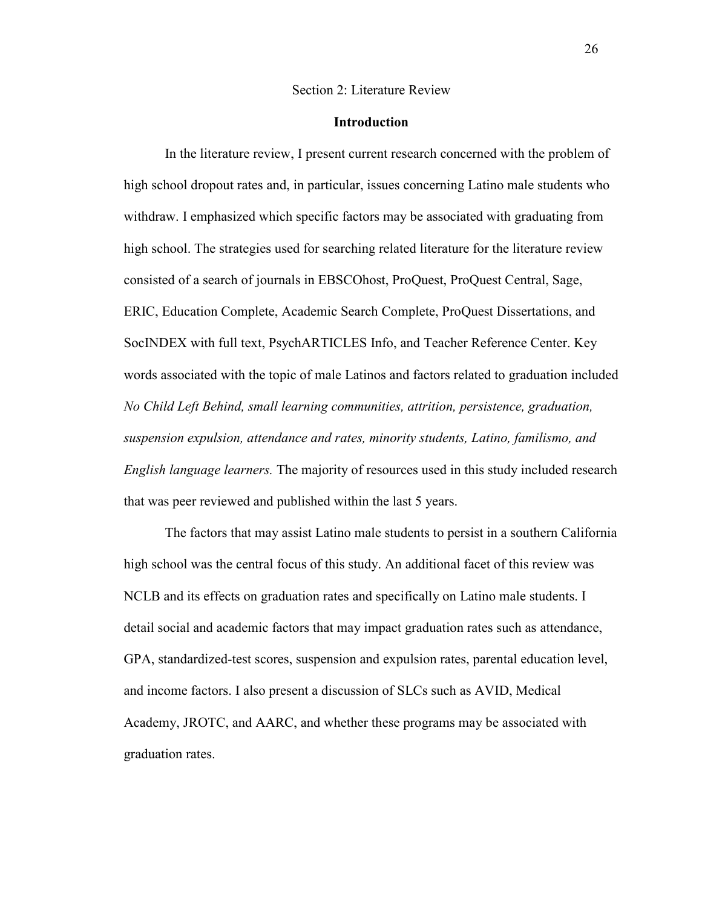#### Section 2: Literature Review

## **Introduction**

In the literature review, I present current research concerned with the problem of high school dropout rates and, in particular, issues concerning Latino male students who withdraw. I emphasized which specific factors may be associated with graduating from high school. The strategies used for searching related literature for the literature review consisted of a search of journals in EBSCOhost, ProQuest, ProQuest Central, Sage, ERIC, Education Complete, Academic Search Complete, ProQuest Dissertations, and SocINDEX with full text, PsychARTICLES Info, and Teacher Reference Center. Key words associated with the topic of male Latinos and factors related to graduation included *No Child Left Behind, small learning communities, attrition, persistence, graduation, suspension expulsion, attendance and rates, minority students, Latino, familismo, and English language learners.* The majority of resources used in this study included research that was peer reviewed and published within the last 5 years.

The factors that may assist Latino male students to persist in a southern California high school was the central focus of this study. An additional facet of this review was NCLB and its effects on graduation rates and specifically on Latino male students. I detail social and academic factors that may impact graduation rates such as attendance, GPA, standardized-test scores, suspension and expulsion rates, parental education level, and income factors. I also present a discussion of SLCs such as AVID, Medical Academy, JROTC, and AARC, and whether these programs may be associated with graduation rates.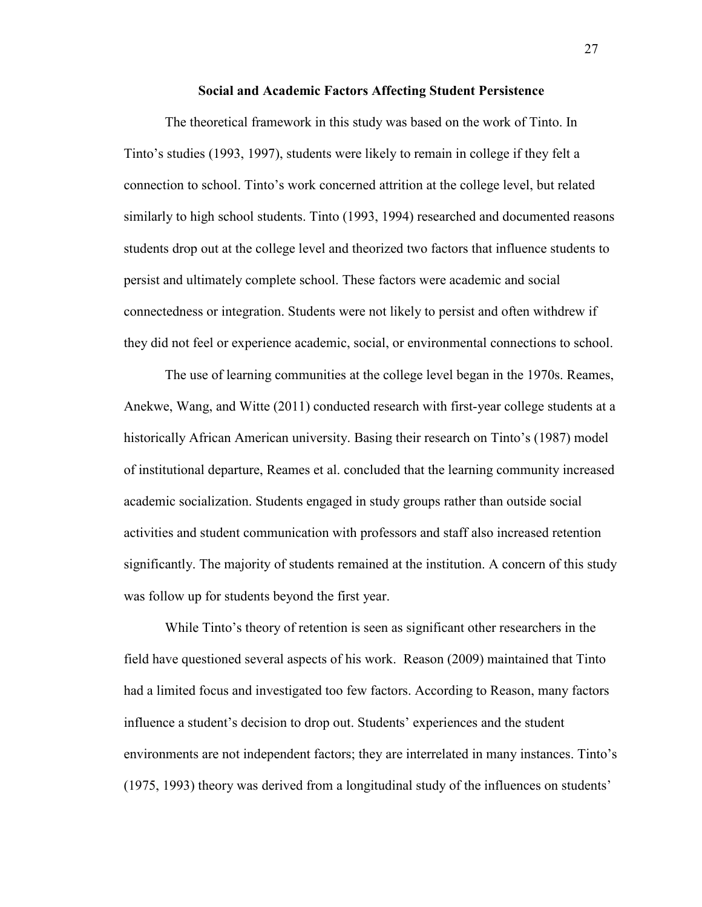#### **Social and Academic Factors Affecting Student Persistence**

The theoretical framework in this study was based on the work of Tinto. In Tinto's studies (1993, 1997), students were likely to remain in college if they felt a connection to school. Tinto's work concerned attrition at the college level, but related similarly to high school students. Tinto (1993, 1994) researched and documented reasons students drop out at the college level and theorized two factors that influence students to persist and ultimately complete school. These factors were academic and social connectedness or integration. Students were not likely to persist and often withdrew if they did not feel or experience academic, social, or environmental connections to school.

The use of learning communities at the college level began in the 1970s. Reames, Anekwe, Wang, and Witte (2011) conducted research with first-year college students at a historically African American university. Basing their research on Tinto's (1987) model of institutional departure, Reames et al. concluded that the learning community increased academic socialization. Students engaged in study groups rather than outside social activities and student communication with professors and staff also increased retention significantly. The majority of students remained at the institution. A concern of this study was follow up for students beyond the first year.

While Tinto's theory of retention is seen as significant other researchers in the field have questioned several aspects of his work. Reason (2009) maintained that Tinto had a limited focus and investigated too few factors. According to Reason, many factors influence a student's decision to drop out. Students' experiences and the student environments are not independent factors; they are interrelated in many instances. Tinto's (1975, 1993) theory was derived from a longitudinal study of the influences on students'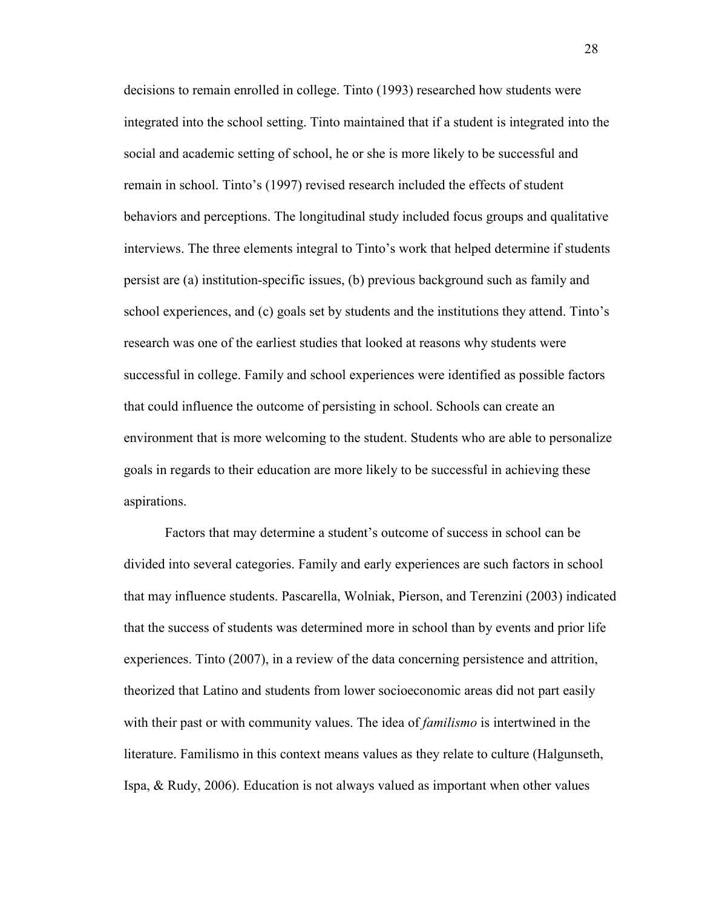decisions to remain enrolled in college. Tinto (1993) researched how students were integrated into the school setting. Tinto maintained that if a student is integrated into the social and academic setting of school, he or she is more likely to be successful and remain in school. Tinto's (1997) revised research included the effects of student behaviors and perceptions. The longitudinal study included focus groups and qualitative interviews. The three elements integral to Tinto's work that helped determine if students persist are (a) institution-specific issues, (b) previous background such as family and school experiences, and (c) goals set by students and the institutions they attend. Tinto's research was one of the earliest studies that looked at reasons why students were successful in college. Family and school experiences were identified as possible factors that could influence the outcome of persisting in school. Schools can create an environment that is more welcoming to the student. Students who are able to personalize goals in regards to their education are more likely to be successful in achieving these aspirations.

Factors that may determine a student's outcome of success in school can be divided into several categories. Family and early experiences are such factors in school that may influence students. Pascarella, Wolniak, Pierson, and Terenzini (2003) indicated that the success of students was determined more in school than by events and prior life experiences. Tinto (2007), in a review of the data concerning persistence and attrition, theorized that Latino and students from lower socioeconomic areas did not part easily with their past or with community values. The idea of *familismo* is intertwined in the literature. Familismo in this context means values as they relate to culture (Halgunseth, Ispa, & Rudy, 2006). Education is not always valued as important when other values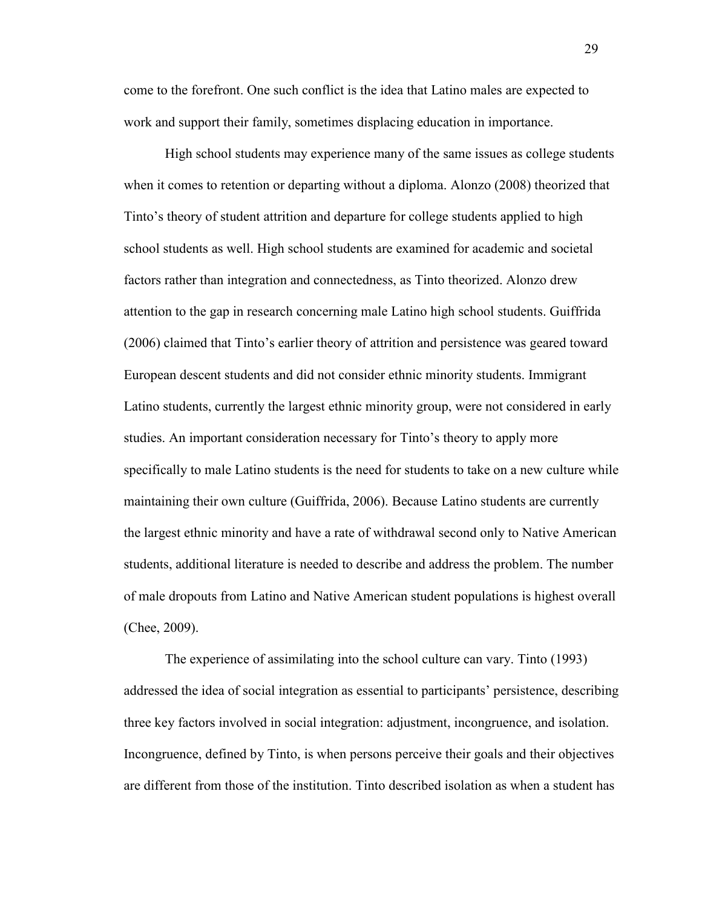come to the forefront. One such conflict is the idea that Latino males are expected to work and support their family, sometimes displacing education in importance.

High school students may experience many of the same issues as college students when it comes to retention or departing without a diploma. Alonzo (2008) theorized that Tinto's theory of student attrition and departure for college students applied to high school students as well. High school students are examined for academic and societal factors rather than integration and connectedness, as Tinto theorized. Alonzo drew attention to the gap in research concerning male Latino high school students. Guiffrida (2006) claimed that Tinto's earlier theory of attrition and persistence was geared toward European descent students and did not consider ethnic minority students. Immigrant Latino students, currently the largest ethnic minority group, were not considered in early studies. An important consideration necessary for Tinto's theory to apply more specifically to male Latino students is the need for students to take on a new culture while maintaining their own culture (Guiffrida, 2006). Because Latino students are currently the largest ethnic minority and have a rate of withdrawal second only to Native American students, additional literature is needed to describe and address the problem. The number of male dropouts from Latino and Native American student populations is highest overall (Chee, 2009).

The experience of assimilating into the school culture can vary. Tinto (1993) addressed the idea of social integration as essential to participants' persistence, describing three key factors involved in social integration: adjustment, incongruence, and isolation. Incongruence, defined by Tinto, is when persons perceive their goals and their objectives are different from those of the institution. Tinto described isolation as when a student has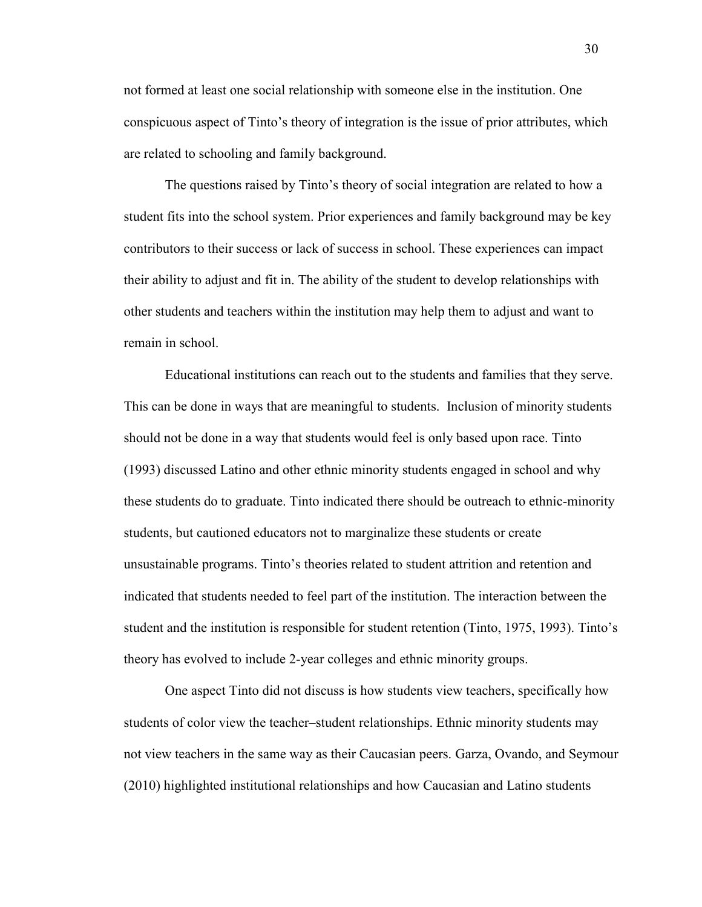not formed at least one social relationship with someone else in the institution. One conspicuous aspect of Tinto's theory of integration is the issue of prior attributes, which are related to schooling and family background.

The questions raised by Tinto's theory of social integration are related to how a student fits into the school system. Prior experiences and family background may be key contributors to their success or lack of success in school. These experiences can impact their ability to adjust and fit in. The ability of the student to develop relationships with other students and teachers within the institution may help them to adjust and want to remain in school.

Educational institutions can reach out to the students and families that they serve. This can be done in ways that are meaningful to students. Inclusion of minority students should not be done in a way that students would feel is only based upon race. Tinto (1993) discussed Latino and other ethnic minority students engaged in school and why these students do to graduate. Tinto indicated there should be outreach to ethnic-minority students, but cautioned educators not to marginalize these students or create unsustainable programs. Tinto's theories related to student attrition and retention and indicated that students needed to feel part of the institution. The interaction between the student and the institution is responsible for student retention (Tinto, 1975, 1993). Tinto's theory has evolved to include 2-year colleges and ethnic minority groups.

One aspect Tinto did not discuss is how students view teachers, specifically how students of color view the teacher–student relationships. Ethnic minority students may not view teachers in the same way as their Caucasian peers. Garza, Ovando, and Seymour (2010) highlighted institutional relationships and how Caucasian and Latino students

30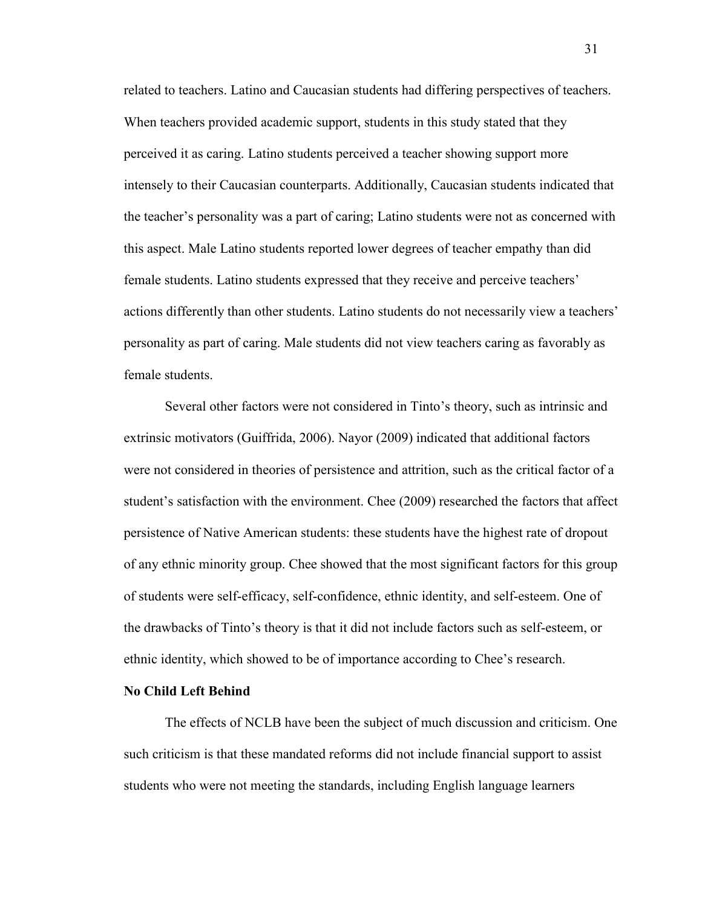related to teachers. Latino and Caucasian students had differing perspectives of teachers. When teachers provided academic support, students in this study stated that they perceived it as caring. Latino students perceived a teacher showing support more intensely to their Caucasian counterparts. Additionally, Caucasian students indicated that the teacher's personality was a part of caring; Latino students were not as concerned with this aspect. Male Latino students reported lower degrees of teacher empathy than did female students. Latino students expressed that they receive and perceive teachers' actions differently than other students. Latino students do not necessarily view a teachers' personality as part of caring. Male students did not view teachers caring as favorably as female students.

Several other factors were not considered in Tinto's theory, such as intrinsic and extrinsic motivators (Guiffrida, 2006). Nayor (2009) indicated that additional factors were not considered in theories of persistence and attrition, such as the critical factor of a student's satisfaction with the environment. Chee (2009) researched the factors that affect persistence of Native American students: these students have the highest rate of dropout of any ethnic minority group. Chee showed that the most significant factors for this group of students were self-efficacy, self-confidence, ethnic identity, and self-esteem. One of the drawbacks of Tinto's theory is that it did not include factors such as self-esteem, or ethnic identity, which showed to be of importance according to Chee's research.

# **No Child Left Behind**

The effects of NCLB have been the subject of much discussion and criticism. One such criticism is that these mandated reforms did not include financial support to assist students who were not meeting the standards, including English language learners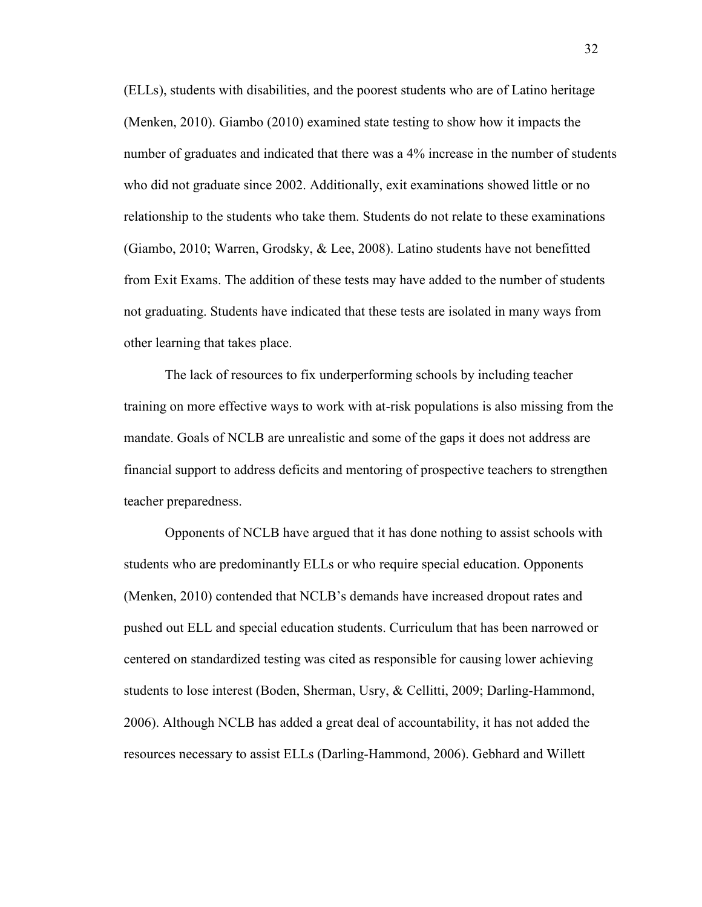(ELLs), students with disabilities, and the poorest students who are of Latino heritage (Menken, 2010). Giambo (2010) examined state testing to show how it impacts the number of graduates and indicated that there was a 4% increase in the number of students who did not graduate since 2002. Additionally, exit examinations showed little or no relationship to the students who take them. Students do not relate to these examinations (Giambo, 2010; Warren, Grodsky, & Lee, 2008). Latino students have not benefitted from Exit Exams. The addition of these tests may have added to the number of students not graduating. Students have indicated that these tests are isolated in many ways from other learning that takes place.

The lack of resources to fix underperforming schools by including teacher training on more effective ways to work with at-risk populations is also missing from the mandate. Goals of NCLB are unrealistic and some of the gaps it does not address are financial support to address deficits and mentoring of prospective teachers to strengthen teacher preparedness.

Opponents of NCLB have argued that it has done nothing to assist schools with students who are predominantly ELLs or who require special education. Opponents (Menken, 2010) contended that NCLB's demands have increased dropout rates and pushed out ELL and special education students. Curriculum that has been narrowed or centered on standardized testing was cited as responsible for causing lower achieving students to lose interest (Boden, Sherman, Usry, & Cellitti, 2009; Darling-Hammond, 2006). Although NCLB has added a great deal of accountability, it has not added the resources necessary to assist ELLs (Darling-Hammond, 2006). Gebhard and Willett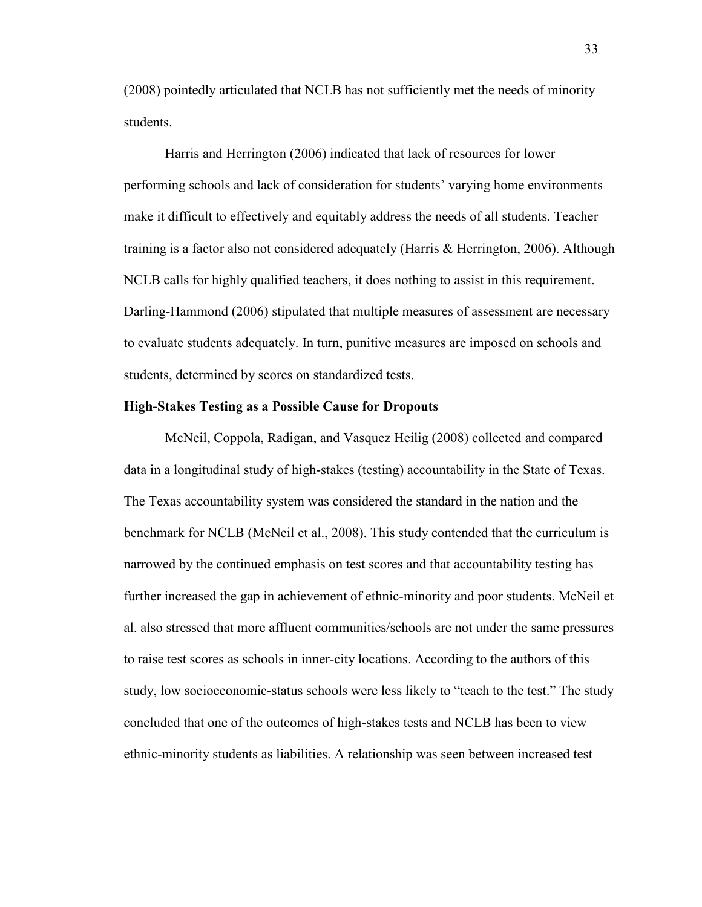(2008) pointedly articulated that NCLB has not sufficiently met the needs of minority students.

Harris and Herrington (2006) indicated that lack of resources for lower performing schools and lack of consideration for students' varying home environments make it difficult to effectively and equitably address the needs of all students. Teacher training is a factor also not considered adequately (Harris & Herrington, 2006). Although NCLB calls for highly qualified teachers, it does nothing to assist in this requirement. Darling-Hammond (2006) stipulated that multiple measures of assessment are necessary to evaluate students adequately. In turn, punitive measures are imposed on schools and students, determined by scores on standardized tests.

## **High-Stakes Testing as a Possible Cause for Dropouts**

McNeil, Coppola, Radigan, and Vasquez Heilig (2008) collected and compared data in a longitudinal study of high-stakes (testing) accountability in the State of Texas. The Texas accountability system was considered the standard in the nation and the benchmark for NCLB (McNeil et al., 2008). This study contended that the curriculum is narrowed by the continued emphasis on test scores and that accountability testing has further increased the gap in achievement of ethnic-minority and poor students. McNeil et al. also stressed that more affluent communities/schools are not under the same pressures to raise test scores as schools in inner-city locations. According to the authors of this study, low socioeconomic-status schools were less likely to "teach to the test." The study concluded that one of the outcomes of high-stakes tests and NCLB has been to view ethnic-minority students as liabilities. A relationship was seen between increased test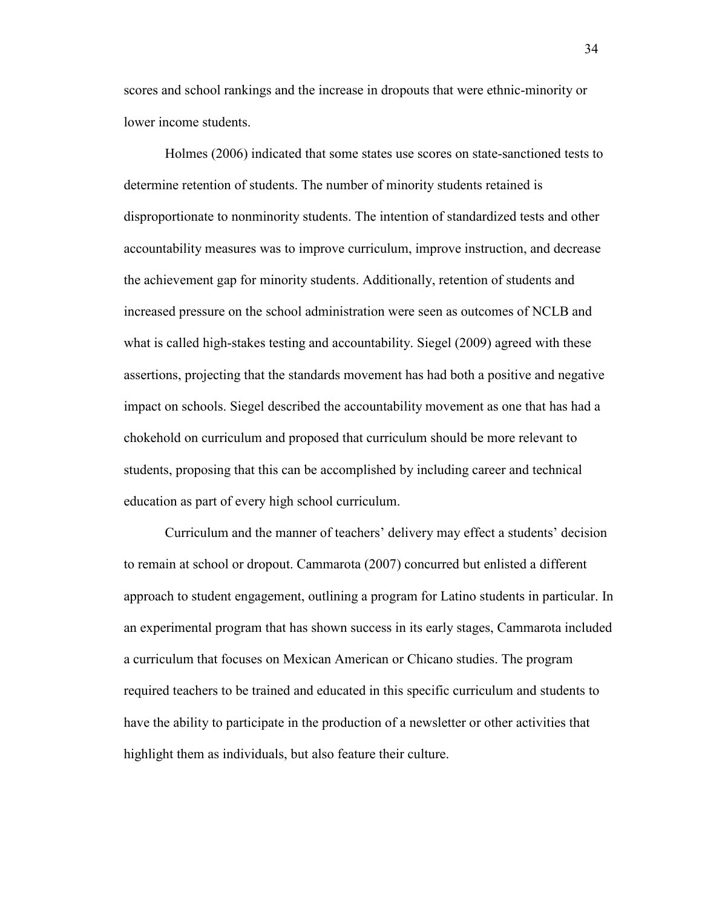scores and school rankings and the increase in dropouts that were ethnic-minority or lower income students.

Holmes (2006) indicated that some states use scores on state-sanctioned tests to determine retention of students. The number of minority students retained is disproportionate to nonminority students. The intention of standardized tests and other accountability measures was to improve curriculum, improve instruction, and decrease the achievement gap for minority students. Additionally, retention of students and increased pressure on the school administration were seen as outcomes of NCLB and what is called high-stakes testing and accountability. Siegel (2009) agreed with these assertions, projecting that the standards movement has had both a positive and negative impact on schools. Siegel described the accountability movement as one that has had a chokehold on curriculum and proposed that curriculum should be more relevant to students, proposing that this can be accomplished by including career and technical education as part of every high school curriculum.

Curriculum and the manner of teachers' delivery may effect a students' decision to remain at school or dropout. Cammarota (2007) concurred but enlisted a different approach to student engagement, outlining a program for Latino students in particular. In an experimental program that has shown success in its early stages, Cammarota included a curriculum that focuses on Mexican American or Chicano studies. The program required teachers to be trained and educated in this specific curriculum and students to have the ability to participate in the production of a newsletter or other activities that highlight them as individuals, but also feature their culture.

34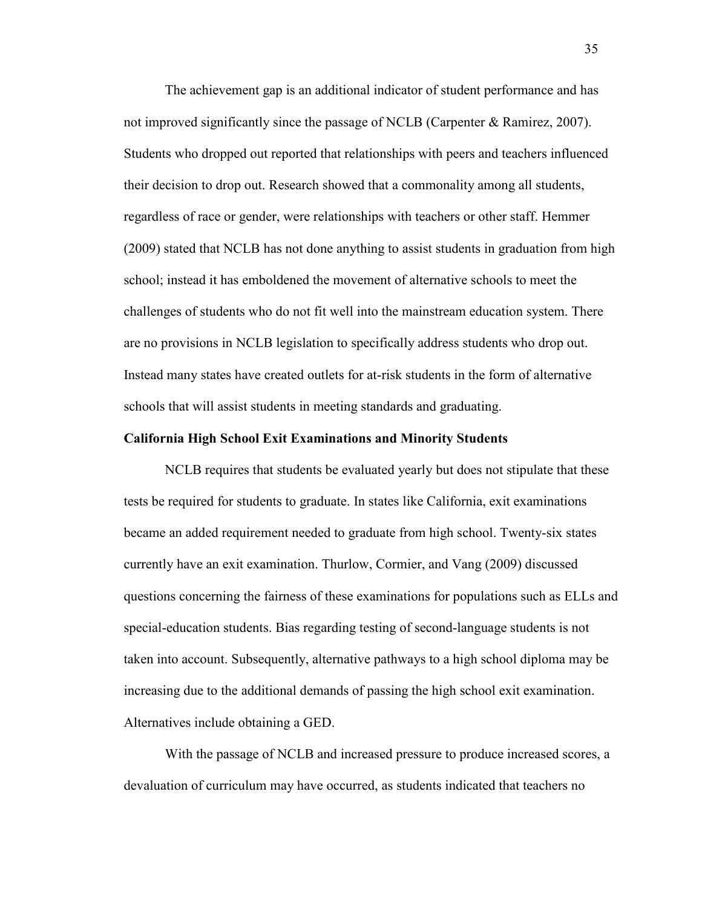The achievement gap is an additional indicator of student performance and has not improved significantly since the passage of NCLB (Carpenter & Ramirez, 2007). Students who dropped out reported that relationships with peers and teachers influenced their decision to drop out. Research showed that a commonality among all students, regardless of race or gender, were relationships with teachers or other staff. Hemmer (2009) stated that NCLB has not done anything to assist students in graduation from high school; instead it has emboldened the movement of alternative schools to meet the challenges of students who do not fit well into the mainstream education system. There are no provisions in NCLB legislation to specifically address students who drop out. Instead many states have created outlets for at-risk students in the form of alternative schools that will assist students in meeting standards and graduating.

#### **California High School Exit Examinations and Minority Students**

NCLB requires that students be evaluated yearly but does not stipulate that these tests be required for students to graduate. In states like California, exit examinations became an added requirement needed to graduate from high school. Twenty-six states currently have an exit examination. Thurlow, Cormier, and Vang (2009) discussed questions concerning the fairness of these examinations for populations such as ELLs and special-education students. Bias regarding testing of second-language students is not taken into account. Subsequently, alternative pathways to a high school diploma may be increasing due to the additional demands of passing the high school exit examination. Alternatives include obtaining a GED.

With the passage of NCLB and increased pressure to produce increased scores, a devaluation of curriculum may have occurred, as students indicated that teachers no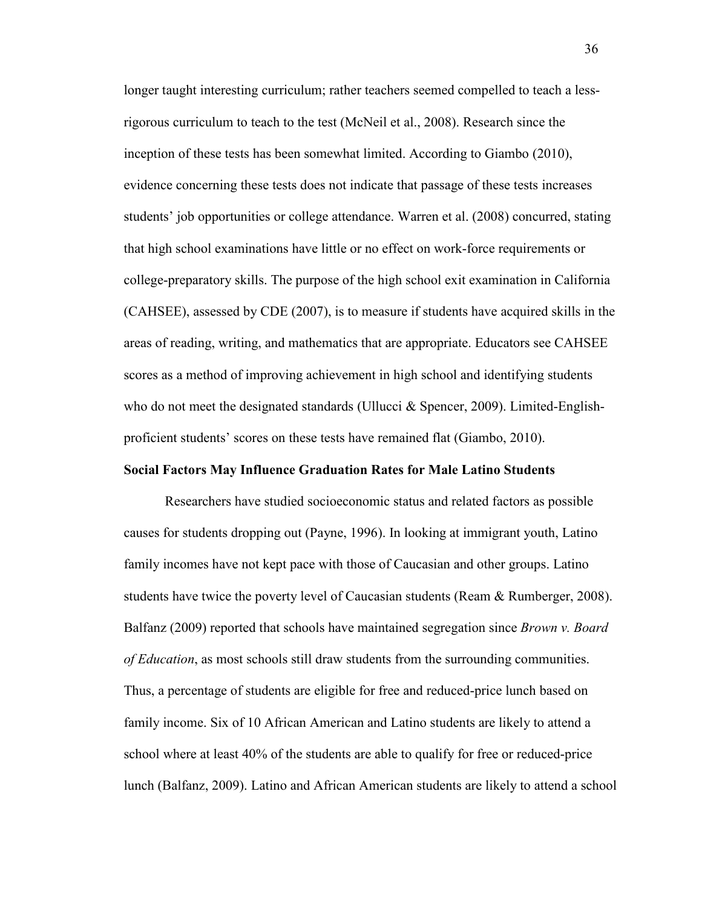longer taught interesting curriculum; rather teachers seemed compelled to teach a lessrigorous curriculum to teach to the test (McNeil et al., 2008). Research since the inception of these tests has been somewhat limited. According to Giambo (2010), evidence concerning these tests does not indicate that passage of these tests increases students' job opportunities or college attendance. Warren et al. (2008) concurred, stating that high school examinations have little or no effect on work-force requirements or college-preparatory skills. The purpose of the high school exit examination in California (CAHSEE), assessed by CDE (2007), is to measure if students have acquired skills in the areas of reading, writing, and mathematics that are appropriate. Educators see CAHSEE scores as a method of improving achievement in high school and identifying students who do not meet the designated standards (Ullucci & Spencer, 2009). Limited-Englishproficient students' scores on these tests have remained flat (Giambo, 2010).

## **Social Factors May Influence Graduation Rates for Male Latino Students**

Researchers have studied socioeconomic status and related factors as possible causes for students dropping out (Payne, 1996). In looking at immigrant youth, Latino family incomes have not kept pace with those of Caucasian and other groups. Latino students have twice the poverty level of Caucasian students (Ream & Rumberger, 2008). Balfanz (2009) reported that schools have maintained segregation since *Brown v. Board of Education*, as most schools still draw students from the surrounding communities. Thus, a percentage of students are eligible for free and reduced-price lunch based on family income. Six of 10 African American and Latino students are likely to attend a school where at least 40% of the students are able to qualify for free or reduced-price lunch (Balfanz, 2009). Latino and African American students are likely to attend a school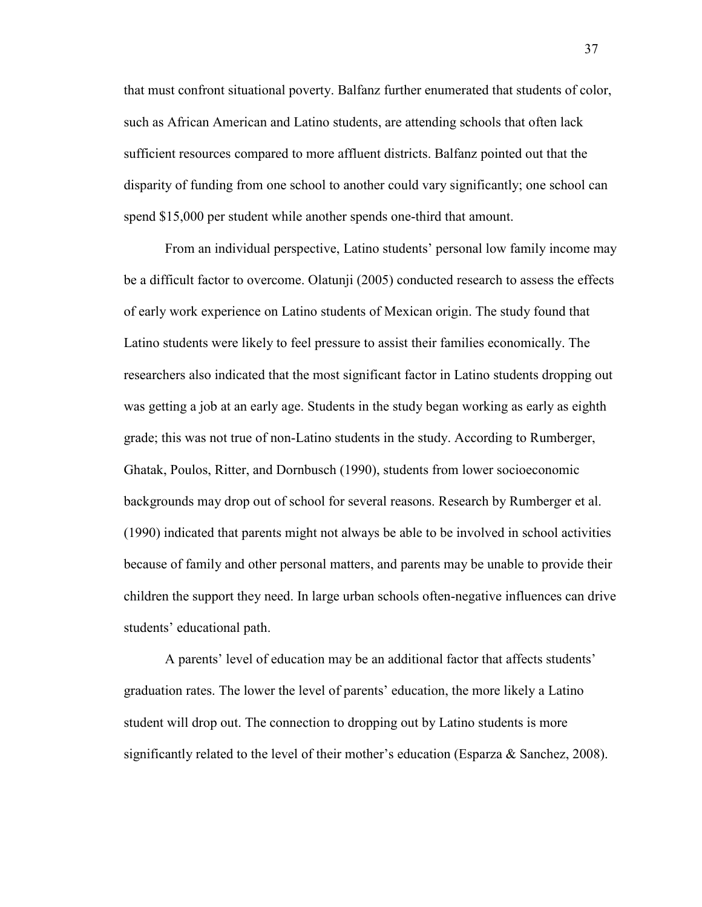that must confront situational poverty. Balfanz further enumerated that students of color, such as African American and Latino students, are attending schools that often lack sufficient resources compared to more affluent districts. Balfanz pointed out that the disparity of funding from one school to another could vary significantly; one school can spend \$15,000 per student while another spends one-third that amount.

From an individual perspective, Latino students' personal low family income may be a difficult factor to overcome. Olatunji (2005) conducted research to assess the effects of early work experience on Latino students of Mexican origin. The study found that Latino students were likely to feel pressure to assist their families economically. The researchers also indicated that the most significant factor in Latino students dropping out was getting a job at an early age. Students in the study began working as early as eighth grade; this was not true of non-Latino students in the study. According to Rumberger, Ghatak, Poulos, Ritter, and Dornbusch (1990), students from lower socioeconomic backgrounds may drop out of school for several reasons. Research by Rumberger et al. (1990) indicated that parents might not always be able to be involved in school activities because of family and other personal matters, and parents may be unable to provide their children the support they need. In large urban schools often-negative influences can drive students' educational path.

A parents' level of education may be an additional factor that affects students' graduation rates. The lower the level of parents' education, the more likely a Latino student will drop out. The connection to dropping out by Latino students is more significantly related to the level of their mother's education (Esparza & Sanchez, 2008).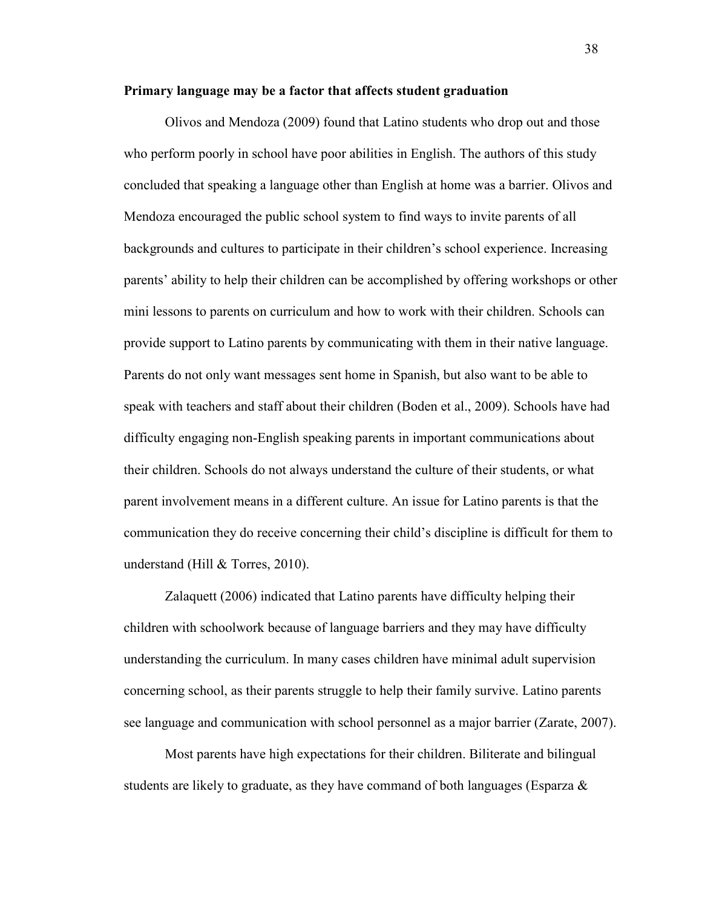## **Primary language may be a factor that affects student graduation**

Olivos and Mendoza (2009) found that Latino students who drop out and those who perform poorly in school have poor abilities in English. The authors of this study concluded that speaking a language other than English at home was a barrier. Olivos and Mendoza encouraged the public school system to find ways to invite parents of all backgrounds and cultures to participate in their children's school experience. Increasing parents' ability to help their children can be accomplished by offering workshops or other mini lessons to parents on curriculum and how to work with their children. Schools can provide support to Latino parents by communicating with them in their native language. Parents do not only want messages sent home in Spanish, but also want to be able to speak with teachers and staff about their children (Boden et al., 2009). Schools have had difficulty engaging non-English speaking parents in important communications about their children. Schools do not always understand the culture of their students, or what parent involvement means in a different culture. An issue for Latino parents is that the communication they do receive concerning their child's discipline is difficult for them to understand (Hill & Torres, 2010).

Zalaquett (2006) indicated that Latino parents have difficulty helping their children with schoolwork because of language barriers and they may have difficulty understanding the curriculum. In many cases children have minimal adult supervision concerning school, as their parents struggle to help their family survive. Latino parents see language and communication with school personnel as a major barrier (Zarate, 2007).

Most parents have high expectations for their children. Biliterate and bilingual students are likely to graduate, as they have command of both languages (Esparza  $\&$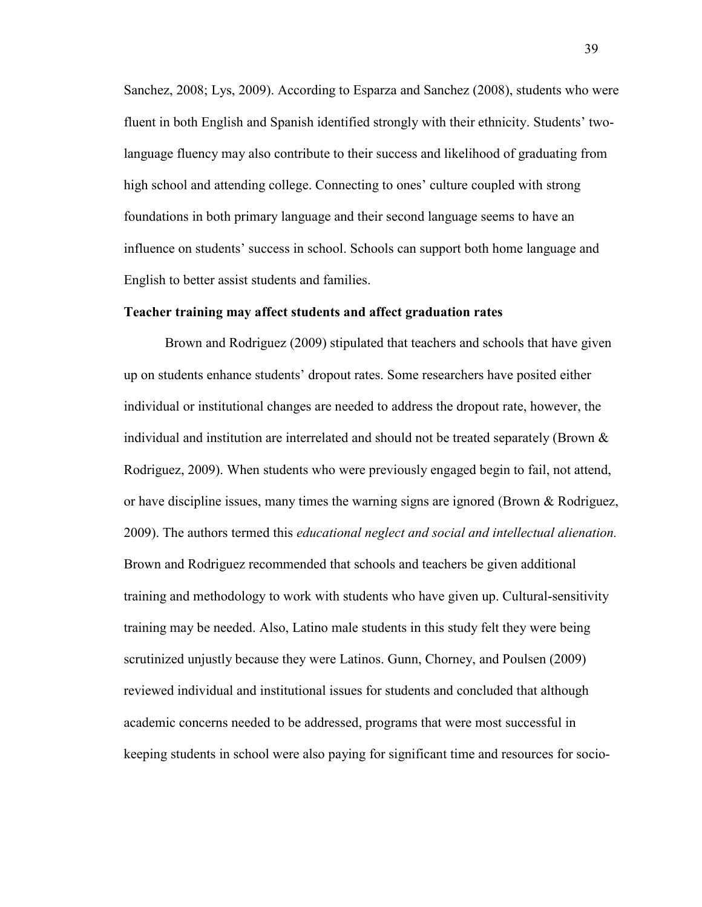Sanchez, 2008; Lys, 2009). According to Esparza and Sanchez (2008), students who were fluent in both English and Spanish identified strongly with their ethnicity. Students' twolanguage fluency may also contribute to their success and likelihood of graduating from high school and attending college. Connecting to ones' culture coupled with strong foundations in both primary language and their second language seems to have an influence on students' success in school. Schools can support both home language and English to better assist students and families.

#### **Teacher training may affect students and affect graduation rates**

Brown and Rodriguez (2009) stipulated that teachers and schools that have given up on students enhance students' dropout rates. Some researchers have posited either individual or institutional changes are needed to address the dropout rate, however, the individual and institution are interrelated and should not be treated separately (Brown  $\&$ Rodriguez, 2009). When students who were previously engaged begin to fail, not attend, or have discipline issues, many times the warning signs are ignored (Brown  $\&$  Rodriguez, 2009). The authors termed this *educational neglect and social and intellectual alienation.* Brown and Rodriguez recommended that schools and teachers be given additional training and methodology to work with students who have given up. Cultural-sensitivity training may be needed. Also, Latino male students in this study felt they were being scrutinized unjustly because they were Latinos. Gunn, Chorney, and Poulsen (2009) reviewed individual and institutional issues for students and concluded that although academic concerns needed to be addressed, programs that were most successful in keeping students in school were also paying for significant time and resources for socio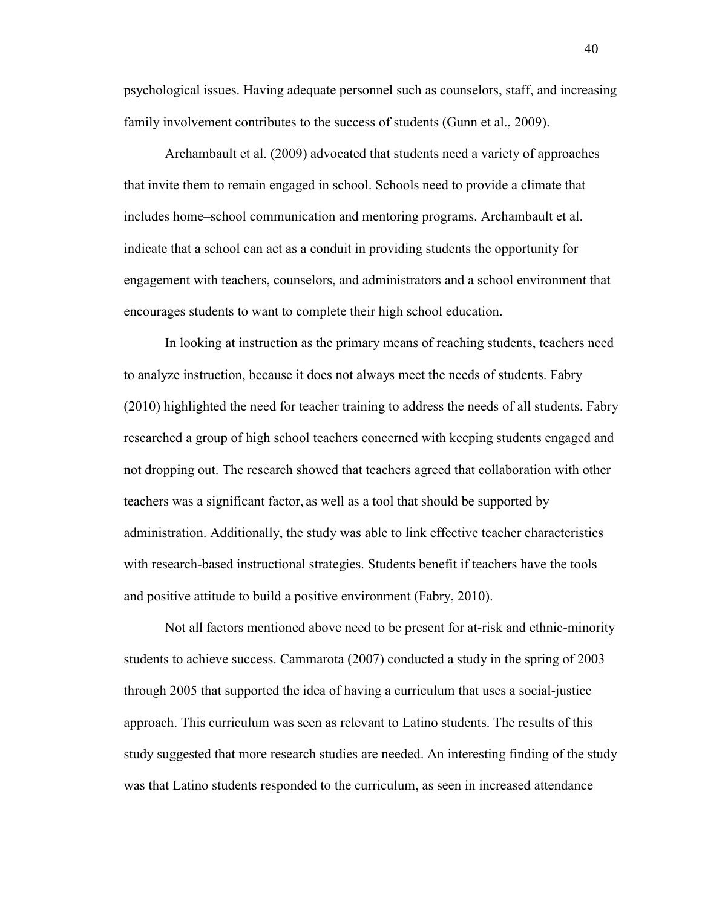psychological issues. Having adequate personnel such as counselors, staff, and increasing family involvement contributes to the success of students (Gunn et al., 2009).

Archambault et al. (2009) advocated that students need a variety of approaches that invite them to remain engaged in school. Schools need to provide a climate that includes home–school communication and mentoring programs. Archambault et al. indicate that a school can act as a conduit in providing students the opportunity for engagement with teachers, counselors, and administrators and a school environment that encourages students to want to complete their high school education.

In looking at instruction as the primary means of reaching students, teachers need to analyze instruction, because it does not always meet the needs of students. Fabry (2010) highlighted the need for teacher training to address the needs of all students. Fabry researched a group of high school teachers concerned with keeping students engaged and not dropping out. The research showed that teachers agreed that collaboration with other teachers was a significant factor, as well as a tool that should be supported by administration. Additionally, the study was able to link effective teacher characteristics with research-based instructional strategies. Students benefit if teachers have the tools and positive attitude to build a positive environment (Fabry, 2010).

Not all factors mentioned above need to be present for at-risk and ethnic-minority students to achieve success. Cammarota (2007) conducted a study in the spring of 2003 through 2005 that supported the idea of having a curriculum that uses a social-justice approach. This curriculum was seen as relevant to Latino students. The results of this study suggested that more research studies are needed. An interesting finding of the study was that Latino students responded to the curriculum, as seen in increased attendance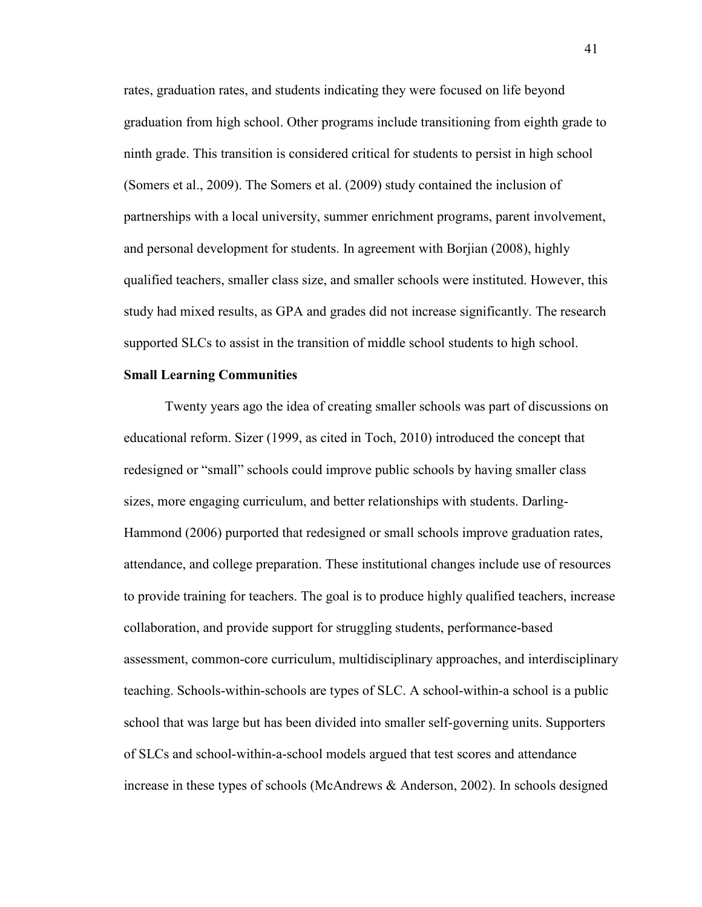rates, graduation rates, and students indicating they were focused on life beyond graduation from high school. Other programs include transitioning from eighth grade to ninth grade. This transition is considered critical for students to persist in high school (Somers et al., 2009). The Somers et al. (2009) study contained the inclusion of partnerships with a local university, summer enrichment programs, parent involvement, and personal development for students. In agreement with Borjian (2008), highly qualified teachers, smaller class size, and smaller schools were instituted. However, this study had mixed results, as GPA and grades did not increase significantly. The research supported SLCs to assist in the transition of middle school students to high school.

# **Small Learning Communities**

Twenty years ago the idea of creating smaller schools was part of discussions on educational reform. Sizer (1999, as cited in Toch, 2010) introduced the concept that redesigned or "small" schools could improve public schools by having smaller class sizes, more engaging curriculum, and better relationships with students. Darling-Hammond (2006) purported that redesigned or small schools improve graduation rates, attendance, and college preparation. These institutional changes include use of resources to provide training for teachers. The goal is to produce highly qualified teachers, increase collaboration, and provide support for struggling students, performance-based assessment, common-core curriculum, multidisciplinary approaches, and interdisciplinary teaching. Schools-within-schools are types of SLC. A school-within-a school is a public school that was large but has been divided into smaller self-governing units. Supporters of SLCs and school-within-a-school models argued that test scores and attendance increase in these types of schools (McAndrews & Anderson, 2002). In schools designed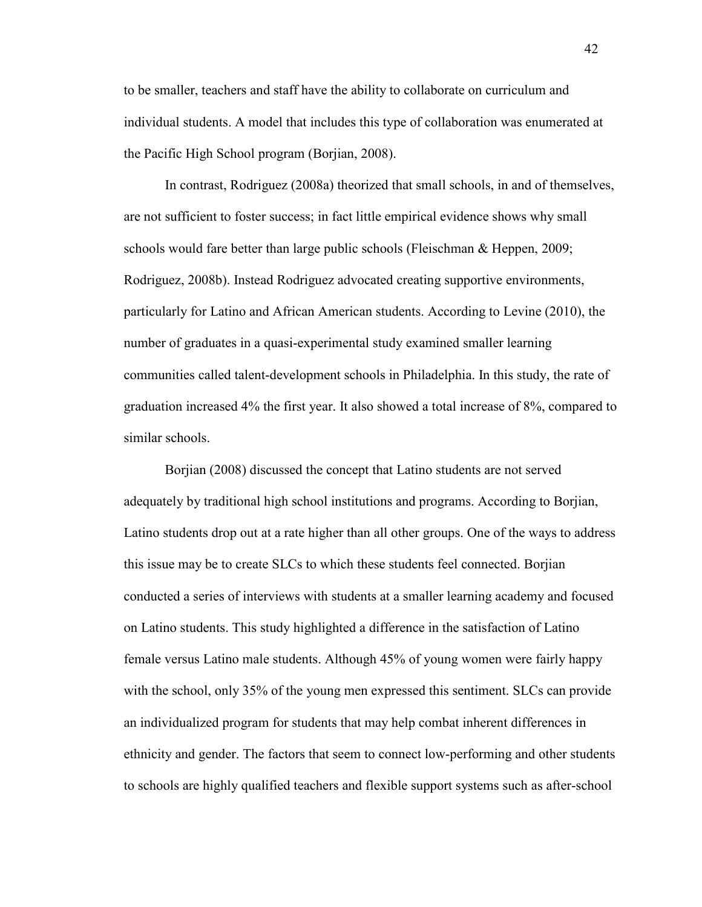to be smaller, teachers and staff have the ability to collaborate on curriculum and individual students. A model that includes this type of collaboration was enumerated at the Pacific High School program (Borjian, 2008).

In contrast, Rodriguez (2008a) theorized that small schools, in and of themselves, are not sufficient to foster success; in fact little empirical evidence shows why small schools would fare better than large public schools (Fleischman & Heppen, 2009; Rodriguez, 2008b). Instead Rodriguez advocated creating supportive environments, particularly for Latino and African American students. According to Levine (2010), the number of graduates in a quasi-experimental study examined smaller learning communities called talent-development schools in Philadelphia. In this study, the rate of graduation increased 4% the first year. It also showed a total increase of 8%, compared to similar schools.

Borjian (2008) discussed the concept that Latino students are not served adequately by traditional high school institutions and programs. According to Borjian, Latino students drop out at a rate higher than all other groups. One of the ways to address this issue may be to create SLCs to which these students feel connected. Borjian conducted a series of interviews with students at a smaller learning academy and focused on Latino students. This study highlighted a difference in the satisfaction of Latino female versus Latino male students. Although 45% of young women were fairly happy with the school, only 35% of the young men expressed this sentiment. SLCs can provide an individualized program for students that may help combat inherent differences in ethnicity and gender. The factors that seem to connect low-performing and other students to schools are highly qualified teachers and flexible support systems such as after-school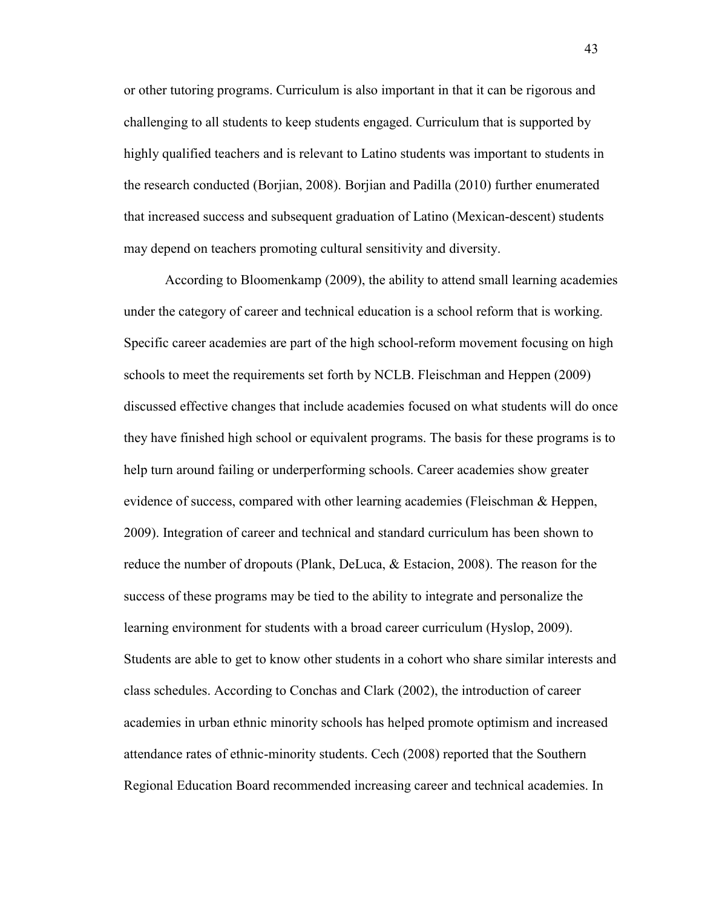or other tutoring programs. Curriculum is also important in that it can be rigorous and challenging to all students to keep students engaged. Curriculum that is supported by highly qualified teachers and is relevant to Latino students was important to students in the research conducted (Borjian, 2008). Borjian and Padilla (2010) further enumerated that increased success and subsequent graduation of Latino (Mexican-descent) students may depend on teachers promoting cultural sensitivity and diversity.

According to Bloomenkamp (2009), the ability to attend small learning academies under the category of career and technical education is a school reform that is working. Specific career academies are part of the high school-reform movement focusing on high schools to meet the requirements set forth by NCLB. Fleischman and Heppen (2009) discussed effective changes that include academies focused on what students will do once they have finished high school or equivalent programs. The basis for these programs is to help turn around failing or underperforming schools. Career academies show greater evidence of success, compared with other learning academies (Fleischman & Heppen, 2009). Integration of career and technical and standard curriculum has been shown to reduce the number of dropouts (Plank, DeLuca, & Estacion, 2008). The reason for the success of these programs may be tied to the ability to integrate and personalize the learning environment for students with a broad career curriculum (Hyslop, 2009). Students are able to get to know other students in a cohort who share similar interests and class schedules. According to Conchas and Clark (2002), the introduction of career academies in urban ethnic minority schools has helped promote optimism and increased attendance rates of ethnic-minority students. Cech (2008) reported that the Southern Regional Education Board recommended increasing career and technical academies. In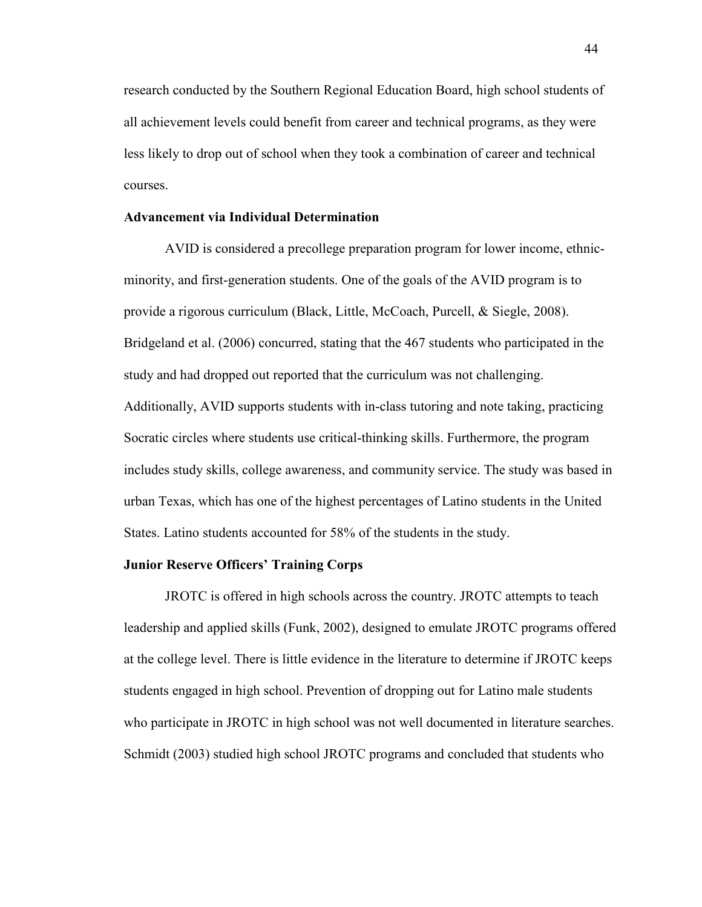research conducted by the Southern Regional Education Board, high school students of all achievement levels could benefit from career and technical programs, as they were less likely to drop out of school when they took a combination of career and technical courses.

# **Advancement via Individual Determination**

AVID is considered a precollege preparation program for lower income, ethnicminority, and first-generation students. One of the goals of the AVID program is to provide a rigorous curriculum (Black, Little, McCoach, Purcell, & Siegle, 2008). Bridgeland et al. (2006) concurred, stating that the 467 students who participated in the study and had dropped out reported that the curriculum was not challenging. Additionally, AVID supports students with in-class tutoring and note taking, practicing Socratic circles where students use critical-thinking skills. Furthermore, the program includes study skills, college awareness, and community service. The study was based in urban Texas, which has one of the highest percentages of Latino students in the United States. Latino students accounted for 58% of the students in the study.

# **Junior Reserve Officers' Training Corps**

JROTC is offered in high schools across the country. JROTC attempts to teach leadership and applied skills (Funk, 2002), designed to emulate JROTC programs offered at the college level. There is little evidence in the literature to determine if JROTC keeps students engaged in high school. Prevention of dropping out for Latino male students who participate in JROTC in high school was not well documented in literature searches. Schmidt (2003) studied high school JROTC programs and concluded that students who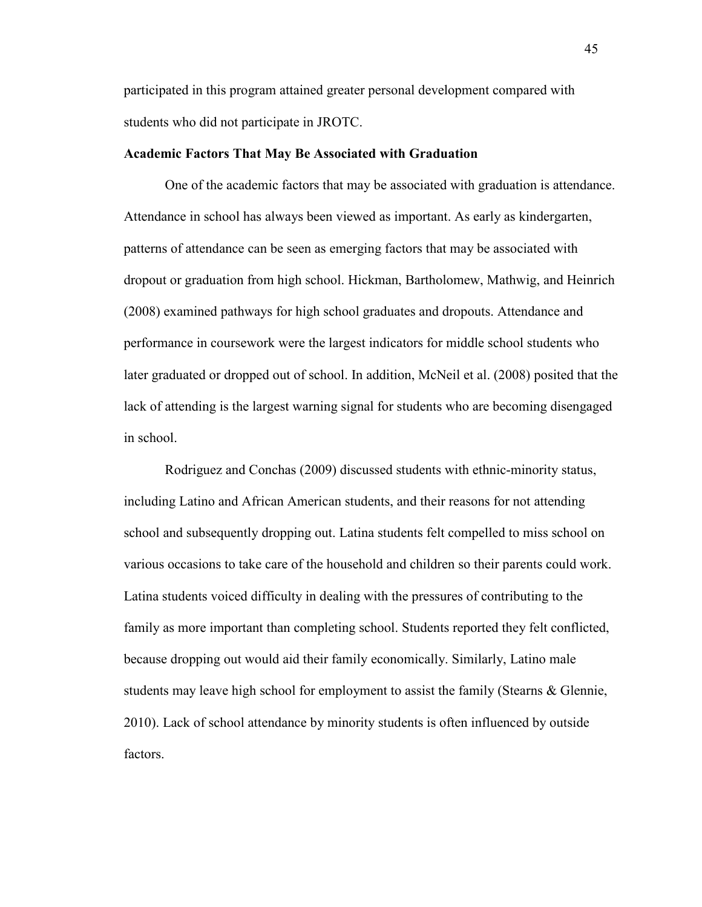participated in this program attained greater personal development compared with students who did not participate in JROTC.

## **Academic Factors That May Be Associated with Graduation**

One of the academic factors that may be associated with graduation is attendance. Attendance in school has always been viewed as important. As early as kindergarten, patterns of attendance can be seen as emerging factors that may be associated with dropout or graduation from high school. Hickman, Bartholomew, Mathwig, and Heinrich (2008) examined pathways for high school graduates and dropouts. Attendance and performance in coursework were the largest indicators for middle school students who later graduated or dropped out of school. In addition, McNeil et al. (2008) posited that the lack of attending is the largest warning signal for students who are becoming disengaged in school.

Rodriguez and Conchas (2009) discussed students with ethnic-minority status, including Latino and African American students, and their reasons for not attending school and subsequently dropping out. Latina students felt compelled to miss school on various occasions to take care of the household and children so their parents could work. Latina students voiced difficulty in dealing with the pressures of contributing to the family as more important than completing school. Students reported they felt conflicted, because dropping out would aid their family economically. Similarly, Latino male students may leave high school for employment to assist the family (Stearns & Glennie, 2010). Lack of school attendance by minority students is often influenced by outside factors.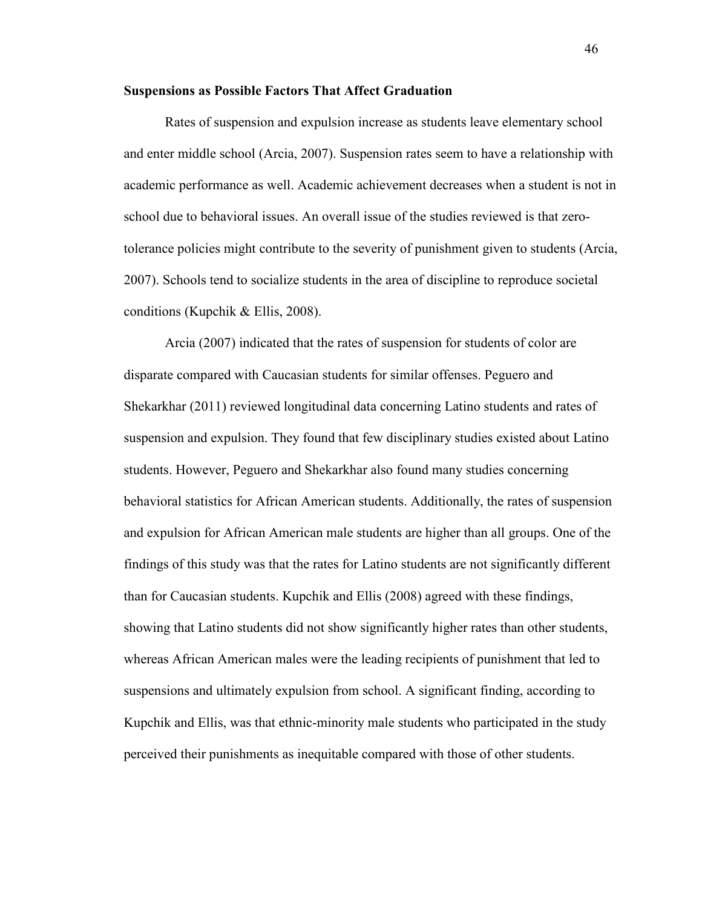## **Suspensions as Possible Factors That Affect Graduation**

Rates of suspension and expulsion increase as students leave elementary school and enter middle school (Arcia, 2007). Suspension rates seem to have a relationship with academic performance as well. Academic achievement decreases when a student is not in school due to behavioral issues. An overall issue of the studies reviewed is that zerotolerance policies might contribute to the severity of punishment given to students (Arcia, 2007). Schools tend to socialize students in the area of discipline to reproduce societal conditions (Kupchik & Ellis, 2008).

Arcia (2007) indicated that the rates of suspension for students of color are disparate compared with Caucasian students for similar offenses. Peguero and Shekarkhar (2011) reviewed longitudinal data concerning Latino students and rates of suspension and expulsion. They found that few disciplinary studies existed about Latino students. However, Peguero and Shekarkhar also found many studies concerning behavioral statistics for African American students. Additionally, the rates of suspension and expulsion for African American male students are higher than all groups. One of the findings of this study was that the rates for Latino students are not significantly different than for Caucasian students. Kupchik and Ellis (2008) agreed with these findings, showing that Latino students did not show significantly higher rates than other students, whereas African American males were the leading recipients of punishment that led to suspensions and ultimately expulsion from school. A significant finding, according to Kupchik and Ellis, was that ethnic-minority male students who participated in the study perceived their punishments as inequitable compared with those of other students.

46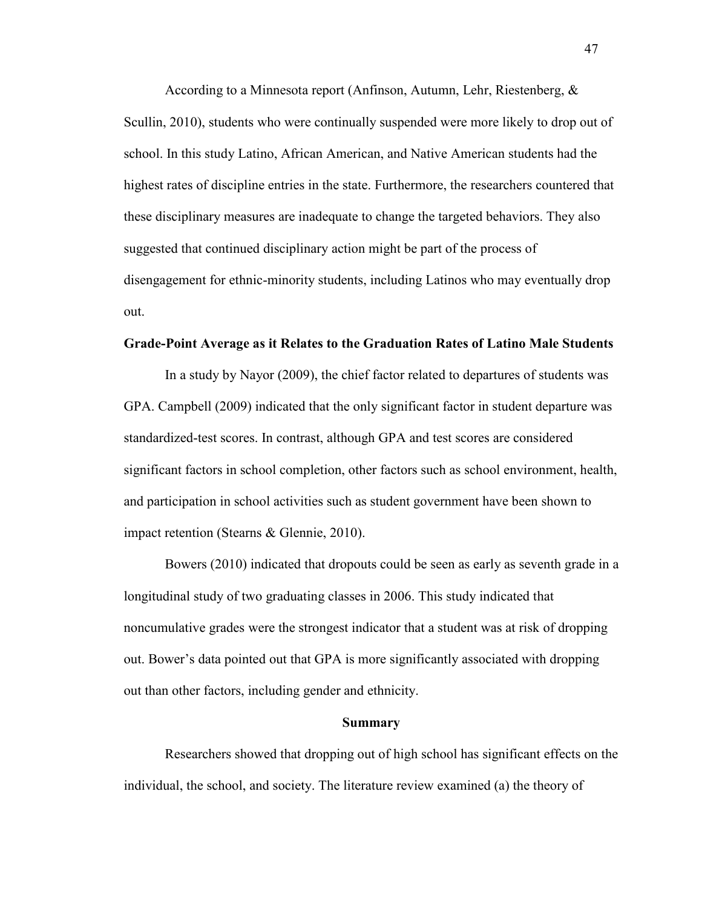According to a Minnesota report (Anfinson, Autumn, Lehr, Riestenberg, & Scullin, 2010), students who were continually suspended were more likely to drop out of school. In this study Latino, African American, and Native American students had the highest rates of discipline entries in the state. Furthermore, the researchers countered that these disciplinary measures are inadequate to change the targeted behaviors. They also suggested that continued disciplinary action might be part of the process of disengagement for ethnic-minority students, including Latinos who may eventually drop out.

#### **Grade-Point Average as it Relates to the Graduation Rates of Latino Male Students**

In a study by Nayor (2009), the chief factor related to departures of students was GPA. Campbell (2009) indicated that the only significant factor in student departure was standardized-test scores. In contrast, although GPA and test scores are considered significant factors in school completion, other factors such as school environment, health, and participation in school activities such as student government have been shown to impact retention (Stearns & Glennie, 2010).

Bowers (2010) indicated that dropouts could be seen as early as seventh grade in a longitudinal study of two graduating classes in 2006. This study indicated that noncumulative grades were the strongest indicator that a student was at risk of dropping out. Bower's data pointed out that GPA is more significantly associated with dropping out than other factors, including gender and ethnicity.

#### **Summary**

Researchers showed that dropping out of high school has significant effects on the individual, the school, and society. The literature review examined (a) the theory of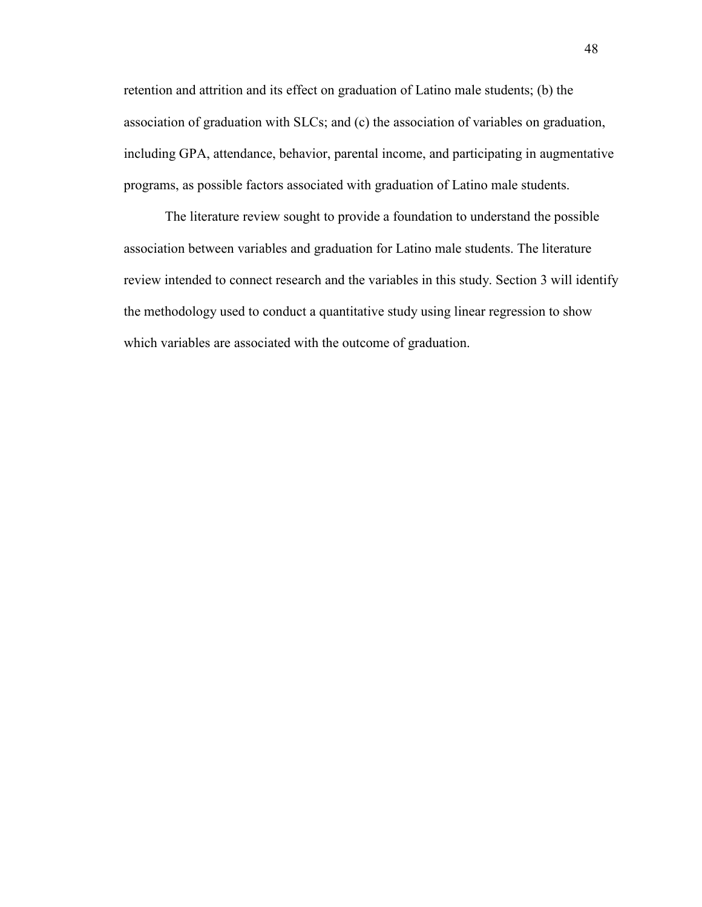retention and attrition and its effect on graduation of Latino male students; (b) the association of graduation with SLCs; and (c) the association of variables on graduation, including GPA, attendance, behavior, parental income, and participating in augmentative programs, as possible factors associated with graduation of Latino male students.

The literature review sought to provide a foundation to understand the possible association between variables and graduation for Latino male students. The literature review intended to connect research and the variables in this study. Section 3 will identify the methodology used to conduct a quantitative study using linear regression to show which variables are associated with the outcome of graduation.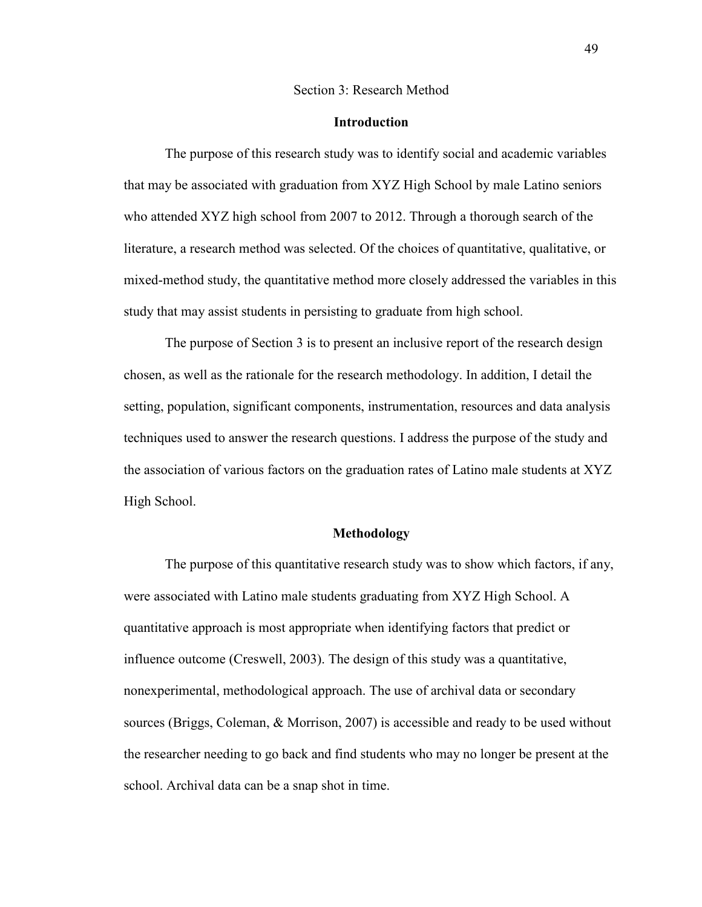### Section 3: Research Method

## **Introduction**

The purpose of this research study was to identify social and academic variables that may be associated with graduation from XYZ High School by male Latino seniors who attended XYZ high school from 2007 to 2012. Through a thorough search of the literature, a research method was selected. Of the choices of quantitative, qualitative, or mixed-method study, the quantitative method more closely addressed the variables in this study that may assist students in persisting to graduate from high school.

The purpose of Section 3 is to present an inclusive report of the research design chosen, as well as the rationale for the research methodology. In addition, I detail the setting, population, significant components, instrumentation, resources and data analysis techniques used to answer the research questions. I address the purpose of the study and the association of various factors on the graduation rates of Latino male students at XYZ High School.

## **Methodology**

The purpose of this quantitative research study was to show which factors, if any, were associated with Latino male students graduating from XYZ High School. A quantitative approach is most appropriate when identifying factors that predict or influence outcome (Creswell, 2003). The design of this study was a quantitative, nonexperimental, methodological approach. The use of archival data or secondary sources (Briggs, Coleman, & Morrison, 2007) is accessible and ready to be used without the researcher needing to go back and find students who may no longer be present at the school. Archival data can be a snap shot in time.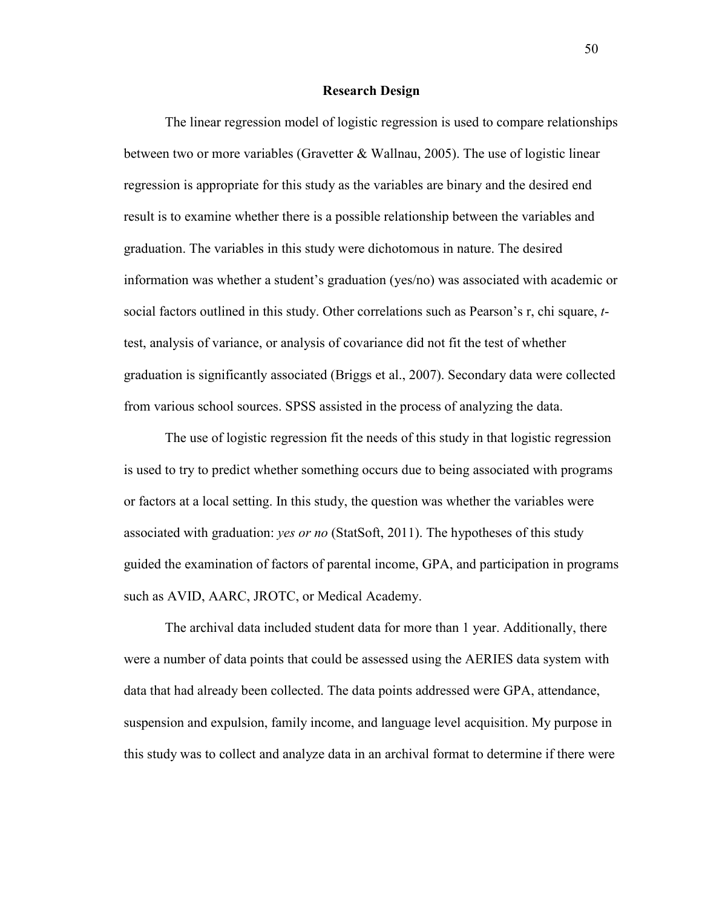#### **Research Design**

The linear regression model of logistic regression is used to compare relationships between two or more variables (Gravetter & Wallnau, 2005). The use of logistic linear regression is appropriate for this study as the variables are binary and the desired end result is to examine whether there is a possible relationship between the variables and graduation. The variables in this study were dichotomous in nature. The desired information was whether a student's graduation (yes/no) was associated with academic or social factors outlined in this study. Other correlations such as Pearson's r, chi square, *t*test, analysis of variance, or analysis of covariance did not fit the test of whether graduation is significantly associated (Briggs et al., 2007). Secondary data were collected from various school sources. SPSS assisted in the process of analyzing the data.

The use of logistic regression fit the needs of this study in that logistic regression is used to try to predict whether something occurs due to being associated with programs or factors at a local setting. In this study, the question was whether the variables were associated with graduation: *yes or no* (StatSoft, 2011). The hypotheses of this study guided the examination of factors of parental income, GPA, and participation in programs such as AVID, AARC, JROTC, or Medical Academy.

The archival data included student data for more than 1 year. Additionally, there were a number of data points that could be assessed using the AERIES data system with data that had already been collected. The data points addressed were GPA, attendance, suspension and expulsion, family income, and language level acquisition. My purpose in this study was to collect and analyze data in an archival format to determine if there were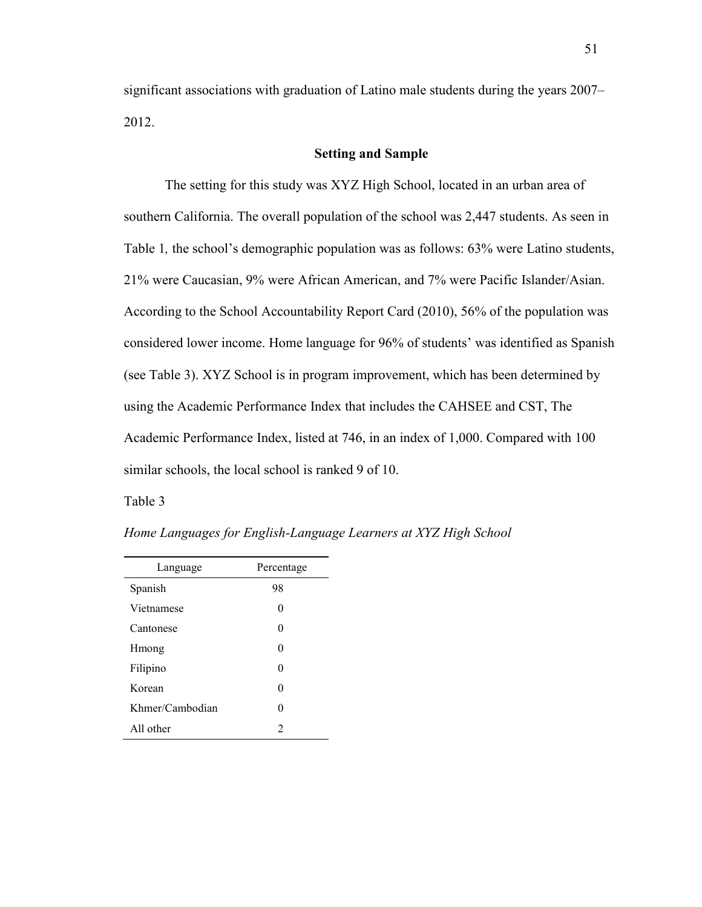significant associations with graduation of Latino male students during the years 2007– 2012.

# **Setting and Sample**

The setting for this study was XYZ High School, located in an urban area of southern California. The overall population of the school was 2,447 students. As seen in Table 1*,* the school's demographic population was as follows: 63% were Latino students, 21% were Caucasian, 9% were African American, and 7% were Pacific Islander/Asian. According to the School Accountability Report Card (2010), 56% of the population was considered lower income. Home language for 96% of students' was identified as Spanish (see Table 3). XYZ School is in program improvement, which has been determined by using the Academic Performance Index that includes the CAHSEE and CST, The Academic Performance Index, listed at 746, in an index of 1,000. Compared with 100 similar schools, the local school is ranked 9 of 10.

Table 3

| Home Languages for English-Language Learners at XYZ High School |  |
|-----------------------------------------------------------------|--|
|                                                                 |  |

| Language        | Percentage     |  |
|-----------------|----------------|--|
| Spanish         | 98             |  |
| Vietnamese      | 0              |  |
| Cantonese       | 0              |  |
| Hmong           | 0              |  |
| Filipino        | 0              |  |
| Korean          | 0              |  |
| Khmer/Cambodian | 0              |  |
| All other       | $\mathfrak{D}$ |  |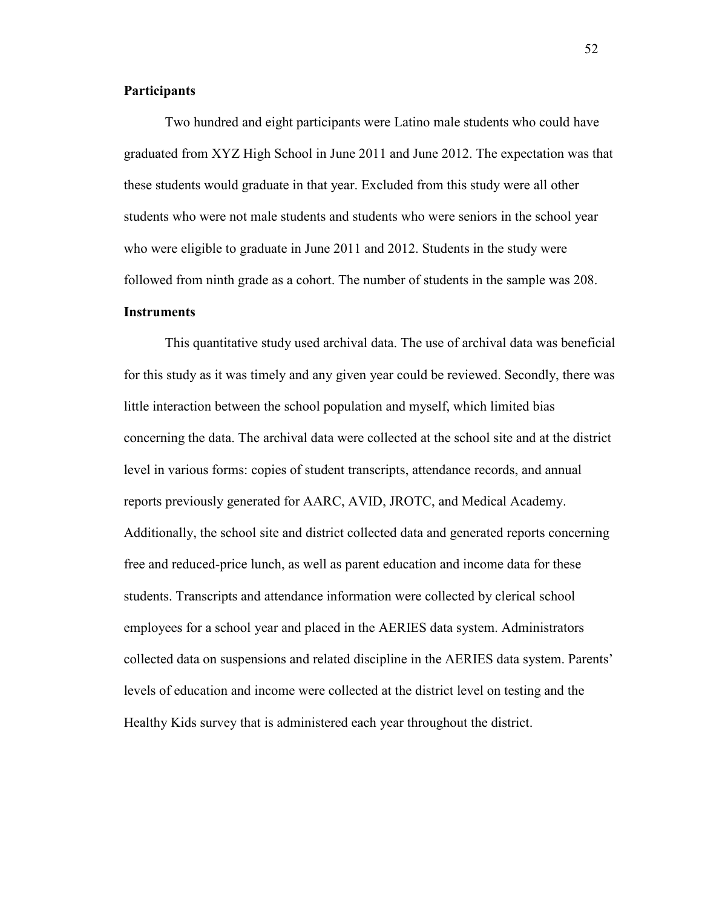# **Participants**

Two hundred and eight participants were Latino male students who could have graduated from XYZ High School in June 2011 and June 2012. The expectation was that these students would graduate in that year. Excluded from this study were all other students who were not male students and students who were seniors in the school year who were eligible to graduate in June 2011 and 2012. Students in the study were followed from ninth grade as a cohort. The number of students in the sample was 208. **Instruments** 

This quantitative study used archival data. The use of archival data was beneficial for this study as it was timely and any given year could be reviewed. Secondly, there was little interaction between the school population and myself, which limited bias concerning the data. The archival data were collected at the school site and at the district level in various forms: copies of student transcripts, attendance records, and annual reports previously generated for AARC, AVID, JROTC, and Medical Academy. Additionally, the school site and district collected data and generated reports concerning free and reduced-price lunch, as well as parent education and income data for these students. Transcripts and attendance information were collected by clerical school employees for a school year and placed in the AERIES data system. Administrators collected data on suspensions and related discipline in the AERIES data system. Parents' levels of education and income were collected at the district level on testing and the Healthy Kids survey that is administered each year throughout the district.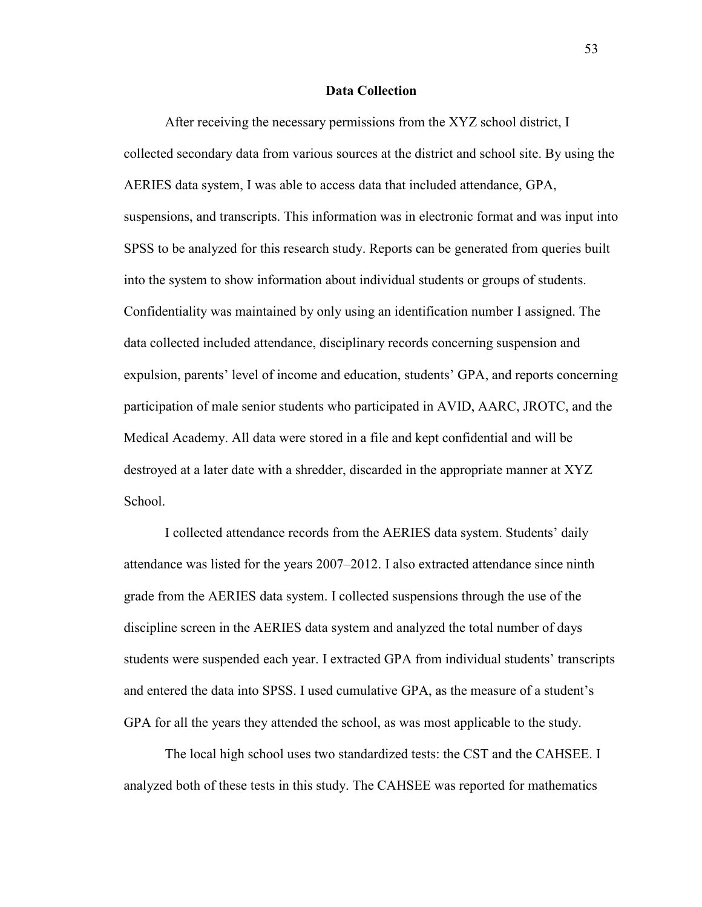## **Data Collection**

After receiving the necessary permissions from the XYZ school district, I collected secondary data from various sources at the district and school site. By using the AERIES data system, I was able to access data that included attendance, GPA, suspensions, and transcripts. This information was in electronic format and was input into SPSS to be analyzed for this research study. Reports can be generated from queries built into the system to show information about individual students or groups of students. Confidentiality was maintained by only using an identification number I assigned. The data collected included attendance, disciplinary records concerning suspension and expulsion, parents' level of income and education, students' GPA, and reports concerning participation of male senior students who participated in AVID, AARC, JROTC, and the Medical Academy. All data were stored in a file and kept confidential and will be destroyed at a later date with a shredder, discarded in the appropriate manner at XYZ School.

I collected attendance records from the AERIES data system. Students' daily attendance was listed for the years 2007–2012. I also extracted attendance since ninth grade from the AERIES data system. I collected suspensions through the use of the discipline screen in the AERIES data system and analyzed the total number of days students were suspended each year. I extracted GPA from individual students' transcripts and entered the data into SPSS. I used cumulative GPA, as the measure of a student's GPA for all the years they attended the school, as was most applicable to the study.

The local high school uses two standardized tests: the CST and the CAHSEE. I analyzed both of these tests in this study. The CAHSEE was reported for mathematics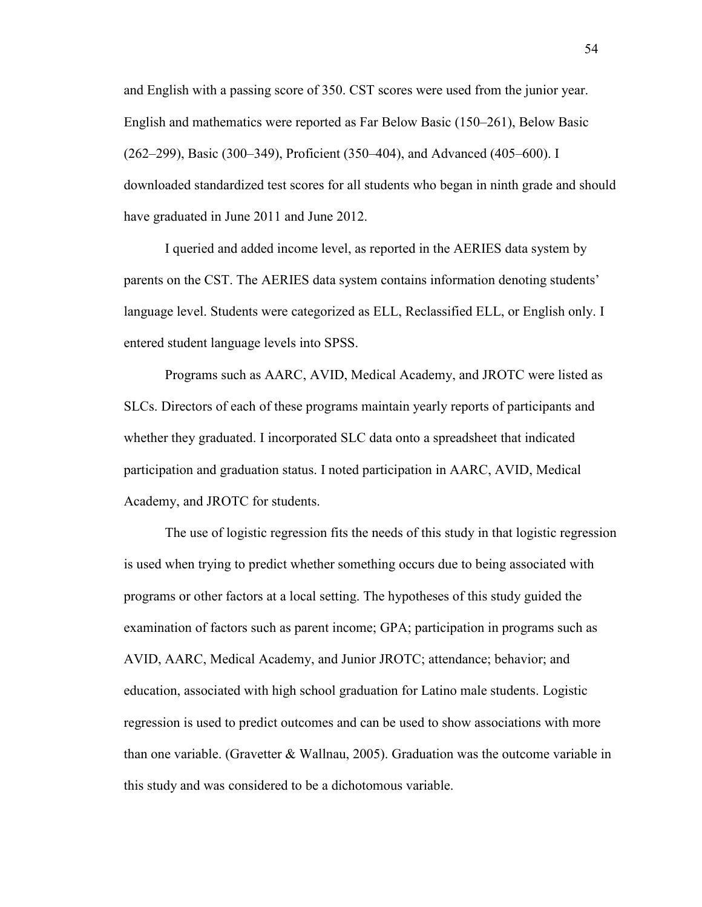and English with a passing score of 350. CST scores were used from the junior year. English and mathematics were reported as Far Below Basic (150–261), Below Basic (262–299), Basic (300–349), Proficient (350–404), and Advanced (405–600). I downloaded standardized test scores for all students who began in ninth grade and should have graduated in June 2011 and June 2012.

I queried and added income level, as reported in the AERIES data system by parents on the CST. The AERIES data system contains information denoting students' language level. Students were categorized as ELL, Reclassified ELL, or English only. I entered student language levels into SPSS.

Programs such as AARC, AVID, Medical Academy, and JROTC were listed as SLCs. Directors of each of these programs maintain yearly reports of participants and whether they graduated. I incorporated SLC data onto a spreadsheet that indicated participation and graduation status. I noted participation in AARC, AVID, Medical Academy, and JROTC for students.

The use of logistic regression fits the needs of this study in that logistic regression is used when trying to predict whether something occurs due to being associated with programs or other factors at a local setting. The hypotheses of this study guided the examination of factors such as parent income; GPA; participation in programs such as AVID, AARC, Medical Academy, and Junior JROTC; attendance; behavior; and education, associated with high school graduation for Latino male students. Logistic regression is used to predict outcomes and can be used to show associations with more than one variable. (Gravetter & Wallnau, 2005). Graduation was the outcome variable in this study and was considered to be a dichotomous variable.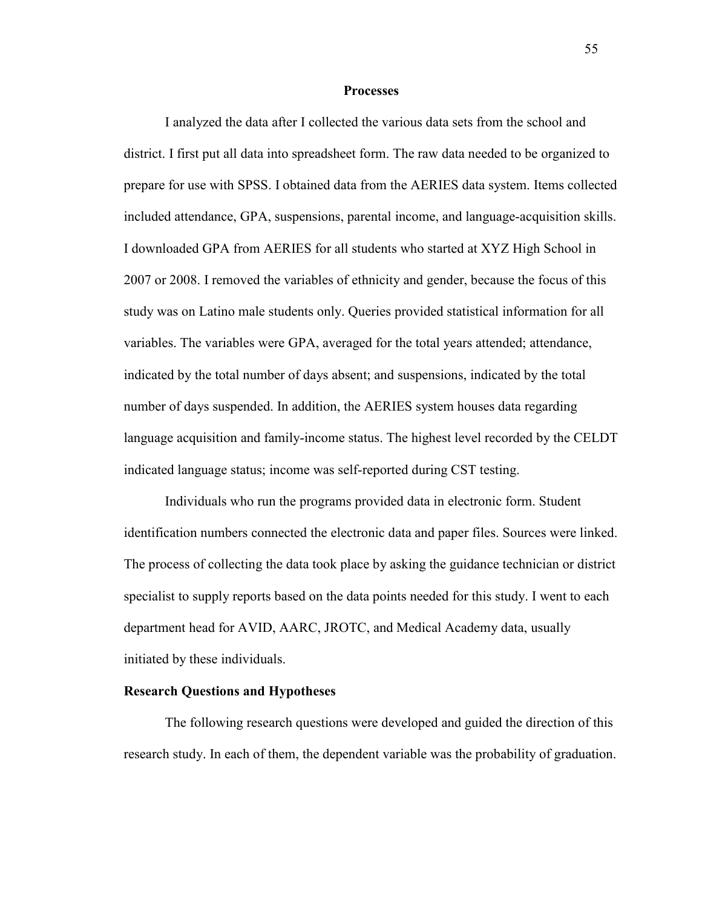#### **Processes**

I analyzed the data after I collected the various data sets from the school and district. I first put all data into spreadsheet form. The raw data needed to be organized to prepare for use with SPSS. I obtained data from the AERIES data system. Items collected included attendance, GPA, suspensions, parental income, and language-acquisition skills. I downloaded GPA from AERIES for all students who started at XYZ High School in 2007 or 2008. I removed the variables of ethnicity and gender, because the focus of this study was on Latino male students only. Queries provided statistical information for all variables. The variables were GPA, averaged for the total years attended; attendance, indicated by the total number of days absent; and suspensions, indicated by the total number of days suspended. In addition, the AERIES system houses data regarding language acquisition and family-income status. The highest level recorded by the CELDT indicated language status; income was self-reported during CST testing.

Individuals who run the programs provided data in electronic form. Student identification numbers connected the electronic data and paper files. Sources were linked. The process of collecting the data took place by asking the guidance technician or district specialist to supply reports based on the data points needed for this study. I went to each department head for AVID, AARC, JROTC, and Medical Academy data, usually initiated by these individuals.

# **Research Questions and Hypotheses**

The following research questions were developed and guided the direction of this research study. In each of them, the dependent variable was the probability of graduation.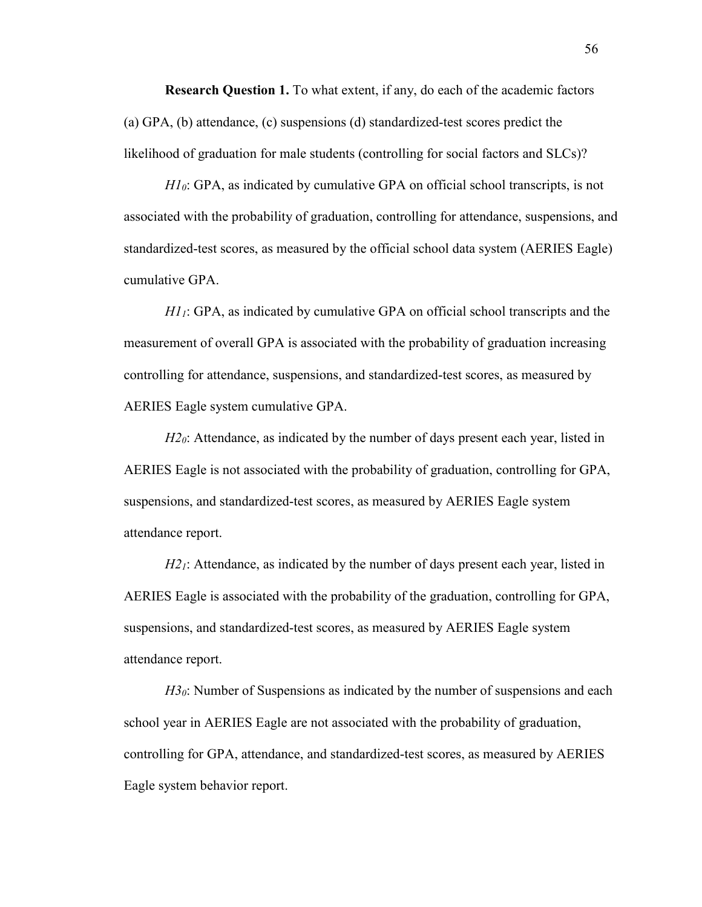**Research Question 1.** To what extent, if any, do each of the academic factors (a) GPA, (b) attendance, (c) suspensions (d) standardized-test scores predict the likelihood of graduation for male students (controlling for social factors and SLCs)?

*H10*: GPA, as indicated by cumulative GPA on official school transcripts, is not associated with the probability of graduation, controlling for attendance, suspensions, and standardized-test scores, as measured by the official school data system (AERIES Eagle) cumulative GPA.

*H11*: GPA, as indicated by cumulative GPA on official school transcripts and the measurement of overall GPA is associated with the probability of graduation increasing controlling for attendance, suspensions, and standardized-test scores, as measured by AERIES Eagle system cumulative GPA.

*H2*<sup> $0$ </sup>: Attendance, as indicated by the number of days present each year, listed in AERIES Eagle is not associated with the probability of graduation, controlling for GPA, suspensions, and standardized-test scores, as measured by AERIES Eagle system attendance report.

*H2*<sup>1</sup>: Attendance, as indicated by the number of days present each year, listed in AERIES Eagle is associated with the probability of the graduation, controlling for GPA, suspensions, and standardized-test scores, as measured by AERIES Eagle system attendance report.

*H3*<sup> $0$ </sup>: Number of Suspensions as indicated by the number of suspensions and each school year in AERIES Eagle are not associated with the probability of graduation, controlling for GPA, attendance, and standardized-test scores, as measured by AERIES Eagle system behavior report.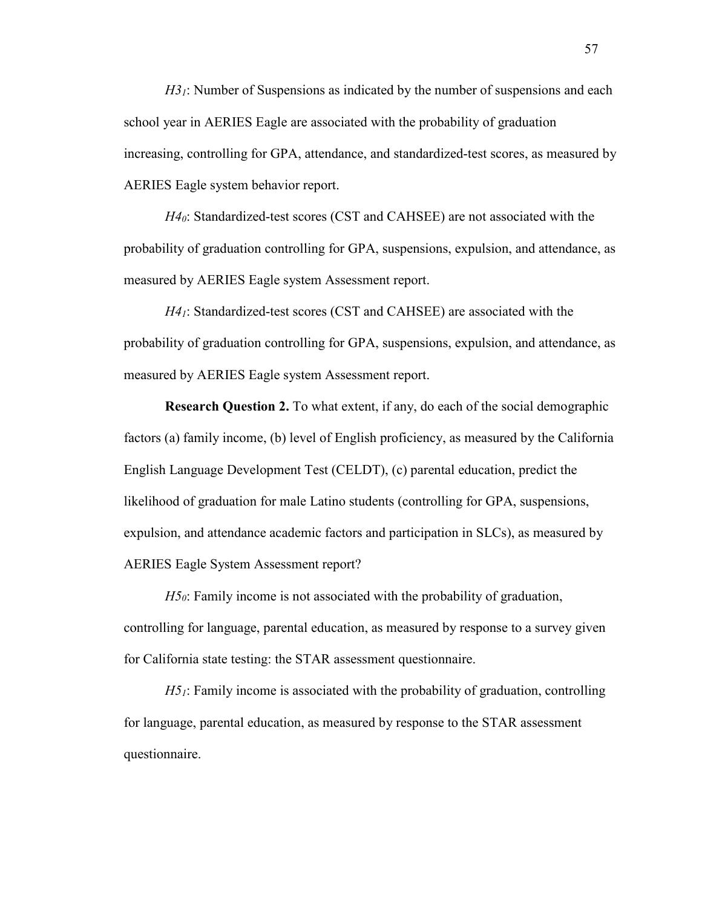*H3*<sub>*i*</sub>: Number of Suspensions as indicated by the number of suspensions and each school year in AERIES Eagle are associated with the probability of graduation increasing, controlling for GPA, attendance, and standardized-test scores, as measured by AERIES Eagle system behavior report.

*H40*: Standardized-test scores (CST and CAHSEE) are not associated with the probability of graduation controlling for GPA, suspensions, expulsion, and attendance, as measured by AERIES Eagle system Assessment report.

*H41*: Standardized-test scores (CST and CAHSEE) are associated with the probability of graduation controlling for GPA, suspensions, expulsion, and attendance, as measured by AERIES Eagle system Assessment report.

**Research Question 2.** To what extent, if any, do each of the social demographic factors (a) family income, (b) level of English proficiency, as measured by the California English Language Development Test (CELDT), (c) parental education, predict the likelihood of graduation for male Latino students (controlling for GPA, suspensions, expulsion, and attendance academic factors and participation in SLCs), as measured by AERIES Eagle System Assessment report?

*H5*<sup> $0$ </sup>: Family income is not associated with the probability of graduation, controlling for language, parental education, as measured by response to a survey given for California state testing: the STAR assessment questionnaire.

*H51*: Family income is associated with the probability of graduation, controlling for language, parental education, as measured by response to the STAR assessment questionnaire.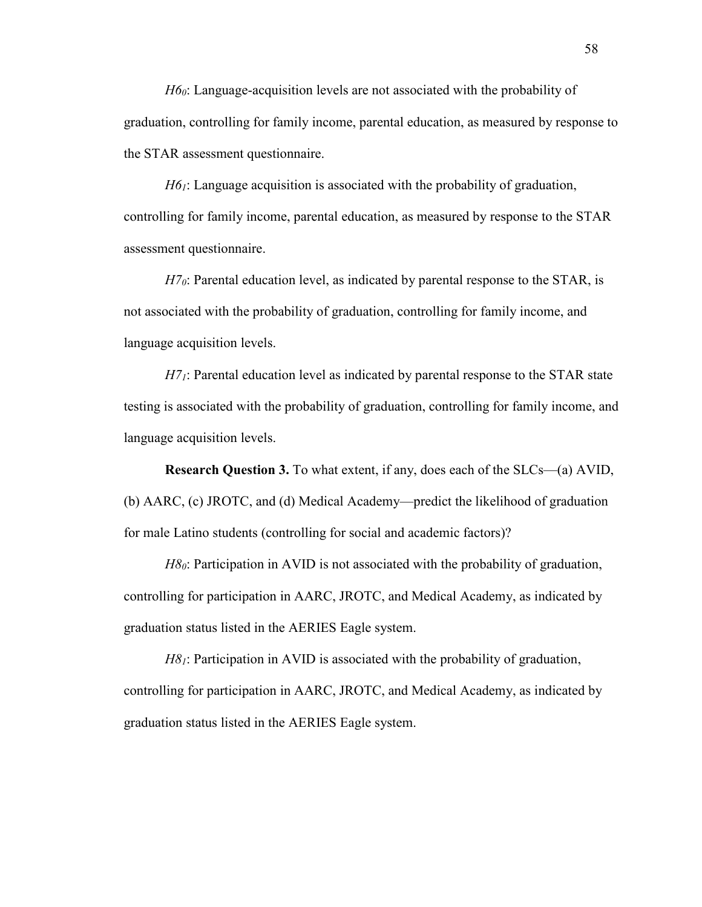*H60*: Language-acquisition levels are not associated with the probability of graduation, controlling for family income, parental education, as measured by response to the STAR assessment questionnaire.

*H61*: Language acquisition is associated with the probability of graduation, controlling for family income, parental education, as measured by response to the STAR assessment questionnaire.

*H7*<sup> $0$ </sup>: Parental education level, as indicated by parental response to the STAR, is not associated with the probability of graduation, controlling for family income, and language acquisition levels.

*H7*<sub>*i*</sub>: Parental education level as indicated by parental response to the STAR state testing is associated with the probability of graduation, controlling for family income, and language acquisition levels.

**Research Question 3.** To what extent, if any, does each of the SLCs—(a) AVID, (b) AARC, (c) JROTC, and (d) Medical Academy—predict the likelihood of graduation for male Latino students (controlling for social and academic factors)?

*H8*<sup> $0$ </sup>: Participation in AVID is not associated with the probability of graduation, controlling for participation in AARC, JROTC, and Medical Academy, as indicated by graduation status listed in the AERIES Eagle system.

*H8*<sup>1</sup>: Participation in AVID is associated with the probability of graduation, controlling for participation in AARC, JROTC, and Medical Academy, as indicated by graduation status listed in the AERIES Eagle system.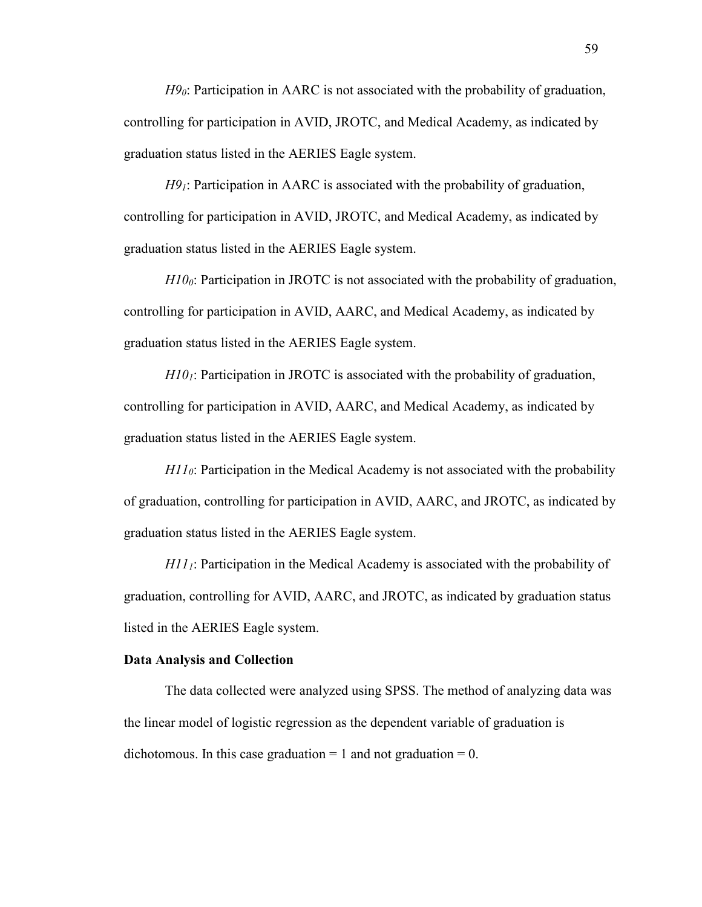*H90*: Participation in AARC is not associated with the probability of graduation, controlling for participation in AVID, JROTC, and Medical Academy, as indicated by graduation status listed in the AERIES Eagle system.

*H91*: Participation in AARC is associated with the probability of graduation, controlling for participation in AVID, JROTC, and Medical Academy, as indicated by graduation status listed in the AERIES Eagle system.

*H100*: Participation in JROTC is not associated with the probability of graduation, controlling for participation in AVID, AARC, and Medical Academy, as indicated by graduation status listed in the AERIES Eagle system.

*H101*: Participation in JROTC is associated with the probability of graduation, controlling for participation in AVID, AARC, and Medical Academy, as indicated by graduation status listed in the AERIES Eagle system.

*H110*: Participation in the Medical Academy is not associated with the probability of graduation, controlling for participation in AVID, AARC, and JROTC, as indicated by graduation status listed in the AERIES Eagle system.

*H111*: Participation in the Medical Academy is associated with the probability of graduation, controlling for AVID, AARC, and JROTC, as indicated by graduation status listed in the AERIES Eagle system.

#### **Data Analysis and Collection**

The data collected were analyzed using SPSS. The method of analyzing data was the linear model of logistic regression as the dependent variable of graduation is dichotomous. In this case graduation  $= 1$  and not graduation  $= 0$ .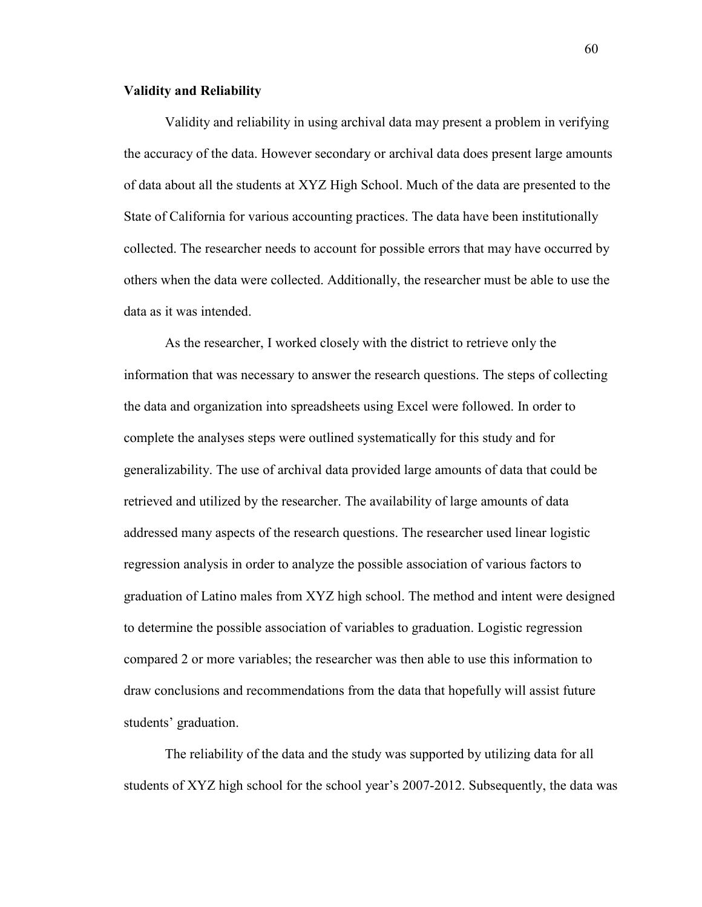### **Validity and Reliability**

Validity and reliability in using archival data may present a problem in verifying the accuracy of the data. However secondary or archival data does present large amounts of data about all the students at XYZ High School. Much of the data are presented to the State of California for various accounting practices. The data have been institutionally collected. The researcher needs to account for possible errors that may have occurred by others when the data were collected. Additionally, the researcher must be able to use the data as it was intended.

As the researcher, I worked closely with the district to retrieve only the information that was necessary to answer the research questions. The steps of collecting the data and organization into spreadsheets using Excel were followed. In order to complete the analyses steps were outlined systematically for this study and for generalizability. The use of archival data provided large amounts of data that could be retrieved and utilized by the researcher. The availability of large amounts of data addressed many aspects of the research questions. The researcher used linear logistic regression analysis in order to analyze the possible association of various factors to graduation of Latino males from XYZ high school. The method and intent were designed to determine the possible association of variables to graduation. Logistic regression compared 2 or more variables; the researcher was then able to use this information to draw conclusions and recommendations from the data that hopefully will assist future students' graduation.

The reliability of the data and the study was supported by utilizing data for all students of XYZ high school for the school year's 2007-2012. Subsequently, the data was

60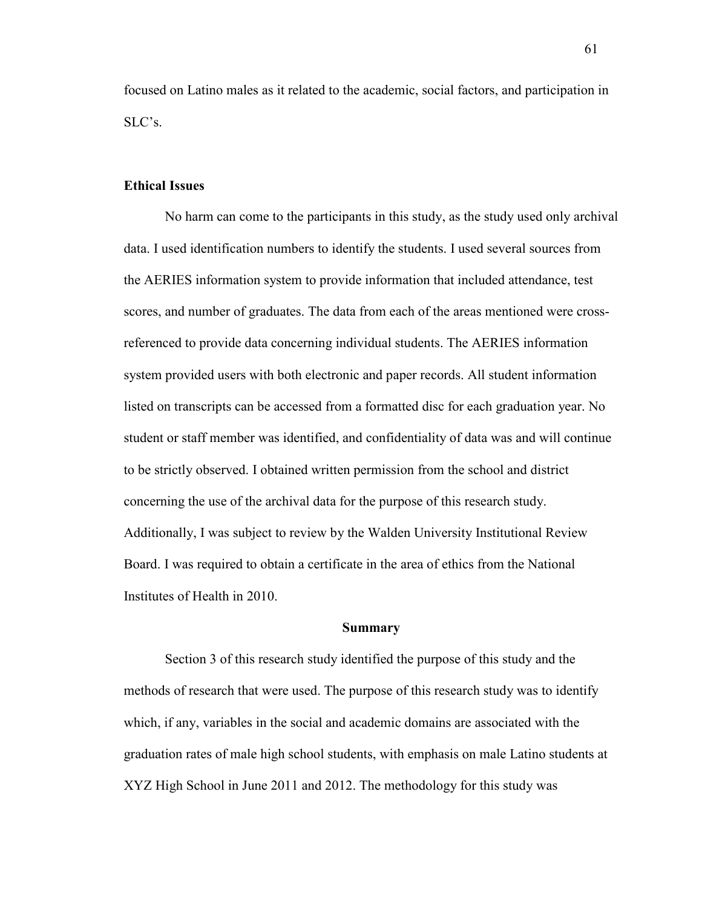focused on Latino males as it related to the academic, social factors, and participation in SLC's.

### **Ethical Issues**

No harm can come to the participants in this study, as the study used only archival data. I used identification numbers to identify the students. I used several sources from the AERIES information system to provide information that included attendance, test scores, and number of graduates. The data from each of the areas mentioned were crossreferenced to provide data concerning individual students. The AERIES information system provided users with both electronic and paper records. All student information listed on transcripts can be accessed from a formatted disc for each graduation year. No student or staff member was identified, and confidentiality of data was and will continue to be strictly observed. I obtained written permission from the school and district concerning the use of the archival data for the purpose of this research study. Additionally, I was subject to review by the Walden University Institutional Review Board. I was required to obtain a certificate in the area of ethics from the National Institutes of Health in 2010.

#### **Summary**

Section 3 of this research study identified the purpose of this study and the methods of research that were used. The purpose of this research study was to identify which, if any, variables in the social and academic domains are associated with the graduation rates of male high school students, with emphasis on male Latino students at XYZ High School in June 2011 and 2012. The methodology for this study was

61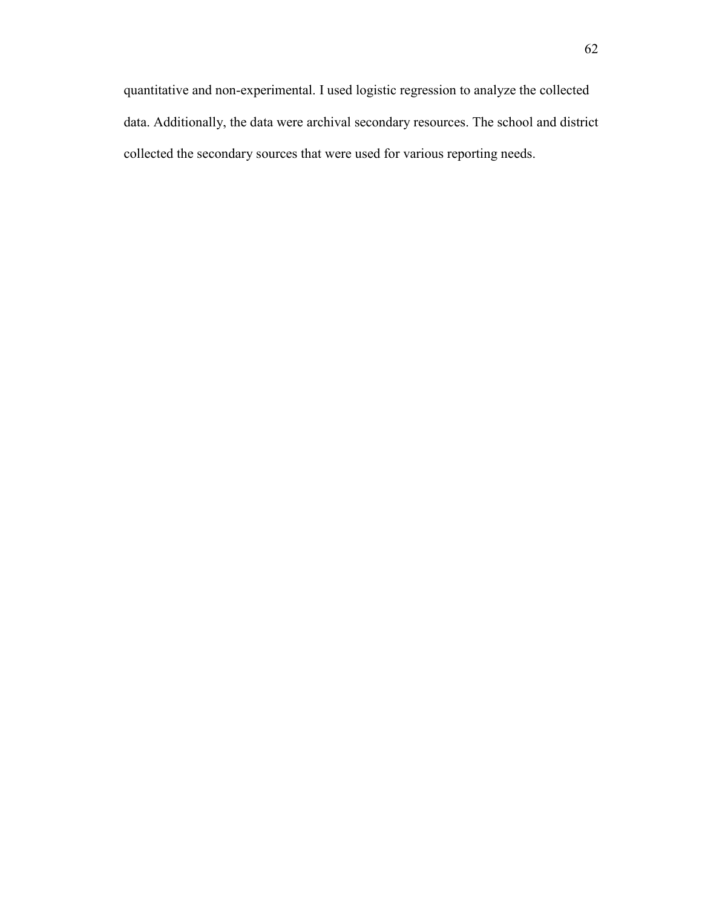quantitative and non-experimental. I used logistic regression to analyze the collected data. Additionally, the data were archival secondary resources. The school and district collected the secondary sources that were used for various reporting needs.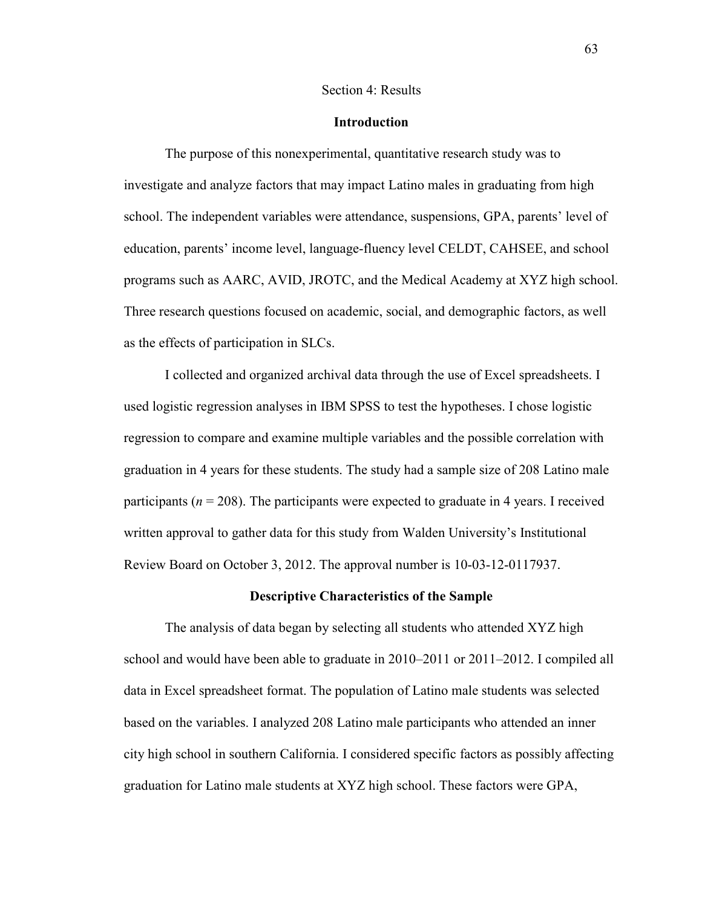#### Section 4: Results

### **Introduction**

The purpose of this nonexperimental, quantitative research study was to investigate and analyze factors that may impact Latino males in graduating from high school. The independent variables were attendance, suspensions, GPA, parents' level of education, parents' income level, language-fluency level CELDT, CAHSEE, and school programs such as AARC, AVID, JROTC, and the Medical Academy at XYZ high school. Three research questions focused on academic, social, and demographic factors, as well as the effects of participation in SLCs.

I collected and organized archival data through the use of Excel spreadsheets. I used logistic regression analyses in IBM SPSS to test the hypotheses. I chose logistic regression to compare and examine multiple variables and the possible correlation with graduation in 4 years for these students. The study had a sample size of 208 Latino male participants ( $n = 208$ ). The participants were expected to graduate in 4 years. I received written approval to gather data for this study from Walden University's Institutional Review Board on October 3, 2012. The approval number is 10-03-12-0117937.

### **Descriptive Characteristics of the Sample**

The analysis of data began by selecting all students who attended XYZ high school and would have been able to graduate in 2010–2011 or 2011–2012. I compiled all data in Excel spreadsheet format. The population of Latino male students was selected based on the variables. I analyzed 208 Latino male participants who attended an inner city high school in southern California. I considered specific factors as possibly affecting graduation for Latino male students at XYZ high school. These factors were GPA,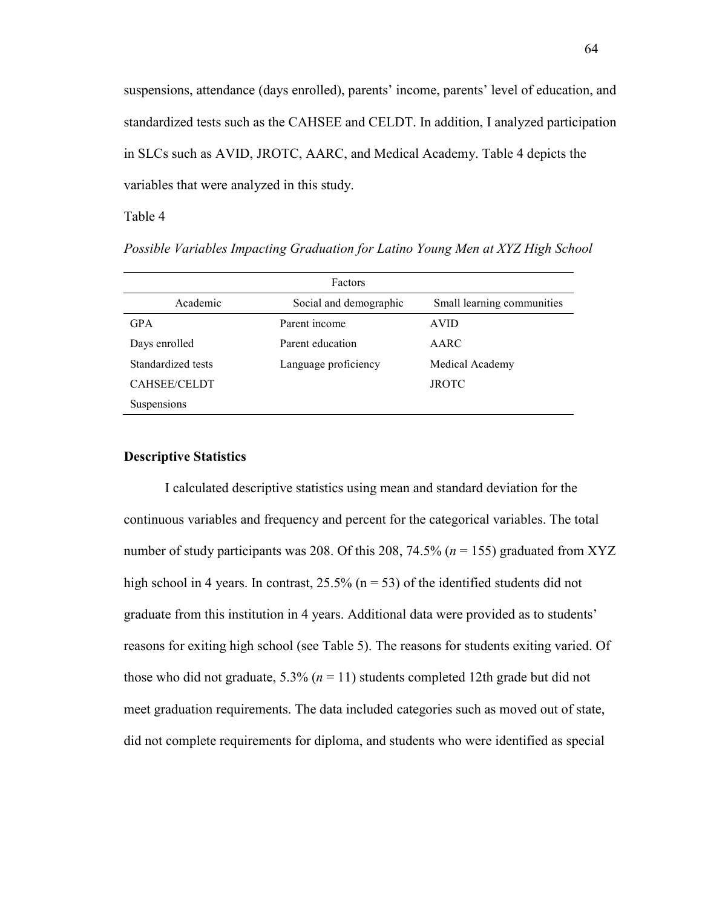suspensions, attendance (days enrolled), parents' income, parents' level of education, and standardized tests such as the CAHSEE and CELDT. In addition, I analyzed participation in SLCs such as AVID, JROTC, AARC, and Medical Academy. Table 4 depicts the variables that were analyzed in this study.

Table 4

*Possible Variables Impacting Graduation for Latino Young Men at XYZ High School* 

| Factors             |                        |                            |  |
|---------------------|------------------------|----------------------------|--|
| Academic            | Social and demographic | Small learning communities |  |
| <b>GPA</b>          | Parent income          | <b>AVID</b>                |  |
| Days enrolled       | Parent education       | AARC                       |  |
| Standardized tests  | Language proficiency   | Medical Academy            |  |
| <b>CAHSEE/CELDT</b> |                        | <b>JROTC</b>               |  |
| Suspensions         |                        |                            |  |

# **Descriptive Statistics**

I calculated descriptive statistics using mean and standard deviation for the continuous variables and frequency and percent for the categorical variables. The total number of study participants was 208. Of this 208, 74.5% (*n* = 155) graduated from XYZ high school in 4 years. In contrast,  $25.5\%$  (n = 53) of the identified students did not graduate from this institution in 4 years. Additional data were provided as to students' reasons for exiting high school (see Table 5). The reasons for students exiting varied. Of those who did not graduate, 5.3% (*n* = 11) students completed 12th grade but did not meet graduation requirements. The data included categories such as moved out of state, did not complete requirements for diploma, and students who were identified as special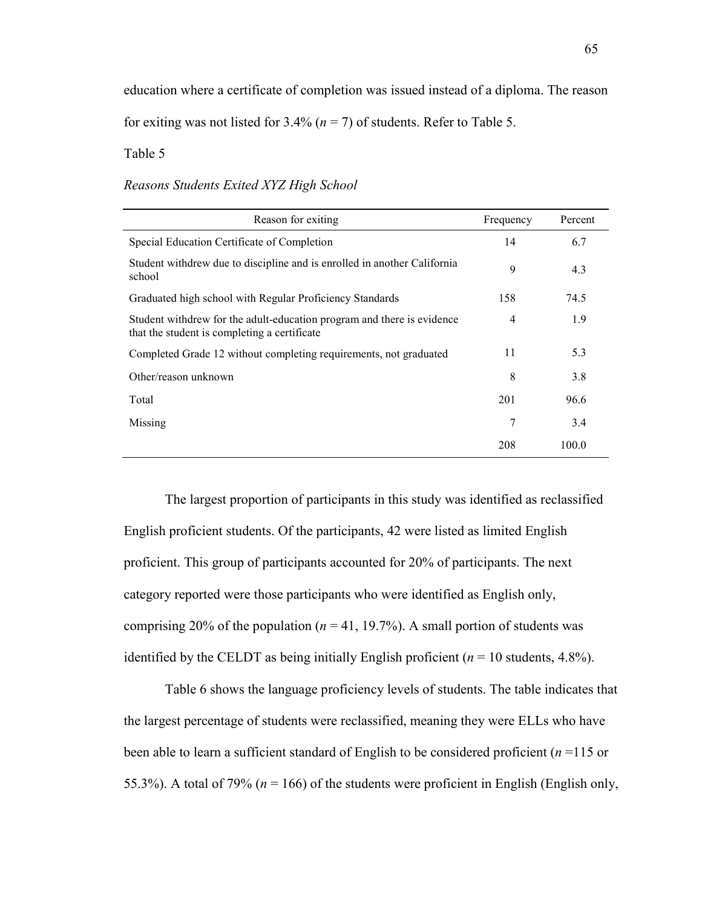education where a certificate of completion was issued instead of a diploma. The reason for exiting was not listed for  $3.4\%$  ( $n = 7$ ) of students. Refer to Table 5.

Table 5

*Reasons Students Exited XYZ High School* 

| Reason for exiting                                                                                                     | Frequency | Percent |
|------------------------------------------------------------------------------------------------------------------------|-----------|---------|
| Special Education Certificate of Completion                                                                            | 14        | 6.7     |
| Student with drew due to discipline and is enrolled in another California<br>school                                    | 9         | 4.3     |
| Graduated high school with Regular Proficiency Standards                                                               | 158       | 74.5    |
| Student withdrew for the adult-education program and there is evidence<br>that the student is completing a certificate | 4         | 1.9     |
| Completed Grade 12 without completing requirements, not graduated                                                      | 11        | 5.3     |
| Other/reason unknown                                                                                                   | 8         | 3.8     |
| Total                                                                                                                  | 201       | 96.6    |
| Missing                                                                                                                | 7         | 3.4     |
|                                                                                                                        | 208       | 100.0   |

The largest proportion of participants in this study was identified as reclassified English proficient students. Of the participants, 42 were listed as limited English proficient. This group of participants accounted for 20% of participants. The next category reported were those participants who were identified as English only, comprising 20% of the population ( $n = 41$ , 19.7%). A small portion of students was identified by the CELDT as being initially English proficient ( $n = 10$  students, 4.8%).

Table 6 shows the language proficiency levels of students. The table indicates that the largest percentage of students were reclassified, meaning they were ELLs who have been able to learn a sufficient standard of English to be considered proficient (*n* =115 or 55.3%). A total of 79% ( $n = 166$ ) of the students were proficient in English (English only,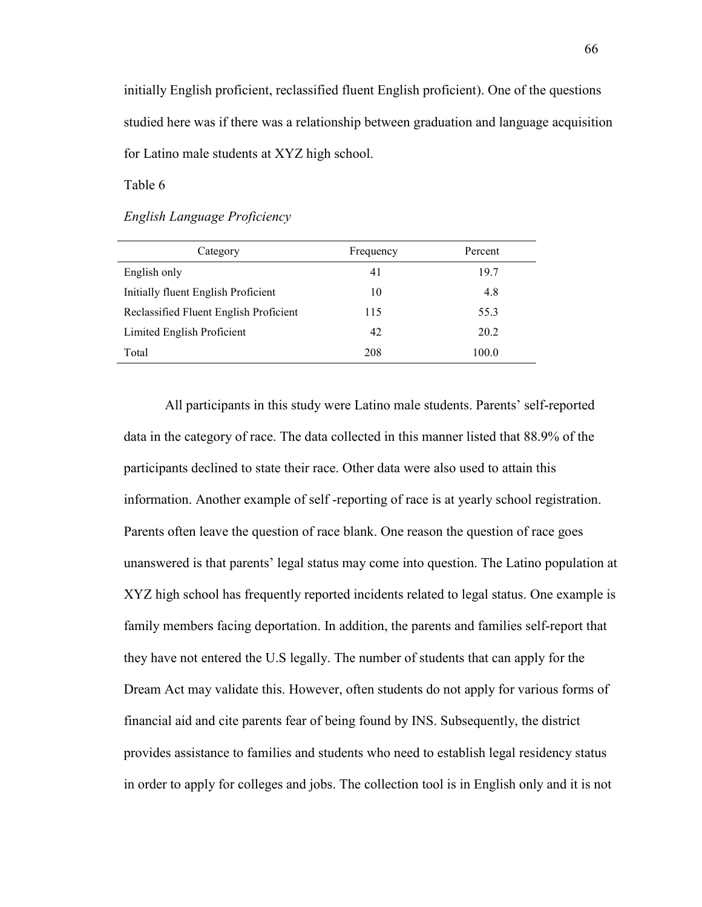initially English proficient, reclassified fluent English proficient). One of the questions studied here was if there was a relationship between graduation and language acquisition for Latino male students at XYZ high school.

Table 6

# *English Language Proficiency*

| Category                               | Frequency | Percent |
|----------------------------------------|-----------|---------|
| English only                           | 41        | 19.7    |
| Initially fluent English Proficient    | 10        | 4.8     |
| Reclassified Fluent English Proficient | 115       | 55.3    |
| Limited English Proficient             | 42        | 20.2    |
| Total                                  | 208       | 100.0   |
|                                        |           |         |

All participants in this study were Latino male students. Parents' self-reported data in the category of race. The data collected in this manner listed that 88.9% of the participants declined to state their race. Other data were also used to attain this information. Another example of self -reporting of race is at yearly school registration. Parents often leave the question of race blank. One reason the question of race goes unanswered is that parents' legal status may come into question. The Latino population at XYZ high school has frequently reported incidents related to legal status. One example is family members facing deportation. In addition, the parents and families self-report that they have not entered the U.S legally. The number of students that can apply for the Dream Act may validate this. However, often students do not apply for various forms of financial aid and cite parents fear of being found by INS. Subsequently, the district provides assistance to families and students who need to establish legal residency status in order to apply for colleges and jobs. The collection tool is in English only and it is not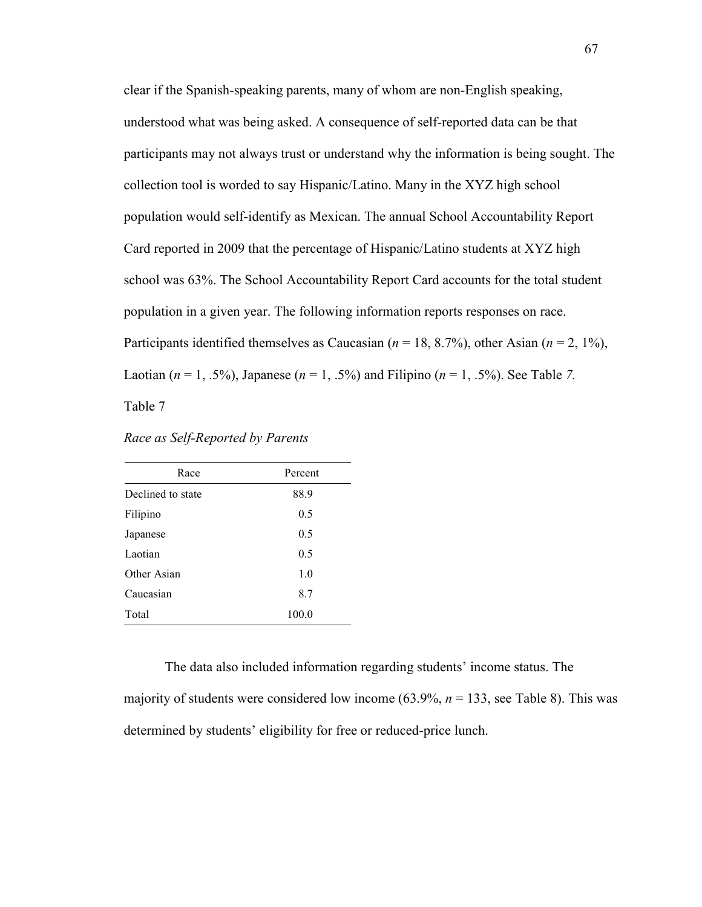clear if the Spanish-speaking parents, many of whom are non-English speaking, understood what was being asked. A consequence of self-reported data can be that participants may not always trust or understand why the information is being sought. The collection tool is worded to say Hispanic/Latino. Many in the XYZ high school population would self-identify as Mexican. The annual School Accountability Report Card reported in 2009 that the percentage of Hispanic/Latino students at XYZ high school was 63%. The School Accountability Report Card accounts for the total student population in a given year. The following information reports responses on race. Participants identified themselves as Caucasian (*n* = 18, 8.7%), other Asian (*n* = 2, 1%), Laotian (*n* = 1, .5%), Japanese (*n* = 1, .5%) and Filipino (*n* = 1, .5%). See Table *7.* Table 7

| Race              | Percent |
|-------------------|---------|
| Declined to state | 88.9    |
| Filipino          | 0.5     |
| Japanese          | 0.5     |
| Laotian           | 0.5     |
| Other Asian       | 1.0     |
| Caucasian         | 8.7     |
| Total             | 100.0   |

*Race as Self-Reported by Parents* 

The data also included information regarding students' income status. The majority of students were considered low income (63.9%, *n* = 133, see Table 8). This was determined by students' eligibility for free or reduced-price lunch.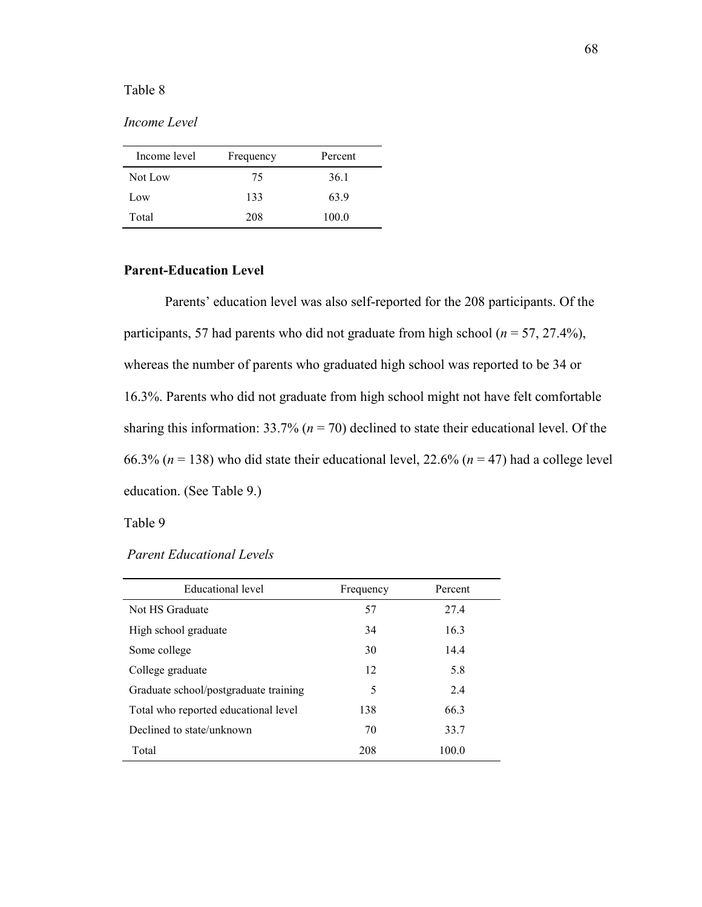## Table 8

# *Income Level*

| Income level | Frequency | Percent |
|--------------|-----------|---------|
| Not Low      | 75        | 36.1    |
| Low          | 133       | 63.9    |
| Total        | 208       | 100.0   |

# **Parent-Education Level**

Parents' education level was also self-reported for the 208 participants. Of the participants, 57 had parents who did not graduate from high school ( $n = 57, 27.4\%$ ), whereas the number of parents who graduated high school was reported to be 34 or 16.3%. Parents who did not graduate from high school might not have felt comfortable sharing this information:  $33.7\%$  ( $n = 70$ ) declined to state their educational level. Of the 66.3% ( $n = 138$ ) who did state their educational level, 22.6% ( $n = 47$ ) had a college level education. (See Table 9.)

#### Table 9

| Educational level                     | Frequency | Percent |
|---------------------------------------|-----------|---------|
| Not HS Graduate                       | 57        | 27.4    |
| High school graduate                  | 34        | 16.3    |
| Some college                          | 30        | 14.4    |
| College graduate                      | 12        | 5.8     |
| Graduate school/postgraduate training | 5         | 2.4     |
| Total who reported educational level  | 138       | 66.3    |
| Declined to state/unknown             | 70        | 33.7    |
| Total                                 | 208       | 100.0   |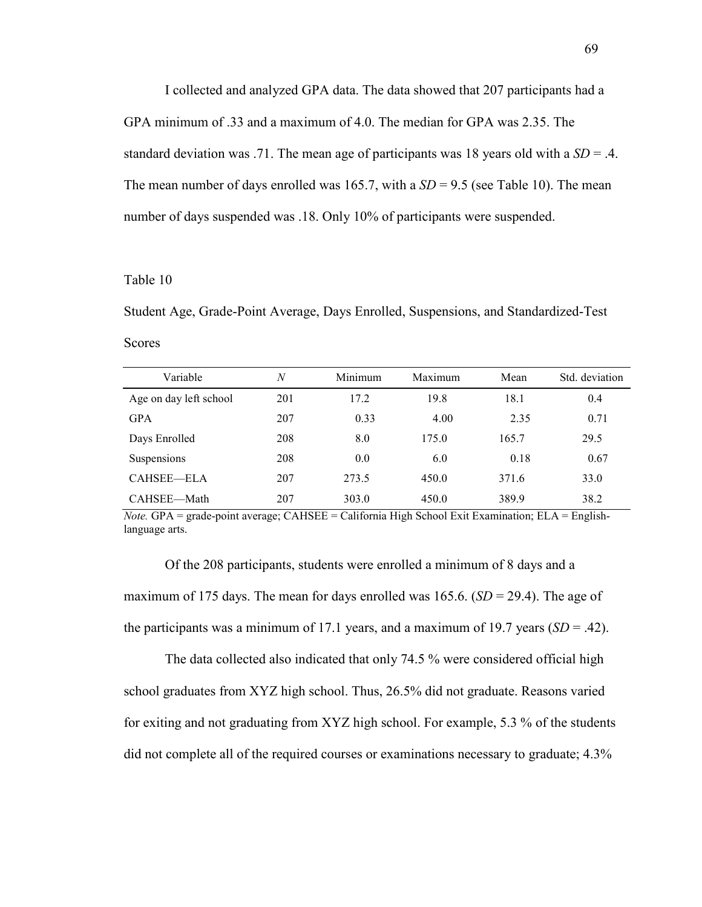I collected and analyzed GPA data. The data showed that 207 participants had a GPA minimum of .33 and a maximum of 4.0. The median for GPA was 2.35. The standard deviation was .71. The mean age of participants was 18 years old with a *SD* = .4. The mean number of days enrolled was 165.7, with a  $SD = 9.5$  (see Table 10). The mean number of days suspended was .18. Only 10% of participants were suspended.

## Table 10

Student Age, Grade-Point Average, Days Enrolled, Suspensions, and Standardized-Test Scores

| Variable               | $\overline{N}$ | Minimum | Maximum | Mean  | Std. deviation |
|------------------------|----------------|---------|---------|-------|----------------|
| Age on day left school | 201            | 17.2    | 19.8    | 18.1  | 0.4            |
| <b>GPA</b>             | 207            | 0.33    | 4.00    | 2.35  | 0.71           |
| Days Enrolled          | 208            | 8.0     | 175.0   | 165.7 | 29.5           |
| Suspensions            | 208            | 0.0     | 6.0     | 0.18  | 0.67           |
| CAHSEE—ELA             | 207            | 273.5   | 450.0   | 371.6 | 33.0           |
| CAHSEE-Math            | 207            | 303.0   | 450.0   | 389.9 | 38.2           |

*Note.* GPA = grade-point average; CAHSEE = California High School Exit Examination; ELA = Englishlanguage arts.

Of the 208 participants, students were enrolled a minimum of 8 days and a maximum of 175 days. The mean for days enrolled was 165.6.  $(SD = 29.4)$ . The age of the participants was a minimum of 17.1 years, and a maximum of 19.7 years  $(SD = .42)$ .

The data collected also indicated that only 74.5 % were considered official high school graduates from XYZ high school. Thus, 26.5% did not graduate. Reasons varied for exiting and not graduating from XYZ high school. For example, 5.3 % of the students did not complete all of the required courses or examinations necessary to graduate; 4.3%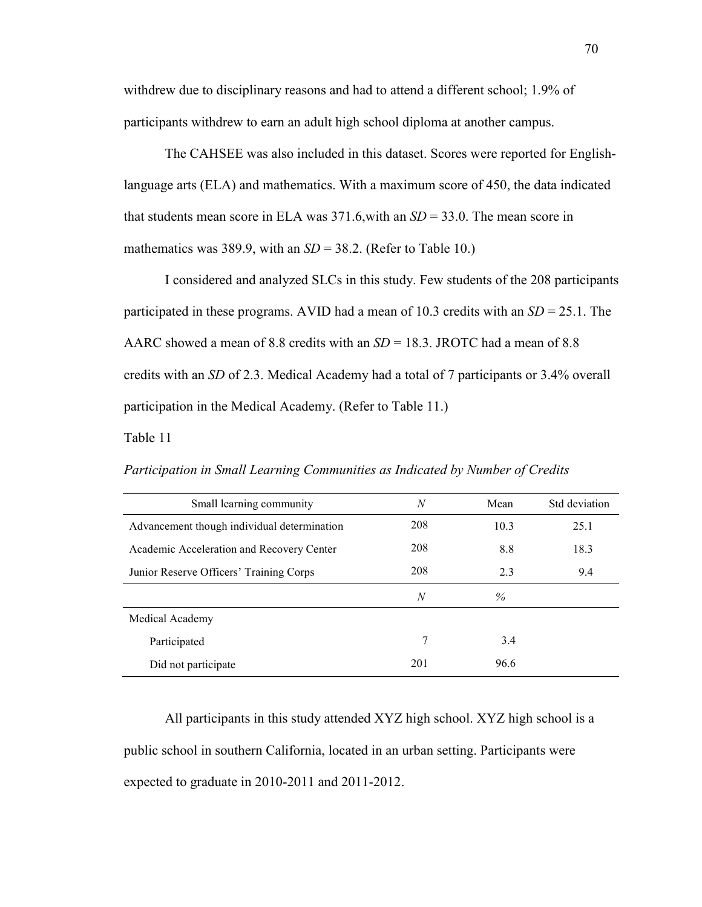withdrew due to disciplinary reasons and had to attend a different school; 1.9% of participants withdrew to earn an adult high school diploma at another campus.

The CAHSEE was also included in this dataset. Scores were reported for Englishlanguage arts (ELA) and mathematics. With a maximum score of 450, the data indicated that students mean score in ELA was 371.6,with an *SD* = 33.0. The mean score in mathematics was 389.9, with an  $SD = 38.2$ . (Refer to Table 10.)

I considered and analyzed SLCs in this study. Few students of the 208 participants participated in these programs. AVID had a mean of 10.3 credits with an *SD* = 25.1. The AARC showed a mean of 8.8 credits with an *SD* = 18.3. JROTC had a mean of 8.8 credits with an *SD* of 2.3. Medical Academy had a total of 7 participants or 3.4% overall participation in the Medical Academy. (Refer to Table 11.)

Table 11

*Participation in Small Learning Communities as Indicated by Number of Credits* 

| Small learning community                    | N              | Mean | Std deviation |
|---------------------------------------------|----------------|------|---------------|
| Advancement though individual determination | 208            | 10.3 | 25.1          |
| Academic Acceleration and Recovery Center   | 208            | 8.8  | 18.3          |
| Junior Reserve Officers' Training Corps     | 208            | 2.3  | 9.4           |
|                                             | $\overline{N}$ | $\%$ |               |
| Medical Academy                             |                |      |               |
| Participated                                | 7              | 3.4  |               |
| Did not participate                         | 201            | 96.6 |               |

All participants in this study attended XYZ high school. XYZ high school is a public school in southern California, located in an urban setting. Participants were expected to graduate in 2010-2011 and 2011-2012.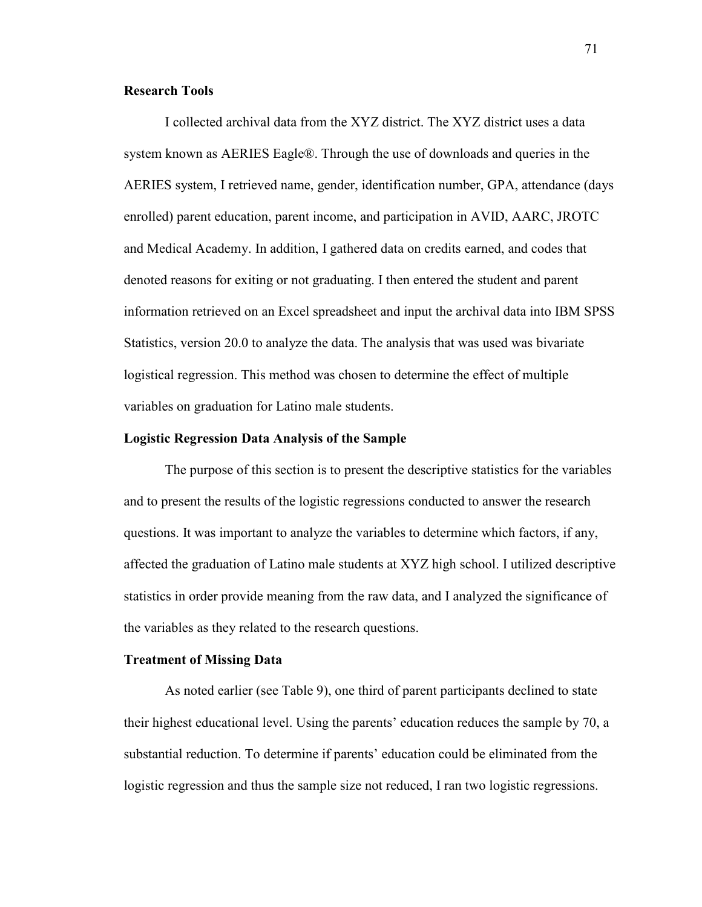## **Research Tools**

I collected archival data from the XYZ district. The XYZ district uses a data system known as AERIES Eagle®. Through the use of downloads and queries in the AERIES system, I retrieved name, gender, identification number, GPA, attendance (days enrolled) parent education, parent income, and participation in AVID, AARC, JROTC and Medical Academy. In addition, I gathered data on credits earned, and codes that denoted reasons for exiting or not graduating. I then entered the student and parent information retrieved on an Excel spreadsheet and input the archival data into IBM SPSS Statistics, version 20.0 to analyze the data. The analysis that was used was bivariate logistical regression. This method was chosen to determine the effect of multiple variables on graduation for Latino male students.

## **Logistic Regression Data Analysis of the Sample**

The purpose of this section is to present the descriptive statistics for the variables and to present the results of the logistic regressions conducted to answer the research questions. It was important to analyze the variables to determine which factors, if any, affected the graduation of Latino male students at XYZ high school. I utilized descriptive statistics in order provide meaning from the raw data, and I analyzed the significance of the variables as they related to the research questions.

## **Treatment of Missing Data**

As noted earlier (see Table 9), one third of parent participants declined to state their highest educational level. Using the parents' education reduces the sample by 70, a substantial reduction. To determine if parents' education could be eliminated from the logistic regression and thus the sample size not reduced, I ran two logistic regressions.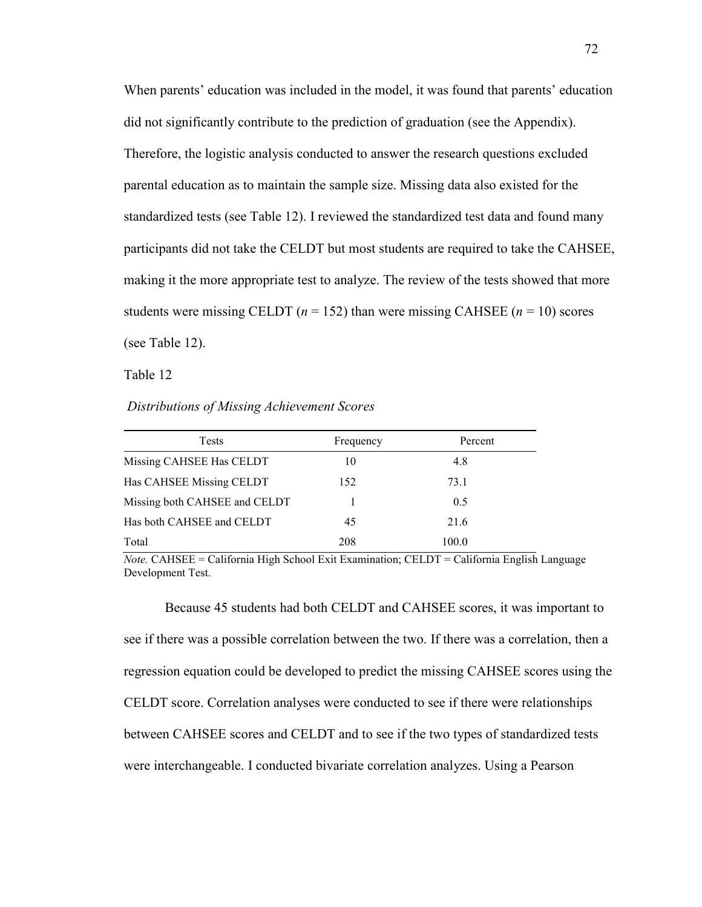When parents' education was included in the model, it was found that parents' education did not significantly contribute to the prediction of graduation (see the Appendix). Therefore, the logistic analysis conducted to answer the research questions excluded parental education as to maintain the sample size. Missing data also existed for the standardized tests (see Table 12). I reviewed the standardized test data and found many participants did not take the CELDT but most students are required to take the CAHSEE, making it the more appropriate test to analyze. The review of the tests showed that more students were missing CELDT  $(n = 152)$  than were missing CAHSEE  $(n = 10)$  scores (see Table 12).

Table 12

 *Distributions of Missing Achievement Scores* 

| <b>Tests</b>                  | Frequency | Percent |
|-------------------------------|-----------|---------|
| Missing CAHSEE Has CELDT      | 10        | 4.8     |
| Has CAHSEE Missing CELDT      | 152       | 73.1    |
| Missing both CAHSEE and CELDT |           | 0.5     |
| Has both CAHSEE and CELDT     | 45        | 21.6    |
| Total                         | 208       | 100.0   |

*Note.* CAHSEE = California High School Exit Examination; CELDT = California English Language Development Test.

Because 45 students had both CELDT and CAHSEE scores, it was important to see if there was a possible correlation between the two. If there was a correlation, then a regression equation could be developed to predict the missing CAHSEE scores using the CELDT score. Correlation analyses were conducted to see if there were relationships between CAHSEE scores and CELDT and to see if the two types of standardized tests were interchangeable. I conducted bivariate correlation analyzes. Using a Pearson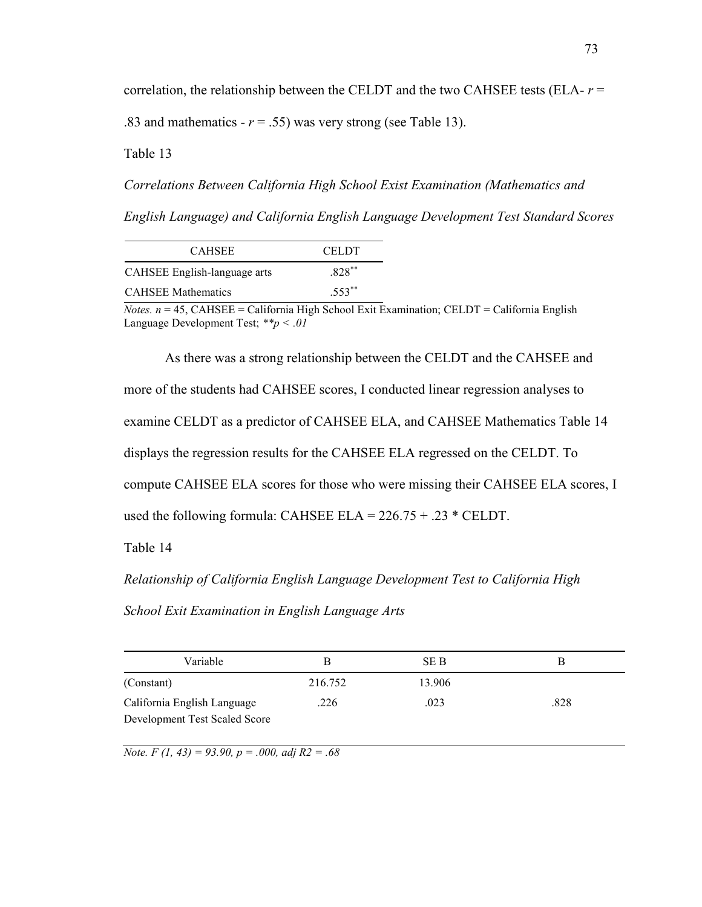correlation, the relationship between the CELDT and the two CAHSEE tests (ELA- *r* = .83 and mathematics  $- r = .55$ ) was very strong (see Table 13).

Table 13

*Correlations Between California High School Exist Examination (Mathematics and English Language) and California English Language Development Test Standard Scores*

| <b>CAHSEE</b>                | CELDT.   |
|------------------------------|----------|
| CAHSEE English-language arts | 828**    |
| <b>CAHSEE Mathematics</b>    | $.553**$ |

 $$ Language Development Test; *\*\*p < .01* 

As there was a strong relationship between the CELDT and the CAHSEE and more of the students had CAHSEE scores, I conducted linear regression analyses to examine CELDT as a predictor of CAHSEE ELA, and CAHSEE Mathematics Table 14 displays the regression results for the CAHSEE ELA regressed on the CELDT. To compute CAHSEE ELA scores for those who were missing their CAHSEE ELA scores, I used the following formula: CAHSEE ELA =  $226.75 + .23$  \* CELDT.

Table 14

*Relationship of California English Language Development Test to California High School Exit Examination in English Language Arts* 

| Variable                      | в       | SE B   |      |
|-------------------------------|---------|--------|------|
| (Constant)                    | 216.752 | 13.906 |      |
| California English Language   | .226    | .023   | .828 |
| Development Test Scaled Score |         |        |      |

*Note. F (1, 43) = 93.90, p = .000, adj R2 = .68*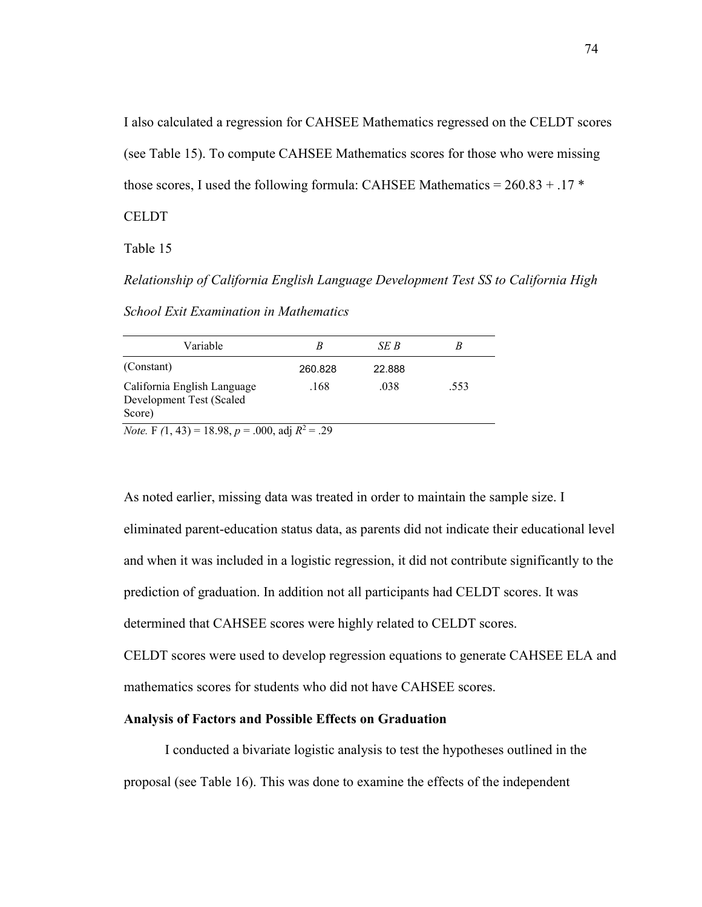I also calculated a regression for CAHSEE Mathematics regressed on the CELDT scores (see Table 15). To compute CAHSEE Mathematics scores for those who were missing those scores, I used the following formula: CAHSEE Mathematics =  $260.83 + .17$  \*

**CELDT** 

Table 15

*Relationship of California English Language Development Test SS to California High* 

| Variable                                                          |         | SE B   | B    |
|-------------------------------------------------------------------|---------|--------|------|
| (Constant)                                                        | 260.828 | 22.888 |      |
| California English Language<br>Development Test (Scaled<br>Score) | .168    | .038   | .553 |
| <i>Note.</i> F $(1, 43) = 18.98$ , $p = .000$ , adj $R^2 = .29$   |         |        |      |

*School Exit Examination in Mathematics* 

As noted earlier, missing data was treated in order to maintain the sample size. I eliminated parent-education status data, as parents did not indicate their educational level and when it was included in a logistic regression, it did not contribute significantly to the prediction of graduation. In addition not all participants had CELDT scores. It was determined that CAHSEE scores were highly related to CELDT scores.

CELDT scores were used to develop regression equations to generate CAHSEE ELA and mathematics scores for students who did not have CAHSEE scores.

## **Analysis of Factors and Possible Effects on Graduation**

I conducted a bivariate logistic analysis to test the hypotheses outlined in the proposal (see Table 16). This was done to examine the effects of the independent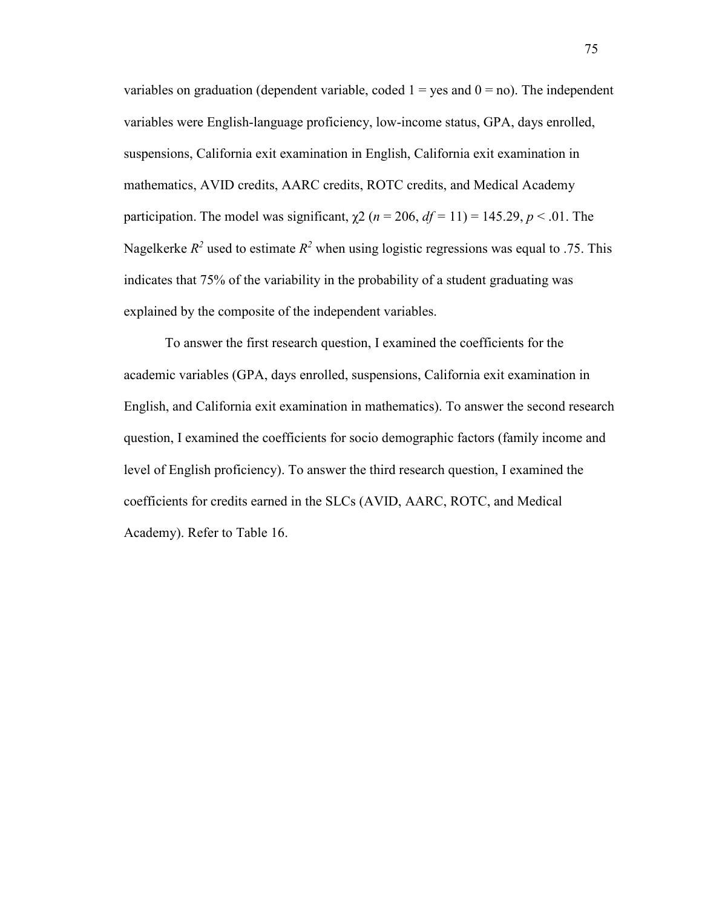variables on graduation (dependent variable, coded  $1 = yes$  and  $0 = no$ ). The independent variables were English-language proficiency, low-income status, GPA, days enrolled, suspensions, California exit examination in English, California exit examination in mathematics, AVID credits, AARC credits, ROTC credits, and Medical Academy participation. The model was significant,  $\chi^2$  ( $n = 206$ ,  $df = 11$ ) = 145.29,  $p < .01$ . The Nagelkerke  $R^2$  used to estimate  $R^2$  when using logistic regressions was equal to .75. This indicates that 75% of the variability in the probability of a student graduating was explained by the composite of the independent variables.

To answer the first research question, I examined the coefficients for the academic variables (GPA, days enrolled, suspensions, California exit examination in English, and California exit examination in mathematics). To answer the second research question, I examined the coefficients for socio demographic factors (family income and level of English proficiency). To answer the third research question, I examined the coefficients for credits earned in the SLCs (AVID, AARC, ROTC, and Medical Academy). Refer to Table 16.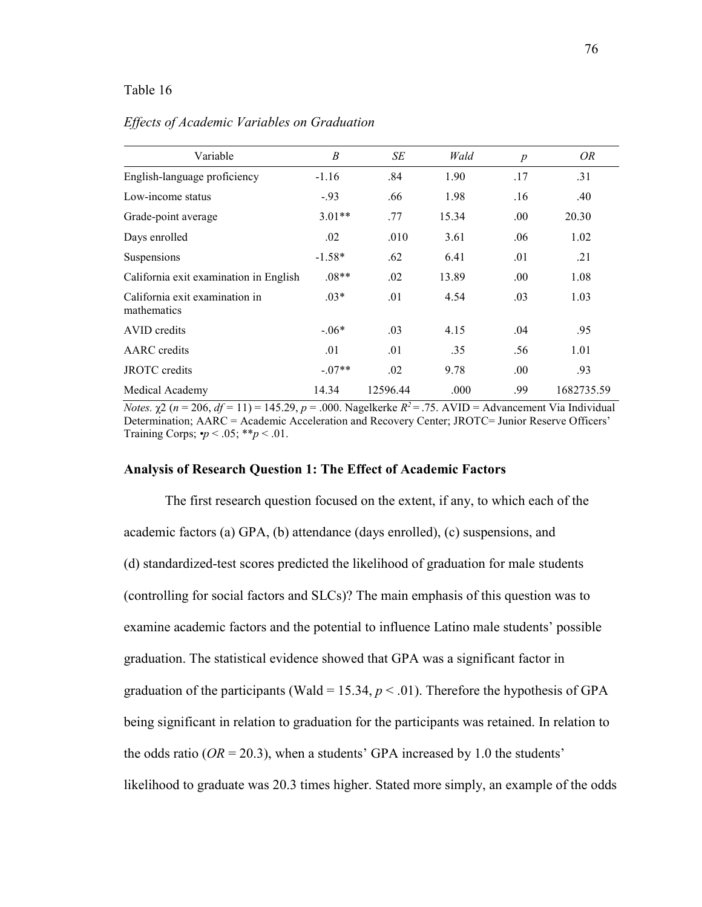## Table 16

| Variable                                      | $\boldsymbol{B}$ | SE       | Wald  | $\boldsymbol{p}$ | OR         |
|-----------------------------------------------|------------------|----------|-------|------------------|------------|
| English-language proficiency                  | $-1.16$          | .84      | 1.90  | .17              | .31        |
| Low-income status                             | $-93$            | .66      | 1.98  | .16              | .40        |
| Grade-point average                           | $3.01**$         | .77      | 15.34 | .00.             | 20.30      |
| Days enrolled                                 | .02              | .010     | 3.61  | .06              | 1.02       |
| Suspensions                                   | $-1.58*$         | .62      | 6.41  | .01              | .21        |
| California exit examination in English        | $.08**$          | .02      | 13.89 | .00.             | 1.08       |
| California exit examination in<br>mathematics | $.03*$           | .01      | 4.54  | .03              | 1.03       |
| AVID credits                                  | $-.06*$          | .03      | 4.15  | .04              | .95        |
| <b>AARC</b> credits                           | .01              | .01      | .35   | .56              | 1.01       |
| <b>JROTC</b> credits                          | $-.07**$         | .02      | 9.78  | .00.             | .93        |
| Medical Academy                               | 14.34            | 12596.44 | .000  | .99              | 1682735.59 |

### *Effects of Academic Variables on Graduation*

*Notes.*  $\chi$ 2 (*n* = 206, *df* = 11) = 145.29, *p* = .000. Nagelkerke *R*<sup>2</sup> = .75. AVID = Advancement Via Individual Determination; AARC = Academic Acceleration and Recovery Center; JROTC= Junior Reserve Officers' Training Corps;  $\cdot p < .05$ ;  $\cdot \cdot p < .01$ .

#### **Analysis of Research Question 1: The Effect of Academic Factors**

The first research question focused on the extent, if any, to which each of the academic factors (a) GPA, (b) attendance (days enrolled), (c) suspensions, and (d) standardized-test scores predicted the likelihood of graduation for male students (controlling for social factors and SLCs)? The main emphasis of this question was to examine academic factors and the potential to influence Latino male students' possible graduation. The statistical evidence showed that GPA was a significant factor in graduation of the participants (Wald = 15.34,  $p < .01$ ). Therefore the hypothesis of GPA being significant in relation to graduation for the participants was retained. In relation to the odds ratio ( $OR = 20.3$ ), when a students' GPA increased by 1.0 the students' likelihood to graduate was 20.3 times higher. Stated more simply, an example of the odds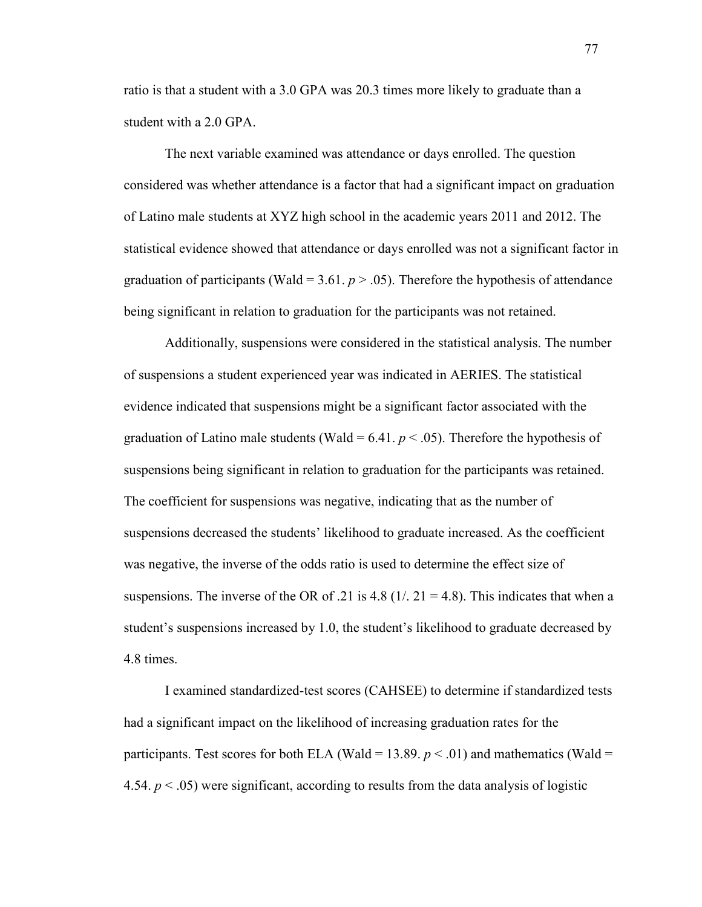ratio is that a student with a 3.0 GPA was 20.3 times more likely to graduate than a student with a 2.0 GPA.

The next variable examined was attendance or days enrolled. The question considered was whether attendance is a factor that had a significant impact on graduation of Latino male students at XYZ high school in the academic years 2011 and 2012. The statistical evidence showed that attendance or days enrolled was not a significant factor in graduation of participants (Wald =  $3.61$ .  $p > .05$ ). Therefore the hypothesis of attendance being significant in relation to graduation for the participants was not retained.

Additionally, suspensions were considered in the statistical analysis. The number of suspensions a student experienced year was indicated in AERIES. The statistical evidence indicated that suspensions might be a significant factor associated with the graduation of Latino male students (Wald =  $6.41$ .  $p < .05$ ). Therefore the hypothesis of suspensions being significant in relation to graduation for the participants was retained. The coefficient for suspensions was negative, indicating that as the number of suspensions decreased the students' likelihood to graduate increased. As the coefficient was negative, the inverse of the odds ratio is used to determine the effect size of suspensions. The inverse of the OR of .21 is 4.8 ( $1/21 = 4.8$ ). This indicates that when a student's suspensions increased by 1.0, the student's likelihood to graduate decreased by 4.8 times.

I examined standardized-test scores (CAHSEE) to determine if standardized tests had a significant impact on the likelihood of increasing graduation rates for the participants. Test scores for both ELA (Wald = 13.89.  $p < .01$ ) and mathematics (Wald = 4.54.  $p < .05$ ) were significant, according to results from the data analysis of logistic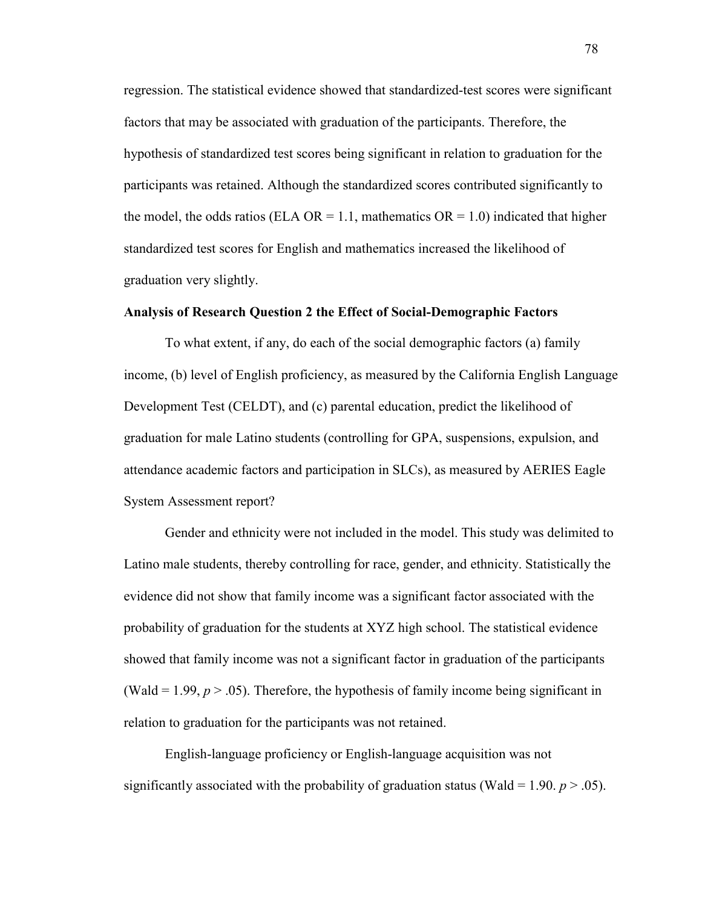regression. The statistical evidence showed that standardized-test scores were significant factors that may be associated with graduation of the participants. Therefore, the hypothesis of standardized test scores being significant in relation to graduation for the participants was retained. Although the standardized scores contributed significantly to the model, the odds ratios (ELA OR = 1.1, mathematics OR = 1.0) indicated that higher standardized test scores for English and mathematics increased the likelihood of graduation very slightly.

## **Analysis of Research Question 2 the Effect of Social-Demographic Factors**

To what extent, if any, do each of the social demographic factors (a) family income, (b) level of English proficiency, as measured by the California English Language Development Test (CELDT), and (c) parental education, predict the likelihood of graduation for male Latino students (controlling for GPA, suspensions, expulsion, and attendance academic factors and participation in SLCs), as measured by AERIES Eagle System Assessment report?

Gender and ethnicity were not included in the model. This study was delimited to Latino male students, thereby controlling for race, gender, and ethnicity. Statistically the evidence did not show that family income was a significant factor associated with the probability of graduation for the students at XYZ high school. The statistical evidence showed that family income was not a significant factor in graduation of the participants (Wald  $= 1.99, p > .05$ ). Therefore, the hypothesis of family income being significant in relation to graduation for the participants was not retained.

English-language proficiency or English-language acquisition was not significantly associated with the probability of graduation status (Wald = 1.90.  $p > .05$ ).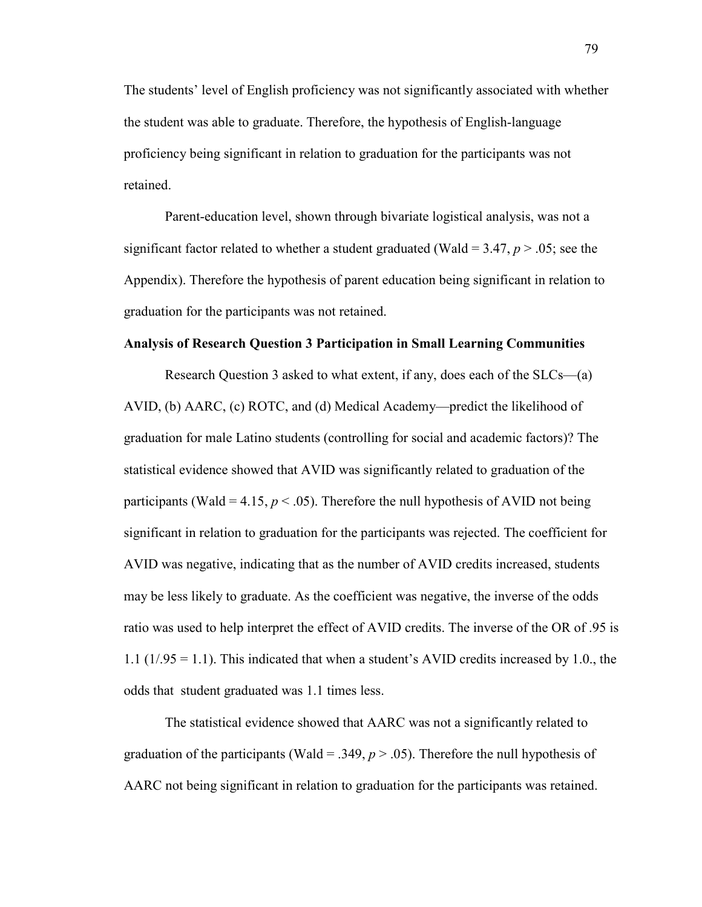The students' level of English proficiency was not significantly associated with whether the student was able to graduate. Therefore, the hypothesis of English-language proficiency being significant in relation to graduation for the participants was not retained.

Parent-education level, shown through bivariate logistical analysis, was not a significant factor related to whether a student graduated (Wald =  $3.47, p > .05$ ; see the Appendix). Therefore the hypothesis of parent education being significant in relation to graduation for the participants was not retained.

#### **Analysis of Research Question 3 Participation in Small Learning Communities**

Research Question 3 asked to what extent, if any, does each of the SLCs—(a) AVID, (b) AARC, (c) ROTC, and (d) Medical Academy—predict the likelihood of graduation for male Latino students (controlling for social and academic factors)? The statistical evidence showed that AVID was significantly related to graduation of the participants (Wald = 4.15,  $p < .05$ ). Therefore the null hypothesis of AVID not being significant in relation to graduation for the participants was rejected. The coefficient for AVID was negative, indicating that as the number of AVID credits increased, students may be less likely to graduate. As the coefficient was negative, the inverse of the odds ratio was used to help interpret the effect of AVID credits. The inverse of the OR of .95 is 1.1 (1/.95 = 1.1). This indicated that when a student's AVID credits increased by 1.0., the odds that student graduated was 1.1 times less.

The statistical evidence showed that AARC was not a significantly related to graduation of the participants (Wald = .349,  $p > .05$ ). Therefore the null hypothesis of AARC not being significant in relation to graduation for the participants was retained.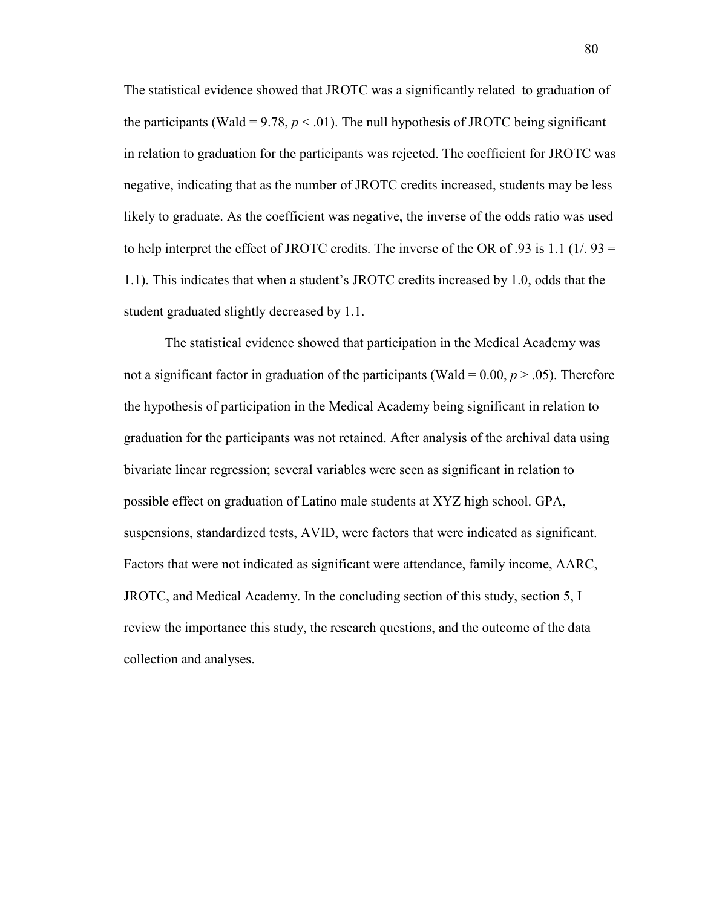The statistical evidence showed that JROTC was a significantly related to graduation of the participants (Wald = 9.78,  $p < .01$ ). The null hypothesis of JROTC being significant in relation to graduation for the participants was rejected. The coefficient for JROTC was negative, indicating that as the number of JROTC credits increased, students may be less likely to graduate. As the coefficient was negative, the inverse of the odds ratio was used to help interpret the effect of JROTC credits. The inverse of the OR of .93 is 1.1 (1/. 93 = 1.1). This indicates that when a student's JROTC credits increased by 1.0, odds that the student graduated slightly decreased by 1.1.

The statistical evidence showed that participation in the Medical Academy was not a significant factor in graduation of the participants (Wald =  $0.00, p > .05$ ). Therefore the hypothesis of participation in the Medical Academy being significant in relation to graduation for the participants was not retained. After analysis of the archival data using bivariate linear regression; several variables were seen as significant in relation to possible effect on graduation of Latino male students at XYZ high school. GPA, suspensions, standardized tests, AVID, were factors that were indicated as significant. Factors that were not indicated as significant were attendance, family income, AARC, JROTC, and Medical Academy. In the concluding section of this study, section 5, I review the importance this study, the research questions, and the outcome of the data collection and analyses.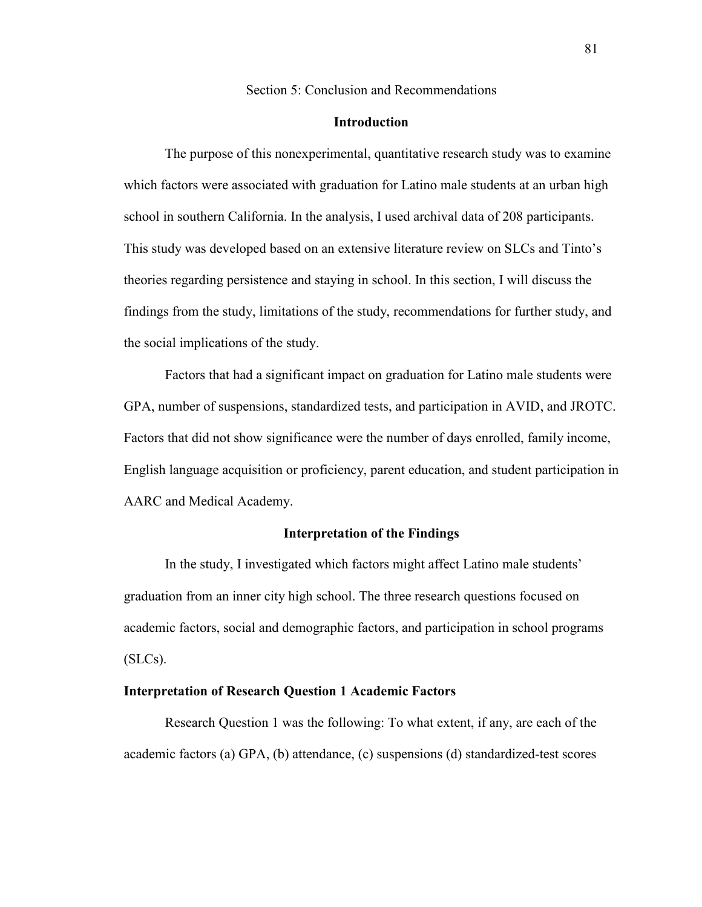Section 5: Conclusion and Recommendations

#### **Introduction**

The purpose of this nonexperimental, quantitative research study was to examine which factors were associated with graduation for Latino male students at an urban high school in southern California. In the analysis, I used archival data of 208 participants. This study was developed based on an extensive literature review on SLCs and Tinto's theories regarding persistence and staying in school. In this section, I will discuss the findings from the study, limitations of the study, recommendations for further study, and the social implications of the study.

Factors that had a significant impact on graduation for Latino male students were GPA, number of suspensions, standardized tests, and participation in AVID, and JROTC. Factors that did not show significance were the number of days enrolled, family income, English language acquisition or proficiency, parent education, and student participation in AARC and Medical Academy.

## **Interpretation of the Findings**

In the study, I investigated which factors might affect Latino male students' graduation from an inner city high school. The three research questions focused on academic factors, social and demographic factors, and participation in school programs (SLCs).

## **Interpretation of Research Question 1 Academic Factors**

Research Question 1 was the following: To what extent, if any, are each of the academic factors (a) GPA, (b) attendance, (c) suspensions (d) standardized-test scores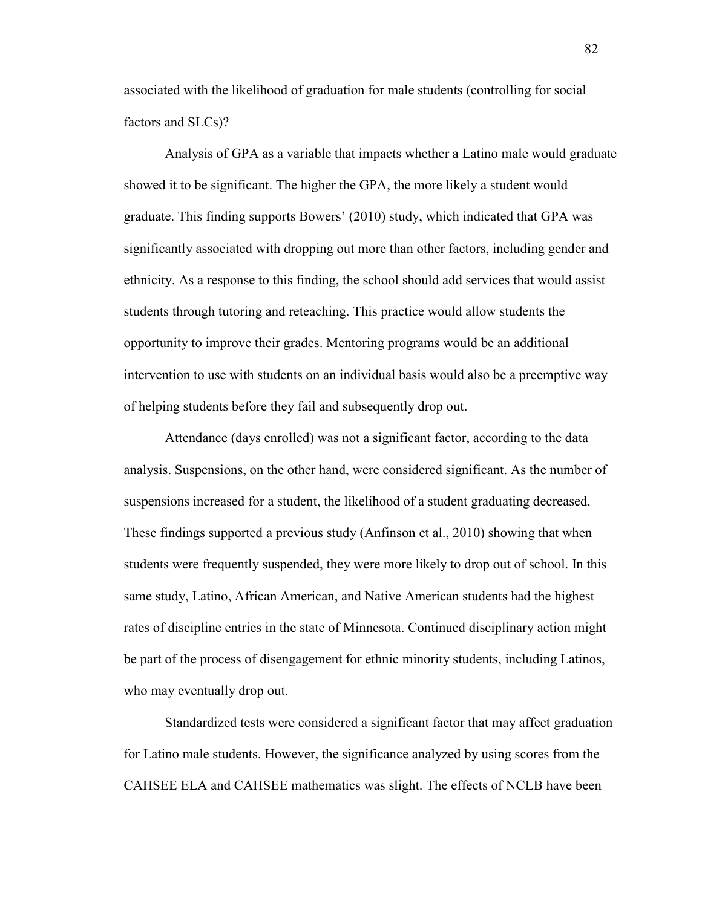associated with the likelihood of graduation for male students (controlling for social factors and SLCs)?

Analysis of GPA as a variable that impacts whether a Latino male would graduate showed it to be significant. The higher the GPA, the more likely a student would graduate. This finding supports Bowers' (2010) study, which indicated that GPA was significantly associated with dropping out more than other factors, including gender and ethnicity. As a response to this finding, the school should add services that would assist students through tutoring and reteaching. This practice would allow students the opportunity to improve their grades. Mentoring programs would be an additional intervention to use with students on an individual basis would also be a preemptive way of helping students before they fail and subsequently drop out.

Attendance (days enrolled) was not a significant factor, according to the data analysis. Suspensions, on the other hand, were considered significant. As the number of suspensions increased for a student, the likelihood of a student graduating decreased. These findings supported a previous study (Anfinson et al., 2010) showing that when students were frequently suspended, they were more likely to drop out of school. In this same study, Latino, African American, and Native American students had the highest rates of discipline entries in the state of Minnesota. Continued disciplinary action might be part of the process of disengagement for ethnic minority students, including Latinos, who may eventually drop out.

Standardized tests were considered a significant factor that may affect graduation for Latino male students. However, the significance analyzed by using scores from the CAHSEE ELA and CAHSEE mathematics was slight. The effects of NCLB have been

82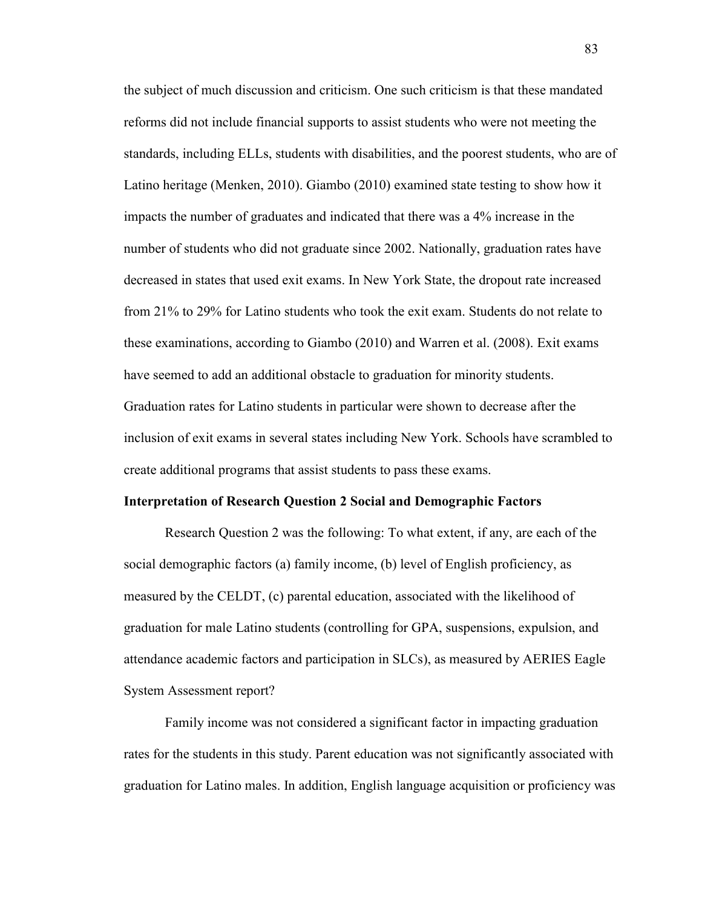the subject of much discussion and criticism. One such criticism is that these mandated reforms did not include financial supports to assist students who were not meeting the standards, including ELLs, students with disabilities, and the poorest students, who are of Latino heritage (Menken, 2010). Giambo (2010) examined state testing to show how it impacts the number of graduates and indicated that there was a 4% increase in the number of students who did not graduate since 2002. Nationally, graduation rates have decreased in states that used exit exams. In New York State, the dropout rate increased from 21% to 29% for Latino students who took the exit exam. Students do not relate to these examinations, according to Giambo (2010) and Warren et al. (2008). Exit exams have seemed to add an additional obstacle to graduation for minority students. Graduation rates for Latino students in particular were shown to decrease after the inclusion of exit exams in several states including New York. Schools have scrambled to create additional programs that assist students to pass these exams.

## **Interpretation of Research Question 2 Social and Demographic Factors**

Research Question 2 was the following: To what extent, if any, are each of the social demographic factors (a) family income, (b) level of English proficiency, as measured by the CELDT, (c) parental education, associated with the likelihood of graduation for male Latino students (controlling for GPA, suspensions, expulsion, and attendance academic factors and participation in SLCs), as measured by AERIES Eagle System Assessment report?

Family income was not considered a significant factor in impacting graduation rates for the students in this study. Parent education was not significantly associated with graduation for Latino males. In addition, English language acquisition or proficiency was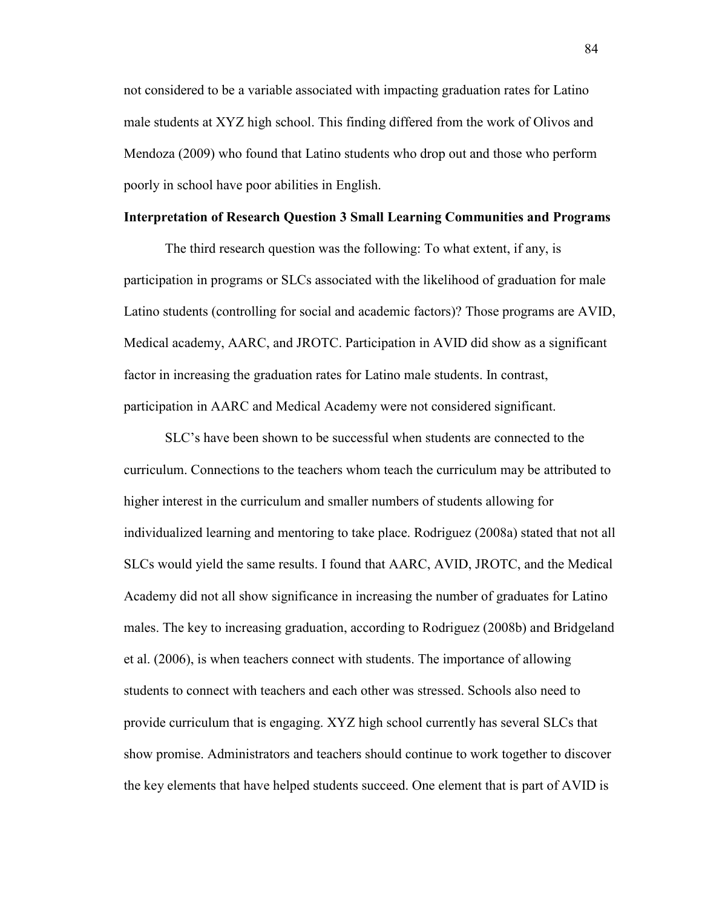not considered to be a variable associated with impacting graduation rates for Latino male students at XYZ high school. This finding differed from the work of Olivos and Mendoza (2009) who found that Latino students who drop out and those who perform poorly in school have poor abilities in English.

### **Interpretation of Research Question 3 Small Learning Communities and Programs**

The third research question was the following: To what extent, if any, is participation in programs or SLCs associated with the likelihood of graduation for male Latino students (controlling for social and academic factors)? Those programs are AVID, Medical academy, AARC, and JROTC. Participation in AVID did show as a significant factor in increasing the graduation rates for Latino male students. In contrast, participation in AARC and Medical Academy were not considered significant.

SLC's have been shown to be successful when students are connected to the curriculum. Connections to the teachers whom teach the curriculum may be attributed to higher interest in the curriculum and smaller numbers of students allowing for individualized learning and mentoring to take place. Rodriguez (2008a) stated that not all SLCs would yield the same results. I found that AARC, AVID, JROTC, and the Medical Academy did not all show significance in increasing the number of graduates for Latino males. The key to increasing graduation, according to Rodriguez (2008b) and Bridgeland et al. (2006), is when teachers connect with students. The importance of allowing students to connect with teachers and each other was stressed. Schools also need to provide curriculum that is engaging. XYZ high school currently has several SLCs that show promise. Administrators and teachers should continue to work together to discover the key elements that have helped students succeed. One element that is part of AVID is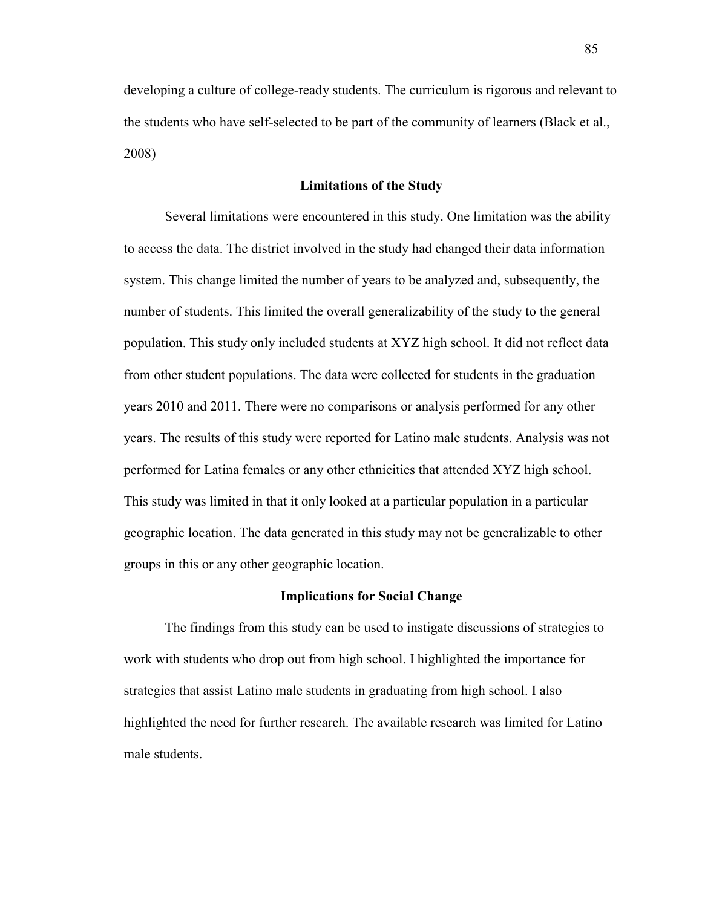developing a culture of college-ready students. The curriculum is rigorous and relevant to the students who have self-selected to be part of the community of learners (Black et al., 2008)

#### **Limitations of the Study**

Several limitations were encountered in this study. One limitation was the ability to access the data. The district involved in the study had changed their data information system. This change limited the number of years to be analyzed and, subsequently, the number of students. This limited the overall generalizability of the study to the general population. This study only included students at XYZ high school. It did not reflect data from other student populations. The data were collected for students in the graduation years 2010 and 2011. There were no comparisons or analysis performed for any other years. The results of this study were reported for Latino male students. Analysis was not performed for Latina females or any other ethnicities that attended XYZ high school. This study was limited in that it only looked at a particular population in a particular geographic location. The data generated in this study may not be generalizable to other groups in this or any other geographic location.

#### **Implications for Social Change**

The findings from this study can be used to instigate discussions of strategies to work with students who drop out from high school. I highlighted the importance for strategies that assist Latino male students in graduating from high school. I also highlighted the need for further research. The available research was limited for Latino male students.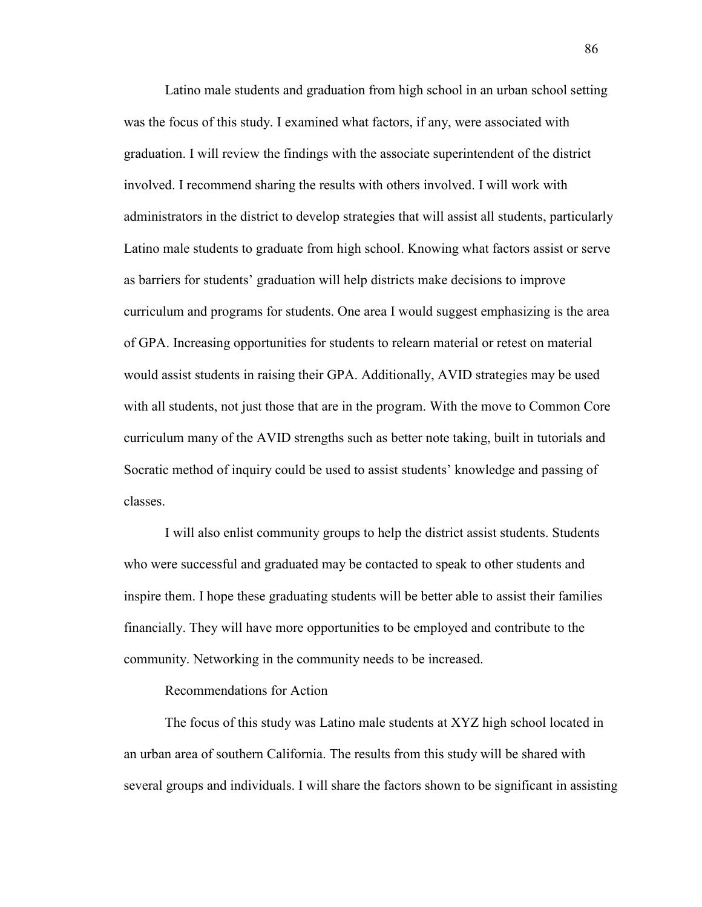Latino male students and graduation from high school in an urban school setting was the focus of this study. I examined what factors, if any, were associated with graduation. I will review the findings with the associate superintendent of the district involved. I recommend sharing the results with others involved. I will work with administrators in the district to develop strategies that will assist all students, particularly Latino male students to graduate from high school. Knowing what factors assist or serve as barriers for students' graduation will help districts make decisions to improve curriculum and programs for students. One area I would suggest emphasizing is the area of GPA. Increasing opportunities for students to relearn material or retest on material would assist students in raising their GPA. Additionally, AVID strategies may be used with all students, not just those that are in the program. With the move to Common Core curriculum many of the AVID strengths such as better note taking, built in tutorials and Socratic method of inquiry could be used to assist students' knowledge and passing of classes.

I will also enlist community groups to help the district assist students. Students who were successful and graduated may be contacted to speak to other students and inspire them. I hope these graduating students will be better able to assist their families financially. They will have more opportunities to be employed and contribute to the community. Networking in the community needs to be increased.

#### Recommendations for Action

The focus of this study was Latino male students at XYZ high school located in an urban area of southern California. The results from this study will be shared with several groups and individuals. I will share the factors shown to be significant in assisting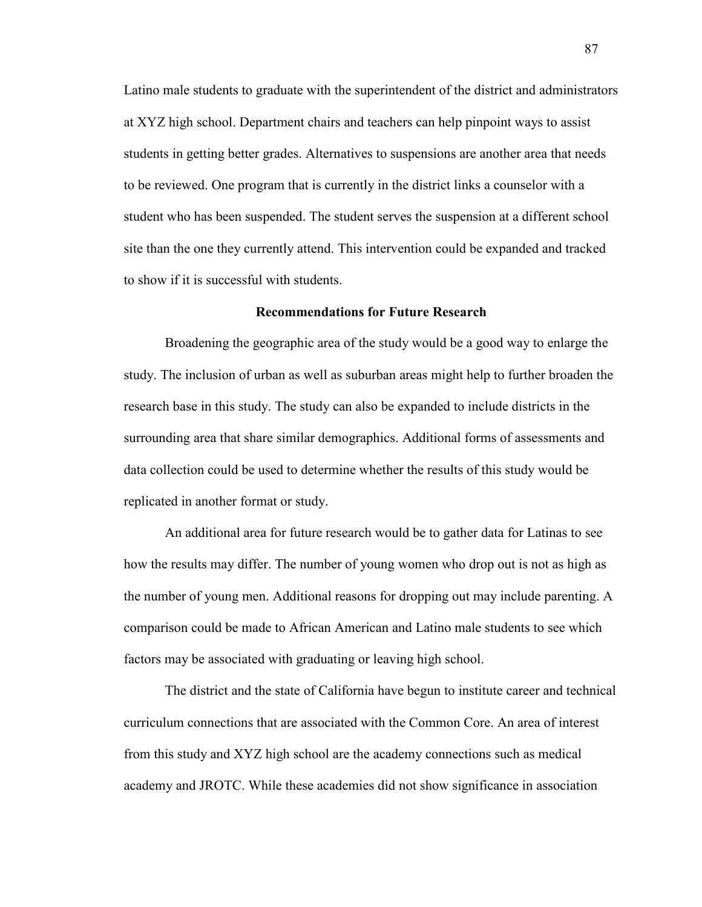Latino male students to graduate with the superintendent of the district and administrators at XYZ high school. Department chairs and teachers can help pinpoint ways to assist students in getting better grades. Alternatives to suspensions are another area that needs to be reviewed. One program that is currently in the district links a counselor with a student who has been suspended. The student serves the suspension at a different school site than the one they currently attend. This intervention could be expanded and tracked to show if it is successful with students.

## **Recommendations for Future Research**

Broadening the geographic area of the study would be a good way to enlarge the study. The inclusion of urban as well as suburban areas might help to further broaden the research base in this study. The study can also be expanded to include districts in the surrounding area that share similar demographics. Additional forms of assessments and data collection could be used to determine whether the results of this study would be replicated in another format or study.

An additional area for future research would be to gather data for Latinas to see how the results may differ. The number of young women who drop out is not as high as the number of young men. Additional reasons for dropping out may include parenting. A comparison could be made to African American and Latino male students to see which factors may be associated with graduating or leaving high school.

The district and the state of California have begun to institute career and technical curriculum connections that are associated with the Common Core. An area of interest from this study and XYZ high school are the academy connections such as medical academy and JROTC. While these academies did not show significance in association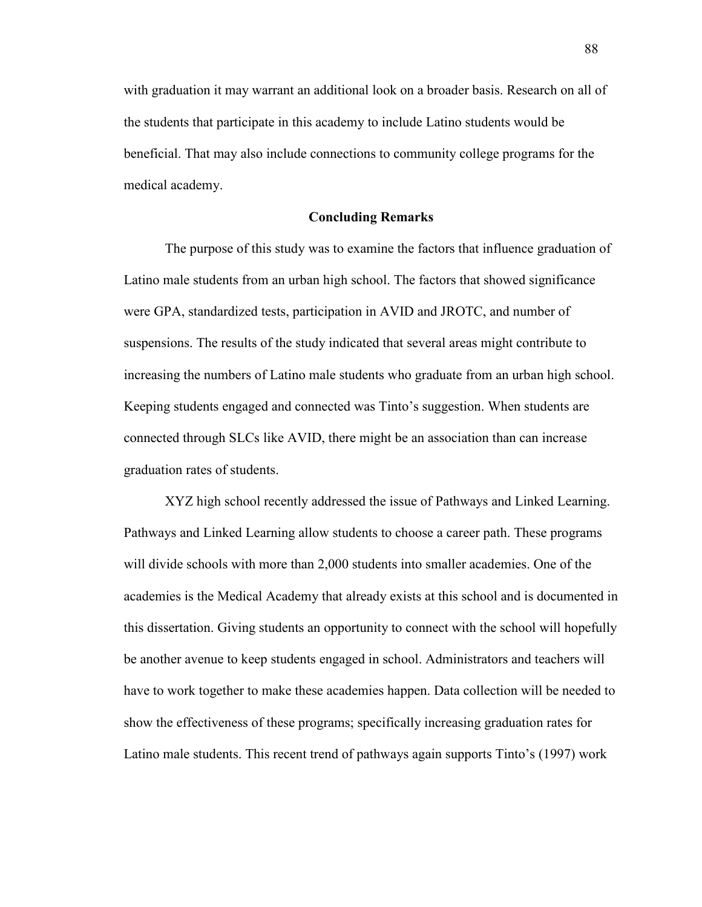with graduation it may warrant an additional look on a broader basis. Research on all of the students that participate in this academy to include Latino students would be beneficial. That may also include connections to community college programs for the medical academy.

#### **Concluding Remarks**

The purpose of this study was to examine the factors that influence graduation of Latino male students from an urban high school. The factors that showed significance were GPA, standardized tests, participation in AVID and JROTC, and number of suspensions. The results of the study indicated that several areas might contribute to increasing the numbers of Latino male students who graduate from an urban high school. Keeping students engaged and connected was Tinto's suggestion. When students are connected through SLCs like AVID, there might be an association than can increase graduation rates of students.

XYZ high school recently addressed the issue of Pathways and Linked Learning. Pathways and Linked Learning allow students to choose a career path. These programs will divide schools with more than 2,000 students into smaller academies. One of the academies is the Medical Academy that already exists at this school and is documented in this dissertation. Giving students an opportunity to connect with the school will hopefully be another avenue to keep students engaged in school. Administrators and teachers will have to work together to make these academies happen. Data collection will be needed to show the effectiveness of these programs; specifically increasing graduation rates for Latino male students. This recent trend of pathways again supports Tinto's (1997) work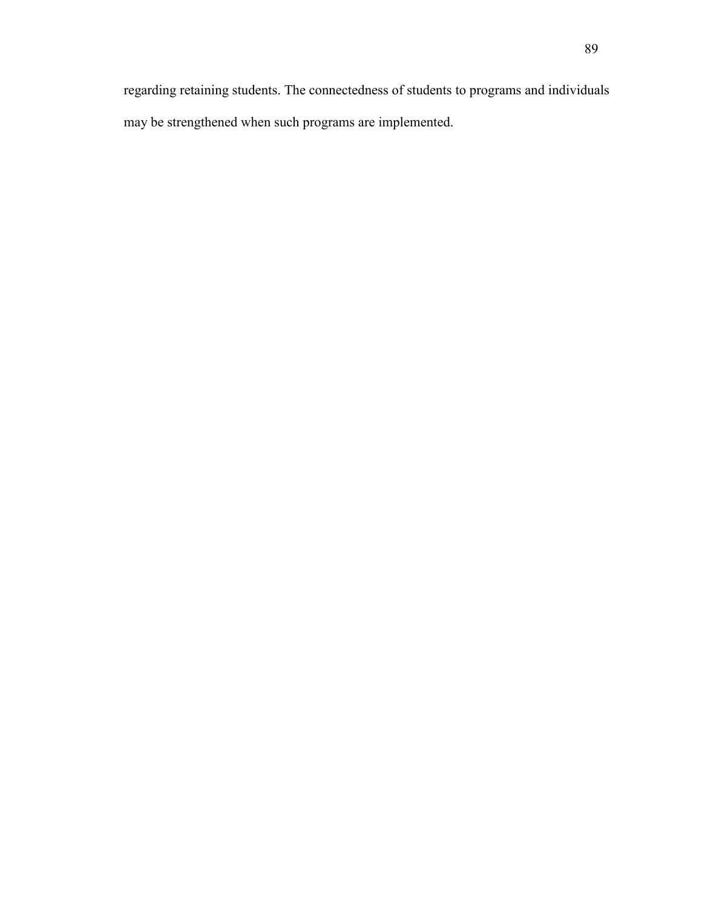regarding retaining students. The connectedness of students to programs and individuals may be strengthened when such programs are implemented.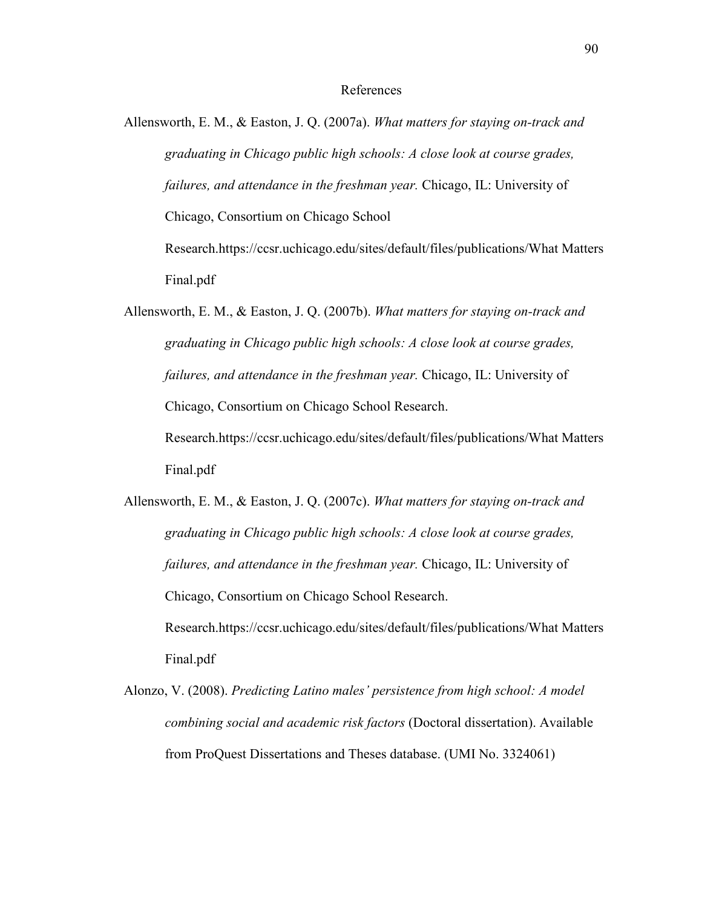#### References

Allensworth, E. M., & Easton, J. Q. (2007a). *What matters for staying on-track and graduating in Chicago public high schools: A close look at course grades, failures, and attendance in the freshman year.* Chicago, IL: University of Chicago, Consortium on Chicago School Research.https://ccsr.uchicago.edu/sites/default/files/publications/What Matters Final.pdf

Allensworth, E. M., & Easton, J. Q. (2007b). *What matters for staying on-track and graduating in Chicago public high schools: A close look at course grades, failures, and attendance in the freshman year.* Chicago, IL: University of Chicago, Consortium on Chicago School Research. Research.https://ccsr.uchicago.edu/sites/default/files/publications/What Matters Final.pdf

Allensworth, E. M., & Easton, J. Q. (2007c). *What matters for staying on-track and graduating in Chicago public high schools: A close look at course grades, failures, and attendance in the freshman year.* Chicago, IL: University of Chicago, Consortium on Chicago School Research. Research.https://ccsr.uchicago.edu/sites/default/files/publications/What Matters Final.pdf

Alonzo, V. (2008). *Predicting Latino males' persistence from high school: A model combining social and academic risk factors* (Doctoral dissertation). Available from ProQuest Dissertations and Theses database. (UMI No. 3324061)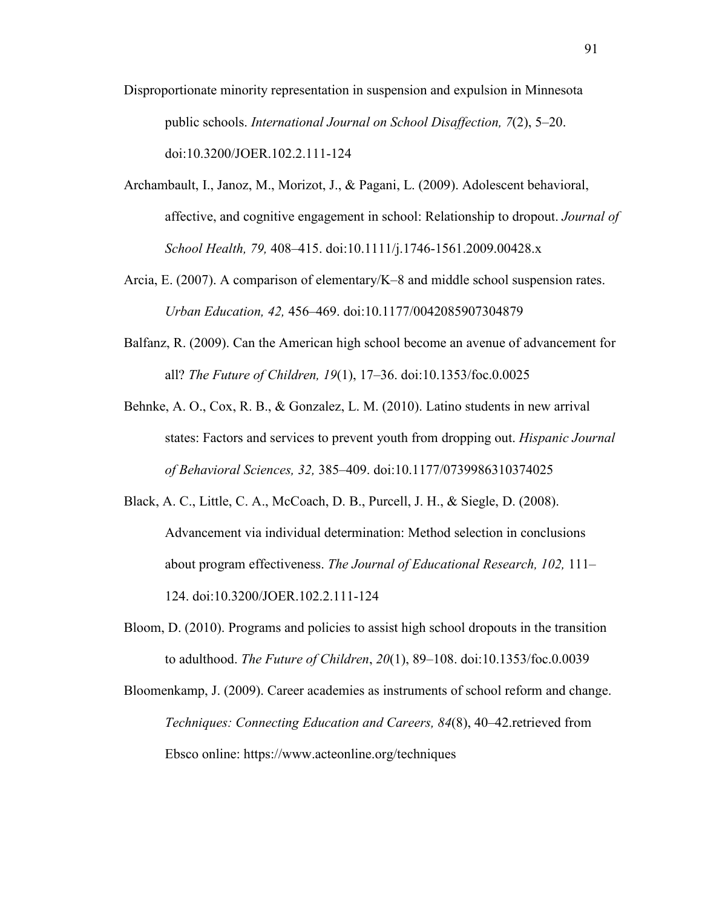- Disproportionate minority representation in suspension and expulsion in Minnesota public schools. *International Journal on School Disaffection, 7*(2), 5–20. doi:10.3200/JOER.102.2.111-124
- Archambault, I., Janoz, M., Morizot, J., & Pagani, L. (2009). Adolescent behavioral, affective, and cognitive engagement in school: Relationship to dropout. *Journal of School Health, 79,* 408–415. doi:10.1111/j.1746-1561.2009.00428.x
- Arcia, E. (2007). A comparison of elementary/K–8 and middle school suspension rates. *Urban Education, 42,* 456–469. doi:10.1177/0042085907304879
- Balfanz, R. (2009). Can the American high school become an avenue of advancement for all? *The Future of Children, 19*(1), 17–36. doi:10.1353/foc.0.0025
- Behnke, A. O., Cox, R. B., & Gonzalez, L. M. (2010). Latino students in new arrival states: Factors and services to prevent youth from dropping out. *Hispanic Journal of Behavioral Sciences, 32,* 385–409. doi:10.1177/0739986310374025
- Black, A. C., Little, C. A., McCoach, D. B., Purcell, J. H., & Siegle, D. (2008). Advancement via individual determination: Method selection in conclusions about program effectiveness. *The Journal of Educational Research, 102,* 111– 124. doi:10.3200/JOER.102.2.111-124
- Bloom, D. (2010). Programs and policies to assist high school dropouts in the transition to adulthood. *The Future of Children*, *20*(1), 89–108. doi:10.1353/foc.0.0039
- Bloomenkamp, J. (2009). Career academies as instruments of school reform and change. *Techniques: Connecting Education and Careers, 84*(8), 40–42.retrieved from Ebsco online: https://www.acteonline.org/techniques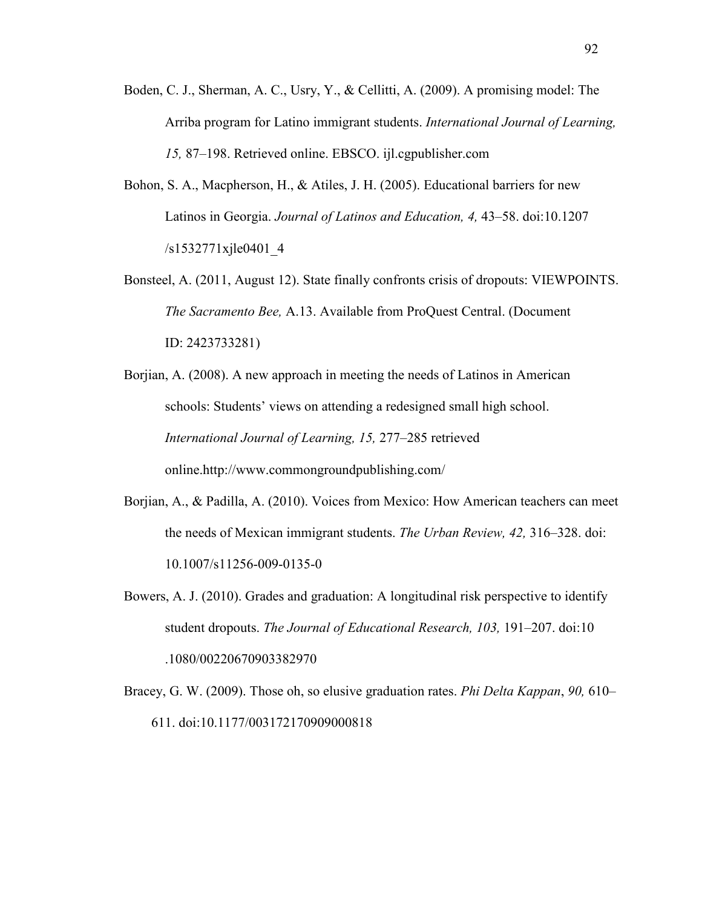- Boden, C. J., Sherman, A. C., Usry, Y., & Cellitti, A. (2009). A promising model: The Arriba program for Latino immigrant students. *International Journal of Learning, 15,* 87–198. Retrieved online. EBSCO. ijl.cgpublisher.com
- Bohon, S. A., Macpherson, H., & Atiles, J. H. (2005). Educational barriers for new Latinos in Georgia. *Journal of Latinos and Education, 4,* 43–58. doi:10.1207 /s1532771xjle0401\_4
- Bonsteel, A. (2011, August 12). State finally confronts crisis of dropouts: VIEWPOINTS. *The Sacramento Bee,* A.13. Available from ProQuest Central. (Document ID: 2423733281)
- Borjian, A. (2008). A new approach in meeting the needs of Latinos in American schools: Students' views on attending a redesigned small high school. *International Journal of Learning, 15,* 277–285 retrieved online.http://www.commongroundpublishing.com/
- Borjian, A., & Padilla, A. (2010). Voices from Mexico: How American teachers can meet the needs of Mexican immigrant students. *The Urban Review, 42,* 316–328. doi: 10.1007/s11256-009-0135-0
- Bowers, A. J. (2010). Grades and graduation: A longitudinal risk perspective to identify student dropouts. *The Journal of Educational Research, 103,* 191–207. doi:10 .1080/00220670903382970
- Bracey, G. W. (2009). Those oh, so elusive graduation rates. *Phi Delta Kappan*, *90,* 610– 611. doi:10.1177/003172170909000818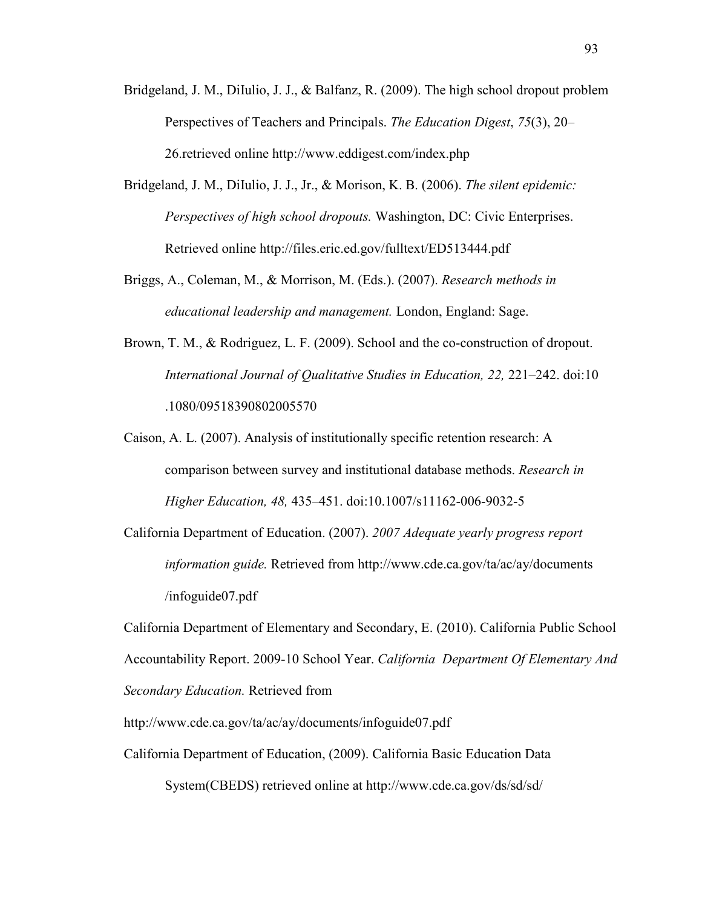- Bridgeland, J. M., DiIulio, J. J., & Balfanz, R. (2009). The high school dropout problem Perspectives of Teachers and Principals. *The Education Digest*, *75*(3), 20– 26.retrieved online http://www.eddigest.com/index.php
- Bridgeland, J. M., DiIulio, J. J., Jr., & Morison, K. B. (2006). *The silent epidemic: Perspectives of high school dropouts.* Washington, DC: Civic Enterprises. Retrieved online http://files.eric.ed.gov/fulltext/ED513444.pdf
- Briggs, A., Coleman, M., & Morrison, M. (Eds.). (2007). *Research methods in educational leadership and management.* London, England: Sage.
- Brown, T. M., & Rodriguez, L. F. (2009). School and the co-construction of dropout. *International Journal of Qualitative Studies in Education, 22, 221–242. doi:10* .1080/09518390802005570
- Caison, A. L. (2007). Analysis of institutionally specific retention research: A comparison between survey and institutional database methods. *Research in Higher Education, 48,* 435–451. doi:10.1007/s11162-006-9032-5
- California Department of Education. (2007). *2007 Adequate yearly progress report information guide.* Retrieved from http://www.cde.ca.gov/ta/ac/ay/documents /infoguide07.pdf

California Department of Elementary and Secondary, E. (2010). California Public School Accountability Report. 2009-10 School Year. *California Department Of Elementary And Secondary Education.* Retrieved from

http://www.cde.ca.gov/ta/ac/ay/documents/infoguide07.pdf

California Department of Education, (2009). California Basic Education Data System(CBEDS) retrieved online at http://www.cde.ca.gov/ds/sd/sd/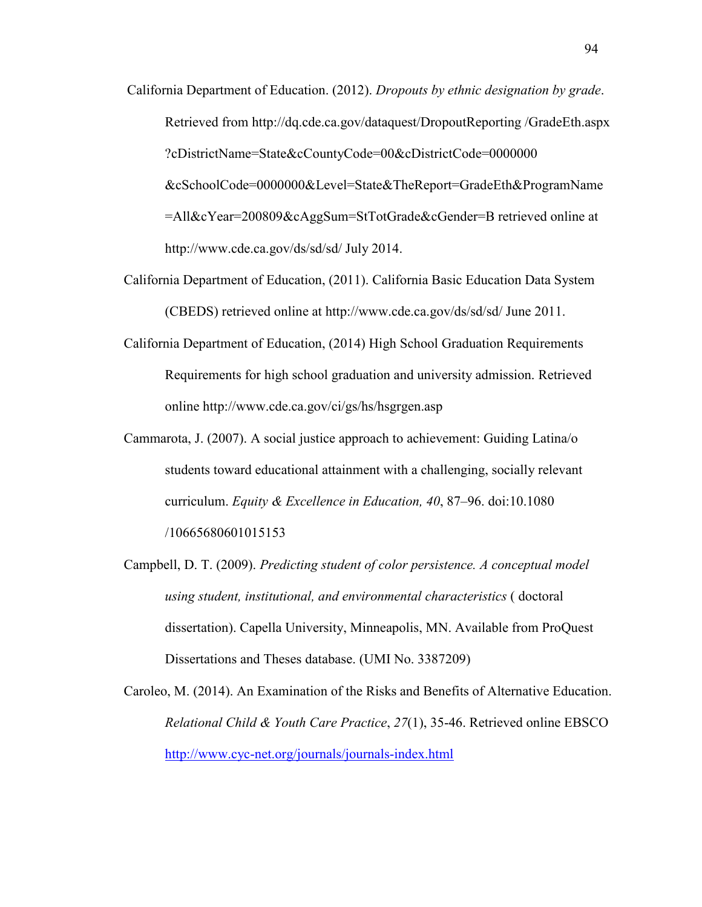- California Department of Education. (2012). *Dropouts by ethnic designation by grade*. Retrieved from http://dq.cde.ca.gov/dataquest/DropoutReporting /GradeEth.aspx ?cDistrictName=State&cCountyCode=00&cDistrictCode=0000000 &cSchoolCode=0000000&Level=State&TheReport=GradeEth&ProgramName =All&cYear=200809&cAggSum=StTotGrade&cGender=B retrieved online at http://www.cde.ca.gov/ds/sd/sd/ July 2014.
- California Department of Education, (2011). California Basic Education Data System (CBEDS) retrieved online at http://www.cde.ca.gov/ds/sd/sd/ June 2011.
- California Department of Education, (2014) High School Graduation Requirements Requirements for high school graduation and university admission. Retrieved online http://www.cde.ca.gov/ci/gs/hs/hsgrgen.asp
- Cammarota, J. (2007). A social justice approach to achievement: Guiding Latina/o students toward educational attainment with a challenging, socially relevant curriculum. *Equity & Excellence in Education, 40*, 87–96. doi:10.1080 /10665680601015153
- Campbell, D. T. (2009). *Predicting student of color persistence. A conceptual model using student, institutional, and environmental characteristics* ( doctoral dissertation). Capella University, Minneapolis, MN. Available from ProQuest Dissertations and Theses database. (UMI No. 3387209)

Caroleo, M. (2014). An Examination of the Risks and Benefits of Alternative Education. *Relational Child & Youth Care Practice*, *27*(1), 35-46. Retrieved online EBSCO http://www.cyc-net.org/journals/journals-index.html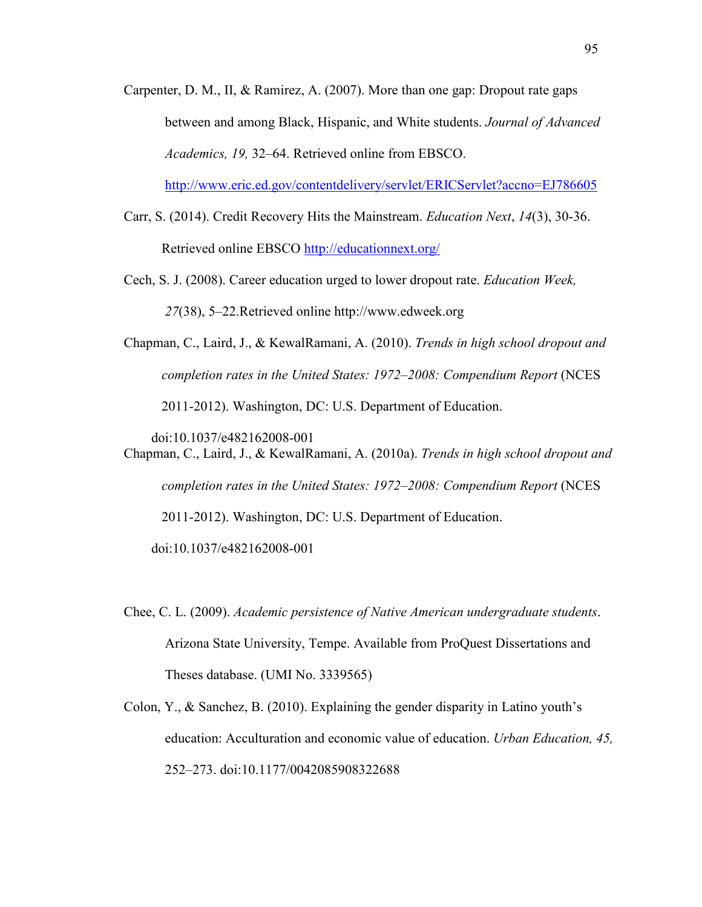Carpenter, D. M., II, & Ramirez, A. (2007). More than one gap: Dropout rate gaps between and among Black, Hispanic, and White students. *Journal of Advanced Academics, 19,* 32–64. Retrieved online from EBSCO.

http://www.eric.ed.gov/contentdelivery/servlet/ERICServlet?accno=EJ786605

- Carr, S. (2014). Credit Recovery Hits the Mainstream. *Education Next*, *14*(3), 30-36. Retrieved online EBSCO http://educationnext.org/
- Cech, S. J. (2008). Career education urged to lower dropout rate. *Education Week, 27*(38), 5–22.Retrieved online http://www.edweek.org
- Chapman, C., Laird, J., & KewalRamani, A. (2010). *Trends in high school dropout and completion rates in the United States: 1972–2008: Compendium Report* (NCES 2011-2012). Washington, DC: U.S. Department of Education.

doi:10.1037/e482162008-001

- Chapman, C., Laird, J., & KewalRamani, A. (2010a). *Trends in high school dropout and completion rates in the United States: 1972–2008: Compendium Report* (NCES 2011-2012). Washington, DC: U.S. Department of Education. doi:10.1037/e482162008-001
- Chee, C. L. (2009). *Academic persistence of Native American undergraduate students*. Arizona State University, Tempe. Available from ProQuest Dissertations and Theses database. (UMI No. 3339565)
- Colon, Y., & Sanchez, B. (2010). Explaining the gender disparity in Latino youth's education: Acculturation and economic value of education. *Urban Education, 45,* 252–273. doi:10.1177/0042085908322688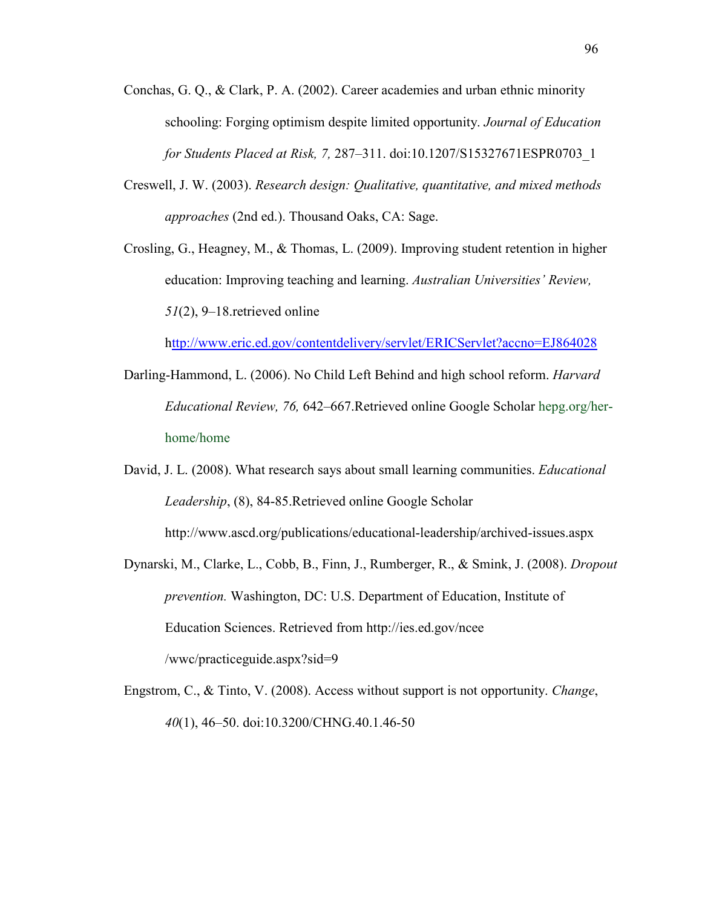- Conchas, G. Q., & Clark, P. A. (2002). Career academies and urban ethnic minority schooling: Forging optimism despite limited opportunity. *Journal of Education for Students Placed at Risk, 7,* 287–311. doi:10.1207/S15327671ESPR0703\_1
- Creswell, J. W. (2003). *Research design: Qualitative, quantitative, and mixed methods approaches* (2nd ed.). Thousand Oaks, CA: Sage.
- Crosling, G., Heagney, M., & Thomas, L. (2009). Improving student retention in higher education: Improving teaching and learning. *Australian Universities' Review, 51*(2), 9–18.retrieved online

http://www.eric.ed.gov/contentdelivery/servlet/ERICServlet?accno=EJ864028

- Darling-Hammond, L. (2006). No Child Left Behind and high school reform. *Harvard Educational Review, 76,* 642–667.Retrieved online Google Scholar hepg.org/herhome/home
- David, J. L. (2008). What research says about small learning communities. *Educational Leadership*, (8), 84-85.Retrieved online Google Scholar http://www.ascd.org/publications/educational-leadership/archived-issues.aspx
- Dynarski, M., Clarke, L., Cobb, B., Finn, J., Rumberger, R., & Smink, J. (2008). *Dropout prevention.* Washington, DC: U.S. Department of Education, Institute of Education Sciences. Retrieved from http://ies.ed.gov/ncee /wwc/practiceguide.aspx?sid=9
- Engstrom, C., & Tinto, V. (2008). Access without support is not opportunity. *Change*, *40*(1), 46–50. doi:10.3200/CHNG.40.1.46-50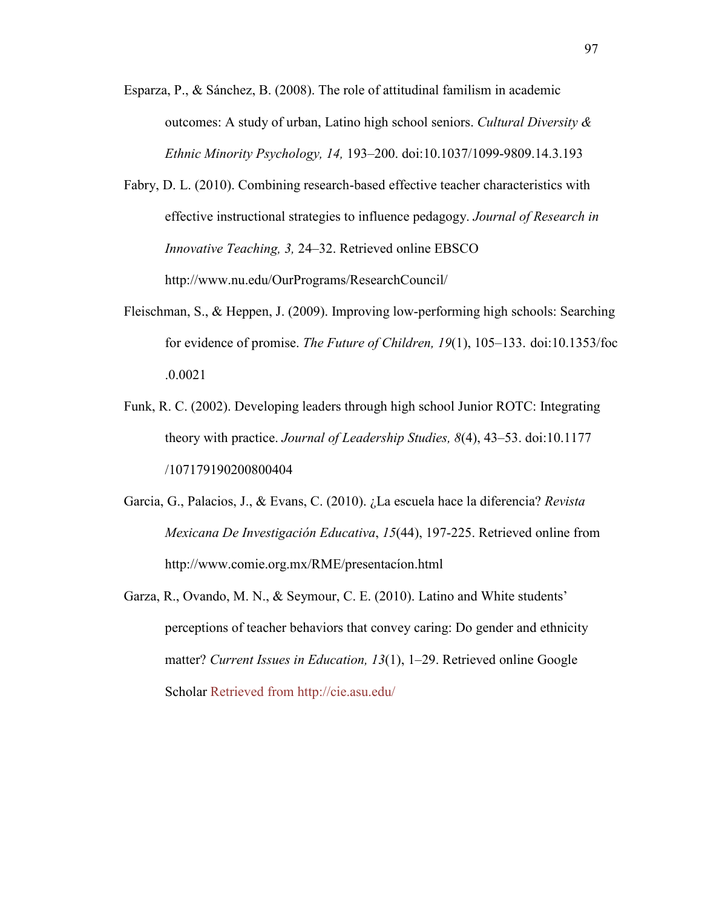- Esparza, P., & Sánchez, B. (2008). The role of attitudinal familism in academic outcomes: A study of urban, Latino high school seniors. *Cultural Diversity & Ethnic Minority Psychology, 14,* 193–200. doi:10.1037/1099-9809.14.3.193
- Fabry, D. L. (2010). Combining research-based effective teacher characteristics with effective instructional strategies to influence pedagogy. *Journal of Research in Innovative Teaching, 3,* 24–32. Retrieved online EBSCO http://www.nu.edu/OurPrograms/ResearchCouncil/
- Fleischman, S., & Heppen, J. (2009). Improving low-performing high schools: Searching for evidence of promise. *The Future of Children, 19*(1), 105–133. doi:10.1353/foc .0.0021
- Funk, R. C. (2002). Developing leaders through high school Junior ROTC: Integrating theory with practice. *Journal of Leadership Studies, 8*(4), 43–53. doi:10.1177 /107179190200800404
- Garcia, G., Palacios, J., & Evans, C. (2010). ¿La escuela hace la diferencia? *Revista Mexicana De Investigación Educativa*, *15*(44), 197-225. Retrieved online from http://www.comie.org.mx/RME/presentacíon.html
- Garza, R., Ovando, M. N., & Seymour, C. E. (2010). Latino and White students' perceptions of teacher behaviors that convey caring: Do gender and ethnicity matter? *Current Issues in Education, 13*(1), 1–29. Retrieved online Google Scholar Retrieved from http://cie.asu.edu/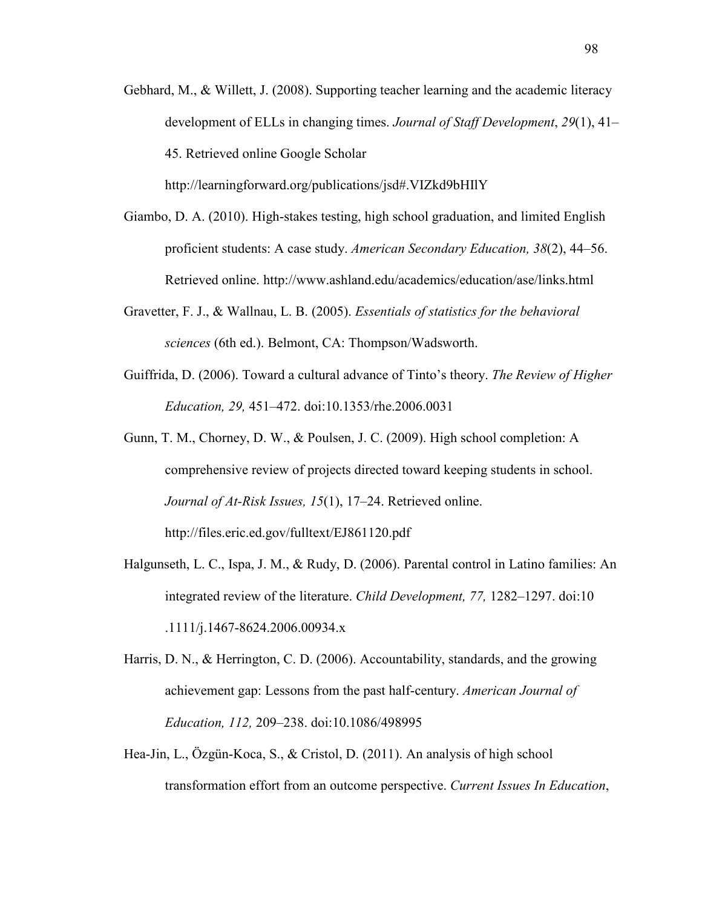Gebhard, M., & Willett, J. (2008). Supporting teacher learning and the academic literacy development of ELLs in changing times. *Journal of Staff Development*, *29*(1), 41– 45. Retrieved online Google Scholar

http://learningforward.org/publications/jsd#.VIZkd9bHIlY

- Giambo, D. A. (2010). High-stakes testing, high school graduation, and limited English proficient students: A case study. *American Secondary Education, 38*(2), 44–56. Retrieved online. http://www.ashland.edu/academics/education/ase/links.html
- Gravetter, F. J., & Wallnau, L. B. (2005). *Essentials of statistics for the behavioral sciences* (6th ed.). Belmont, CA: Thompson/Wadsworth.
- Guiffrida, D. (2006). Toward a cultural advance of Tinto's theory. *The Review of Higher Education, 29,* 451–472. doi:10.1353/rhe.2006.0031
- Gunn, T. M., Chorney, D. W., & Poulsen, J. C. (2009). High school completion: A comprehensive review of projects directed toward keeping students in school. *Journal of At-Risk Issues, 15*(1), 17–24. Retrieved online. http://files.eric.ed.gov/fulltext/EJ861120.pdf
- Halgunseth, L. C., Ispa, J. M., & Rudy, D. (2006). Parental control in Latino families: An integrated review of the literature. *Child Development, 77,* 1282–1297. doi:10 .1111/j.1467-8624.2006.00934.x
- Harris, D. N., & Herrington, C. D. (2006). Accountability, standards, and the growing achievement gap: Lessons from the past half-century. *American Journal of Education, 112,* 209–238. doi:10.1086/498995
- Hea-Jin, L., Özgün-Koca, S., & Cristol, D. (2011). An analysis of high school transformation effort from an outcome perspective. *Current Issues In Education*,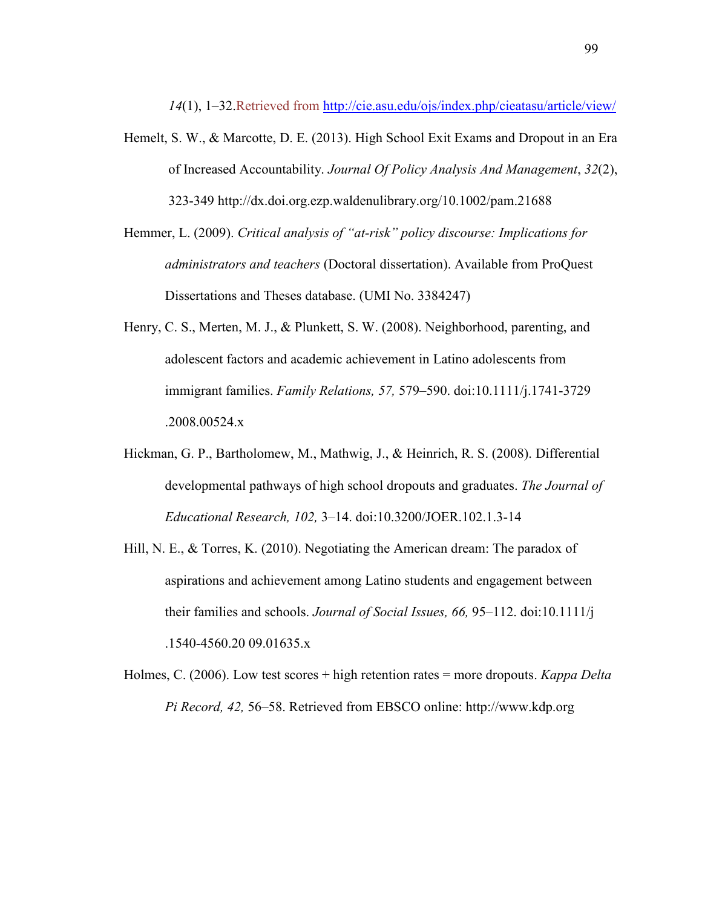*14*(1), 1–32.Retrieved from http://cie.asu.edu/ojs/index.php/cieatasu/article/view/

- Hemelt, S. W., & Marcotte, D. E. (2013). High School Exit Exams and Dropout in an Era of Increased Accountability. *Journal Of Policy Analysis And Management*, *32*(2), 323-349 http://dx.doi.org.ezp.waldenulibrary.org/10.1002/pam.21688
- Hemmer, L. (2009). *Critical analysis of "at-risk" policy discourse: Implications for administrators and teachers* (Doctoral dissertation). Available from ProQuest Dissertations and Theses database. (UMI No. 3384247)
- Henry, C. S., Merten, M. J., & Plunkett, S. W. (2008). Neighborhood, parenting, and adolescent factors and academic achievement in Latino adolescents from immigrant families. *Family Relations, 57,* 579–590. doi:10.1111/j.1741-3729 .2008.00524.x
- Hickman, G. P., Bartholomew, M., Mathwig, J., & Heinrich, R. S. (2008). Differential developmental pathways of high school dropouts and graduates. *The Journal of Educational Research, 102,* 3–14. doi:10.3200/JOER.102.1.3-14
- Hill, N. E., & Torres, K. (2010). Negotiating the American dream: The paradox of aspirations and achievement among Latino students and engagement between their families and schools. *Journal of Social Issues, 66,* 95–112. doi:10.1111/j .1540-4560.20 09.01635.x
- Holmes, C. (2006). Low test scores + high retention rates = more dropouts. *Kappa Delta Pi Record, 42,* 56–58. Retrieved from EBSCO online: http://www.kdp.org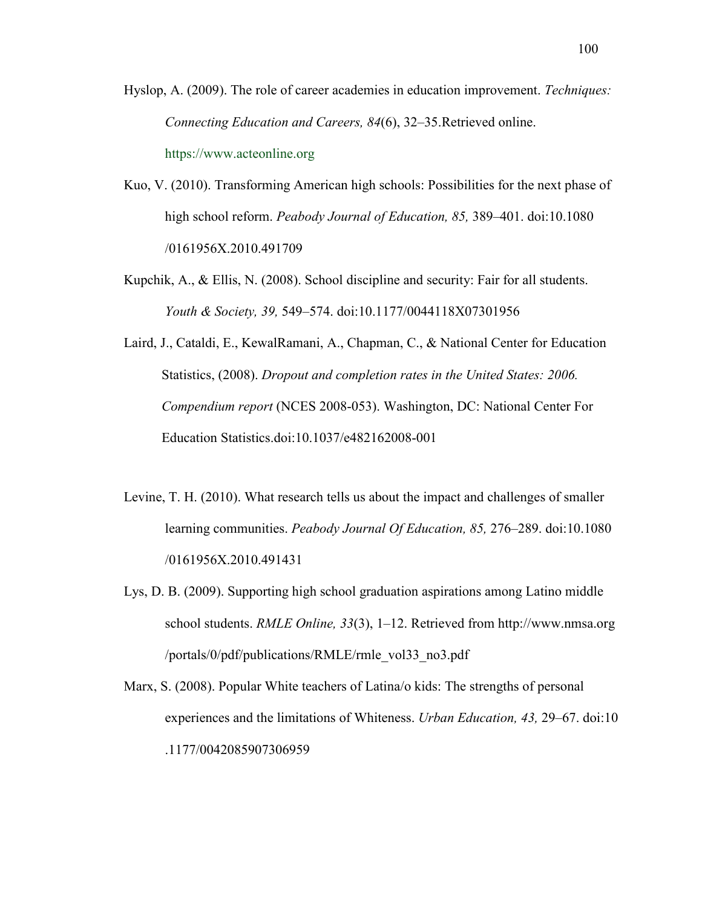- Hyslop, A. (2009). The role of career academies in education improvement. *Techniques: Connecting Education and Careers, 84*(6), 32–35.Retrieved online. https://www.acteonline.org
- Kuo, V. (2010). Transforming American high schools: Possibilities for the next phase of high school reform. *Peabody Journal of Education, 85,* 389–401. doi:10.1080 /0161956X.2010.491709
- Kupchik, A., & Ellis, N. (2008). School discipline and security: Fair for all students. *Youth & Society, 39,* 549–574. doi:10.1177/0044118X07301956
- Laird, J., Cataldi, E., KewalRamani, A., Chapman, C., & National Center for Education Statistics, (2008). *Dropout and completion rates in the United States: 2006. Compendium report* (NCES 2008-053). Washington, DC: National Center For Education Statistics.doi:10.1037/e482162008-001
- Levine, T. H. (2010). What research tells us about the impact and challenges of smaller learning communities. *Peabody Journal Of Education, 85,* 276–289. doi:10.1080 /0161956X.2010.491431
- Lys, D. B. (2009). Supporting high school graduation aspirations among Latino middle school students. *RMLE Online, 33*(3), 1–12. Retrieved from http://www.nmsa.org /portals/0/pdf/publications/RMLE/rmle\_vol33\_no3.pdf
- Marx, S. (2008). Popular White teachers of Latina/o kids: The strengths of personal experiences and the limitations of Whiteness. *Urban Education, 43,* 29–67. doi:10 .1177/0042085907306959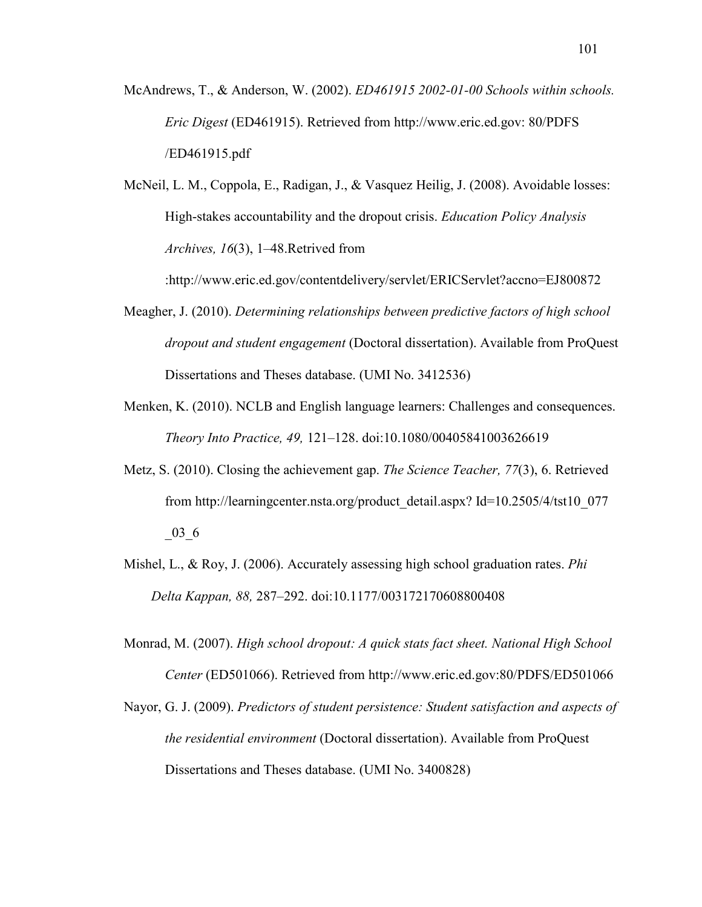- McAndrews, T., & Anderson, W. (2002). *ED461915 2002-01-00 Schools within schools. Eric Digest* (ED461915). Retrieved from http://www.eric.ed.gov: 80/PDFS /ED461915.pdf
- McNeil, L. M., Coppola, E., Radigan, J., & Vasquez Heilig, J. (2008). Avoidable losses: High-stakes accountability and the dropout crisis. *Education Policy Analysis Archives, 16*(3), 1–48.Retrived from

:http://www.eric.ed.gov/contentdelivery/servlet/ERICServlet?accno=EJ800872

- Meagher, J. (2010). *Determining relationships between predictive factors of high school dropout and student engagement* (Doctoral dissertation). Available from ProQuest Dissertations and Theses database. (UMI No. 3412536)
- Menken, K. (2010). NCLB and English language learners: Challenges and consequences. *Theory Into Practice, 49,* 121–128. doi:10.1080/00405841003626619
- Metz, S. (2010). Closing the achievement gap. *The Science Teacher, 77*(3), 6. Retrieved from http://learningcenter.nsta.org/product\_detail.aspx? Id=10.2505/4/tst10\_077  $-03\_6$
- Mishel, L., & Roy, J. (2006). Accurately assessing high school graduation rates. *Phi Delta Kappan, 88,* 287–292. doi:10.1177/003172170608800408
- Monrad, M. (2007). *High school dropout: A quick stats fact sheet. National High School Center* (ED501066). Retrieved from http://www.eric.ed.gov:80/PDFS/ED501066
- Nayor, G. J. (2009). *Predictors of student persistence: Student satisfaction and aspects of the residential environment* (Doctoral dissertation). Available from ProQuest Dissertations and Theses database. (UMI No. 3400828)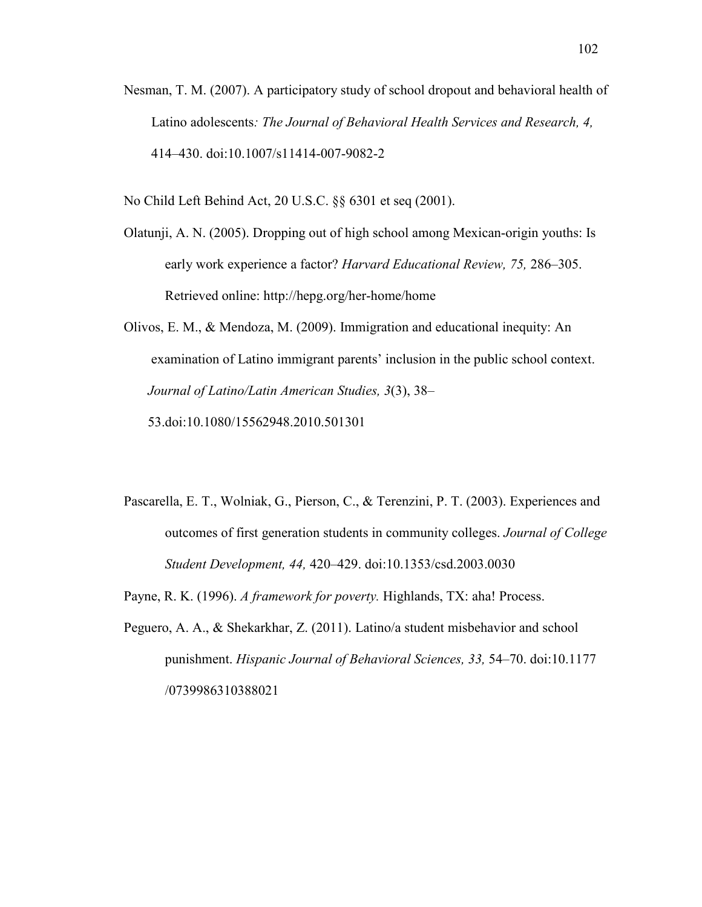Nesman, T. M. (2007). A participatory study of school dropout and behavioral health of Latino adolescents*: The Journal of Behavioral Health Services and Research, 4,* 414–430. doi:10.1007/s11414-007-9082-2

No Child Left Behind Act, 20 U.S.C. §§ 6301 et seq (2001).

- Olatunji, A. N. (2005). Dropping out of high school among Mexican-origin youths: Is early work experience a factor? *Harvard Educational Review, 75,* 286–305. Retrieved online: http://hepg.org/her-home/home
- Olivos, E. M., & Mendoza, M. (2009). Immigration and educational inequity: An examination of Latino immigrant parents' inclusion in the public school context.  *Journal of Latino/Latin American Studies, 3*(3), 38–

53.doi:10.1080/15562948.2010.501301

- Pascarella, E. T., Wolniak, G., Pierson, C., & Terenzini, P. T. (2003). Experiences and outcomes of first generation students in community colleges. *Journal of College Student Development, 44,* 420–429. doi:10.1353/csd.2003.0030
- Payne, R. K. (1996). *A framework for poverty.* Highlands, TX: aha! Process.
- Peguero, A. A., & Shekarkhar, Z. (2011). Latino/a student misbehavior and school punishment. *Hispanic Journal of Behavioral Sciences, 33,* 54–70. doi:10.1177 /0739986310388021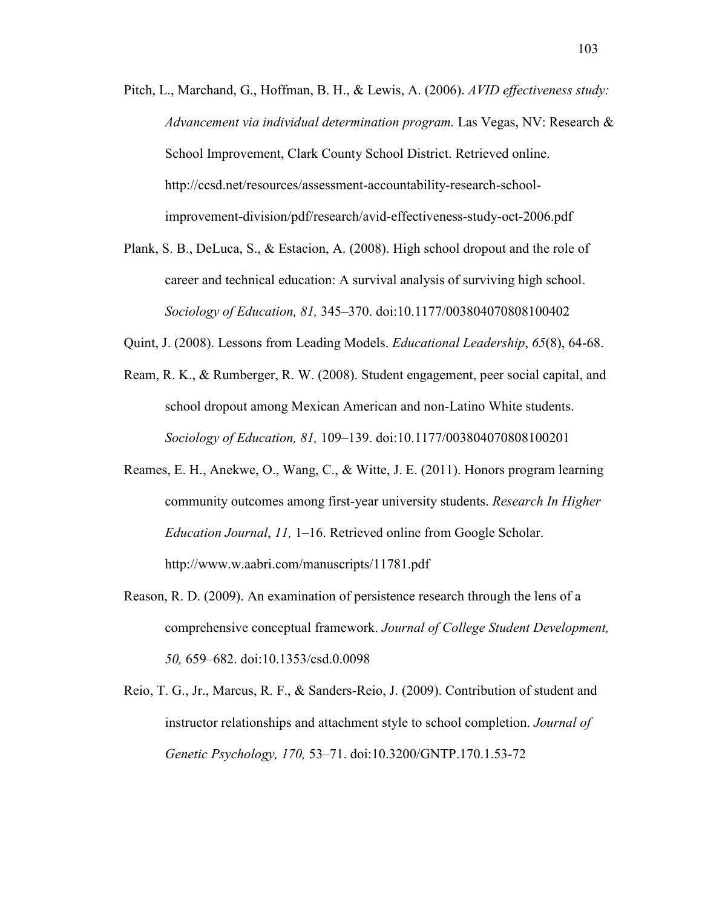- Pitch, L., Marchand, G., Hoffman, B. H., & Lewis, A. (2006). *AVID effectiveness study: Advancement via individual determination program.* Las Vegas, NV: Research & School Improvement, Clark County School District. Retrieved online. http://ccsd.net/resources/assessment-accountability-research-schoolimprovement-division/pdf/research/avid-effectiveness-study-oct-2006.pdf
- Plank, S. B., DeLuca, S., & Estacion, A. (2008). High school dropout and the role of career and technical education: A survival analysis of surviving high school. *Sociology of Education, 81,* 345–370. doi:10.1177/003804070808100402
- Quint, J. (2008). Lessons from Leading Models. *Educational Leadership*, *65*(8), 64-68.
- Ream, R. K., & Rumberger, R. W. (2008). Student engagement, peer social capital, and school dropout among Mexican American and non-Latino White students. *Sociology of Education, 81,* 109–139. doi:10.1177/003804070808100201
- Reames, E. H., Anekwe, O., Wang, C., & Witte, J. E. (2011). Honors program learning community outcomes among first-year university students. *Research In Higher Education Journal*, *11,* 1–16. Retrieved online from Google Scholar. http://www.w.aabri.com/manuscripts/11781.pdf
- Reason, R. D. (2009). An examination of persistence research through the lens of a comprehensive conceptual framework. *Journal of College Student Development, 50,* 659–682. doi:10.1353/csd.0.0098
- Reio, T. G., Jr., Marcus, R. F., & Sanders-Reio, J. (2009). Contribution of student and instructor relationships and attachment style to school completion. *Journal of Genetic Psychology, 170,* 53–71. doi:10.3200/GNTP.170.1.53-72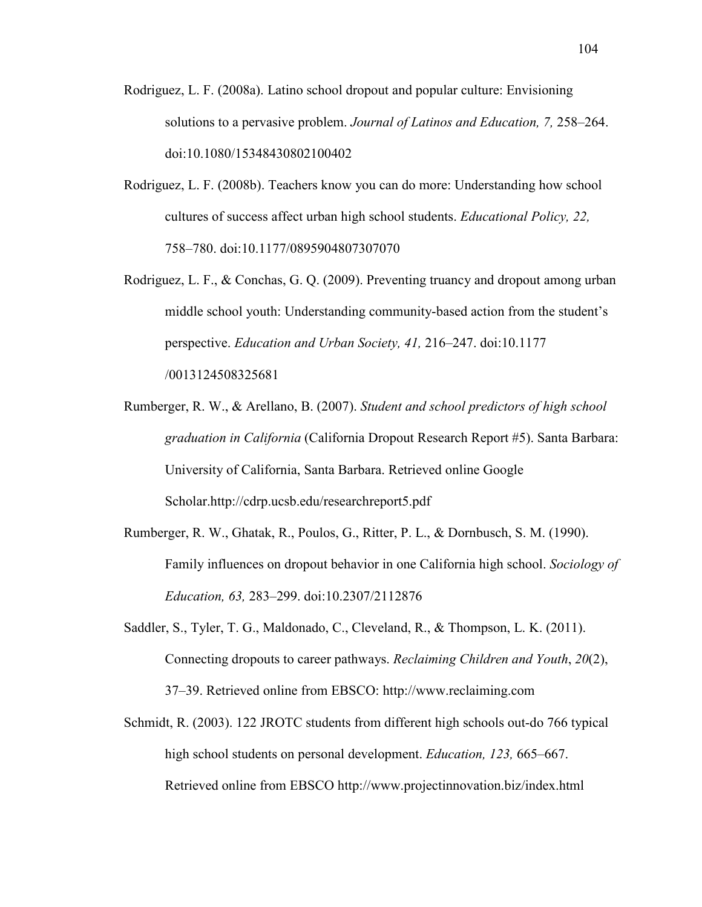- Rodriguez, L. F. (2008a). Latino school dropout and popular culture: Envisioning solutions to a pervasive problem. *Journal of Latinos and Education, 7,* 258–264. doi:10.1080/15348430802100402
- Rodriguez, L. F. (2008b). Teachers know you can do more: Understanding how school cultures of success affect urban high school students. *Educational Policy, 22,*  758–780. doi:10.1177/0895904807307070
- Rodriguez, L. F., & Conchas, G. Q. (2009). Preventing truancy and dropout among urban middle school youth: Understanding community-based action from the student's perspective. *Education and Urban Society, 41,* 216–247. doi:10.1177 /0013124508325681
- Rumberger, R. W., & Arellano, B. (2007). *Student and school predictors of high school graduation in California* (California Dropout Research Report #5). Santa Barbara: University of California, Santa Barbara. Retrieved online Google Scholar.http://cdrp.ucsb.edu/researchreport5.pdf
- Rumberger, R. W., Ghatak, R., Poulos, G., Ritter, P. L., & Dornbusch, S. M. (1990). Family influences on dropout behavior in one California high school. *Sociology of Education, 63,* 283–299. doi:10.2307/2112876
- Saddler, S., Tyler, T. G., Maldonado, C., Cleveland, R., & Thompson, L. K. (2011). Connecting dropouts to career pathways. *Reclaiming Children and Youth*, *20*(2), 37–39. Retrieved online from EBSCO: http://www.reclaiming.com
- Schmidt, R. (2003). 122 JROTC students from different high schools out-do 766 typical high school students on personal development. *Education, 123,* 665–667. Retrieved online from EBSCO http://www.projectinnovation.biz/index.html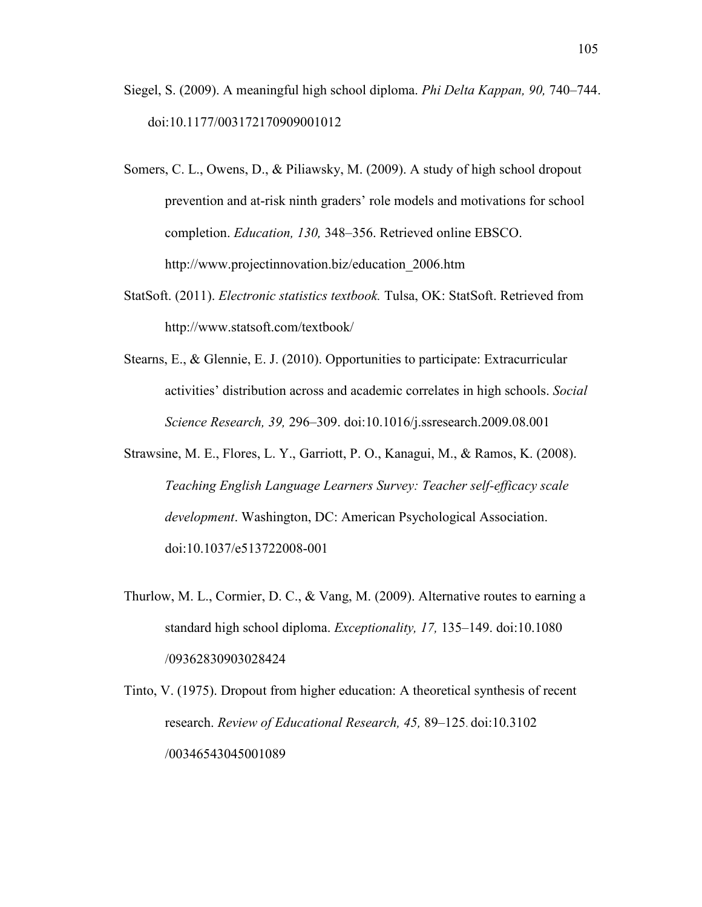- Siegel, S. (2009). A meaningful high school diploma. *Phi Delta Kappan, 90,* 740–744. doi:10.1177/003172170909001012
- Somers, C. L., Owens, D., & Piliawsky, M. (2009). A study of high school dropout prevention and at-risk ninth graders' role models and motivations for school completion. *Education, 130,* 348–356. Retrieved online EBSCO. http://www.projectinnovation.biz/education\_2006.htm
- StatSoft. (2011). *Electronic statistics textbook.* Tulsa, OK: StatSoft. Retrieved from http://www.statsoft.com/textbook/
- Stearns, E., & Glennie, E. J. (2010). Opportunities to participate: Extracurricular activities' distribution across and academic correlates in high schools. *Social Science Research, 39,* 296–309. doi:10.1016/j.ssresearch.2009.08.001
- Strawsine, M. E., Flores, L. Y., Garriott, P. O., Kanagui, M., & Ramos, K. (2008). *Teaching English Language Learners Survey: Teacher self-efficacy scale development*. Washington, DC: American Psychological Association. doi:10.1037/e513722008-001
- Thurlow, M. L., Cormier, D. C., & Vang, M. (2009). Alternative routes to earning a standard high school diploma. *Exceptionality, 17,* 135–149. doi:10.1080 /09362830903028424
- Tinto, V. (1975). Dropout from higher education: A theoretical synthesis of recent research. *Review of Educational Research, 45,* 89–125. doi:10.3102 /00346543045001089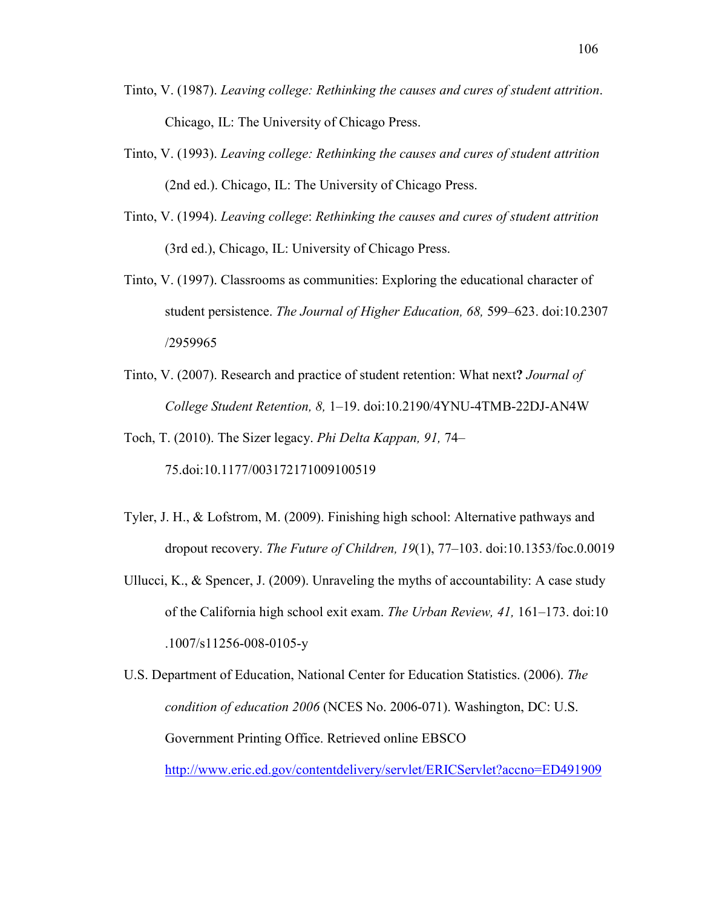- Tinto, V. (1987). *Leaving college: Rethinking the causes and cures of student attrition*. Chicago, IL: The University of Chicago Press.
- Tinto, V. (1993). *Leaving college: Rethinking the causes and cures of student attrition*  (2nd ed.). Chicago, IL: The University of Chicago Press.
- Tinto, V. (1994). *Leaving college*: *Rethinking the causes and cures of student attrition*  (3rd ed.), Chicago, IL: University of Chicago Press.
- Tinto, V. (1997). Classrooms as communities: Exploring the educational character of student persistence. *The Journal of Higher Education, 68,* 599–623. doi:10.2307 /2959965
- Tinto, V. (2007). Research and practice of student retention: What next**?** *Journal of College Student Retention, 8,* 1–19. doi:10.2190/4YNU-4TMB-22DJ-AN4W

Toch, T. (2010). The Sizer legacy. *Phi Delta Kappan, 91,* 74– 75.doi:10.1177/003172171009100519

- Tyler, J. H., & Lofstrom, M. (2009). Finishing high school: Alternative pathways and dropout recovery. *The Future of Children, 19*(1), 77–103. doi:10.1353/foc.0.0019
- Ullucci, K., & Spencer, J. (2009). Unraveling the myths of accountability: A case study of the California high school exit exam. *The Urban Review, 41,* 161–173. doi:10 .1007/s11256-008-0105-y

U.S. Department of Education, National Center for Education Statistics. (2006). *The condition of education 2006* (NCES No. 2006-071). Washington, DC: U.S. Government Printing Office. Retrieved online EBSCO http://www.eric.ed.gov/contentdelivery/servlet/ERICServlet?accno=ED491909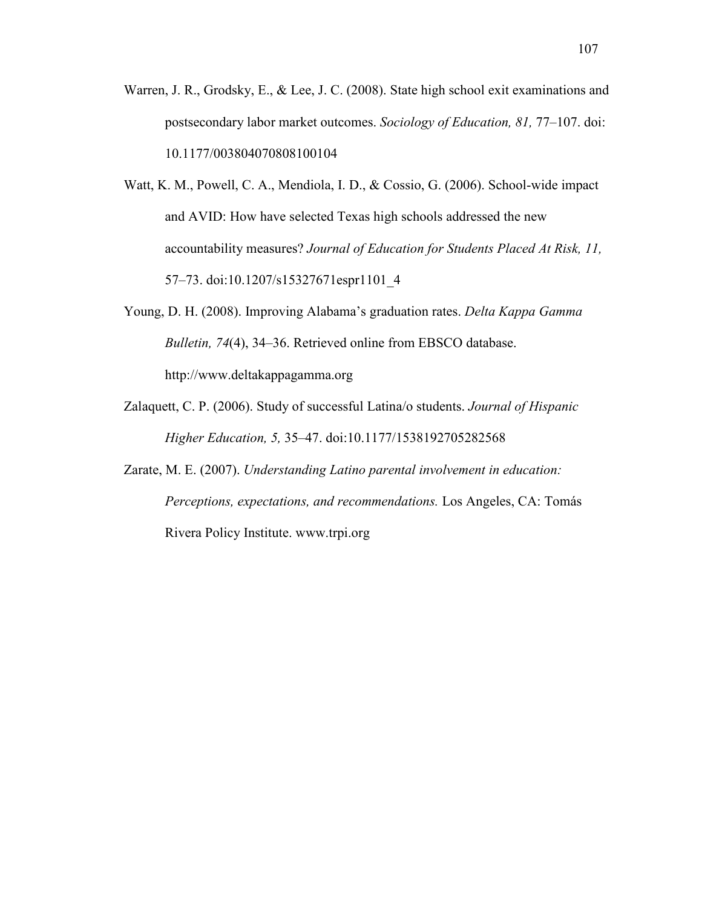- Warren, J. R., Grodsky, E., & Lee, J. C. (2008). State high school exit examinations and postsecondary labor market outcomes. *Sociology of Education, 81,* 77–107. doi: 10.1177/003804070808100104
- Watt, K. M., Powell, C. A., Mendiola, I. D., & Cossio, G. (2006). School-wide impact and AVID: How have selected Texas high schools addressed the new accountability measures? *Journal of Education for Students Placed At Risk, 11,*  57–73. doi:10.1207/s15327671espr1101\_4
- Young, D. H. (2008). Improving Alabama's graduation rates. *Delta Kappa Gamma Bulletin, 74*(4), 34–36. Retrieved online from EBSCO database. http://www.deltakappagamma.org
- Zalaquett, C. P. (2006). Study of successful Latina/o students. *Journal of Hispanic Higher Education, 5,* 35–47. doi:10.1177/1538192705282568
- Zarate, M. E. (2007). *Understanding Latino parental involvement in education: Perceptions, expectations, and recommendations.* Los Angeles, CA: Tomás Rivera Policy Institute. www.trpi.org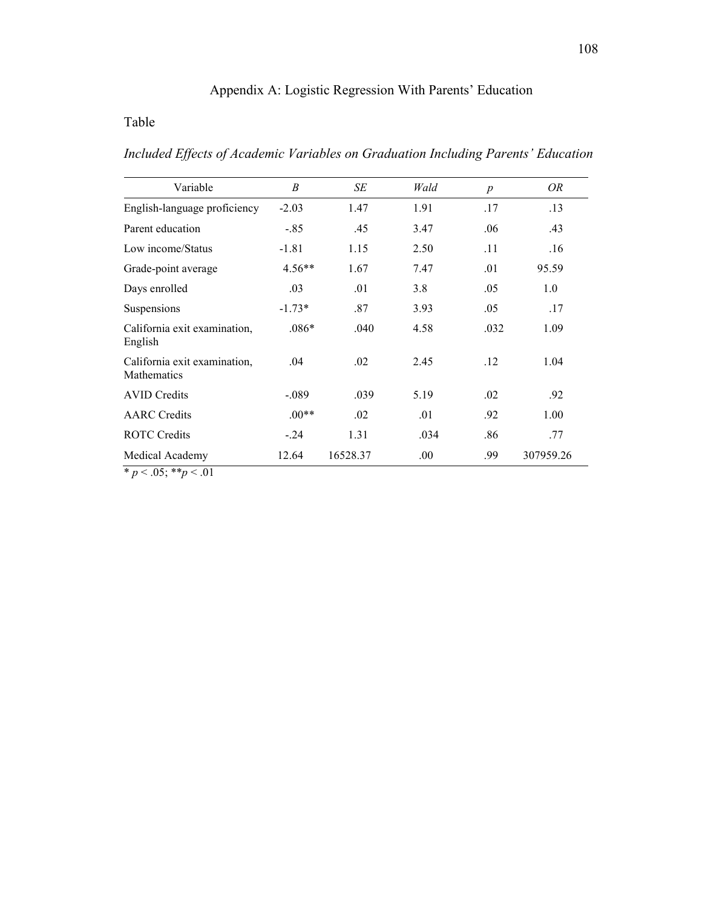# Appendix A: Logistic Regression With Parents' Education

# Table

*Included Effects of Academic Variables on Graduation Including Parents' Education* 

| Variable                                           | B        | SE       | Wald | $\boldsymbol{p}$ | OR        |
|----------------------------------------------------|----------|----------|------|------------------|-----------|
| English-language proficiency                       | $-2.03$  | 1.47     | 1.91 | .17              | .13       |
| Parent education                                   | $-.85$   | .45      | 3.47 | .06              | .43       |
| Low income/Status                                  | $-1.81$  | 1.15     | 2.50 | .11              | .16       |
| Grade-point average                                | $4.56**$ | 1.67     | 7.47 | .01              | 95.59     |
| Days enrolled                                      | .03      | .01      | 3.8  | .05              | 1.0       |
| Suspensions                                        | $-1.73*$ | .87      | 3.93 | .05              | .17       |
| California exit examination,<br>English            | $.086*$  | .040     | 4.58 | .032             | 1.09      |
| California exit examination,<br><b>Mathematics</b> | .04      | .02      | 2.45 | .12              | 1.04      |
| <b>AVID Credits</b>                                | $-.089$  | .039     | 5.19 | .02              | .92       |
| <b>AARC</b> Credits                                | $.00**$  | .02      | .01  | .92              | 1.00      |
| <b>ROTC Credits</b>                                | $-.24$   | 1.31     | .034 | .86              | .77       |
| Medical Academy                                    | 12.64    | 16528.37 | .00. | .99              | 307959.26 |
|                                                    |          |          |      |                  |           |

 $* p < .05; ** p < .01$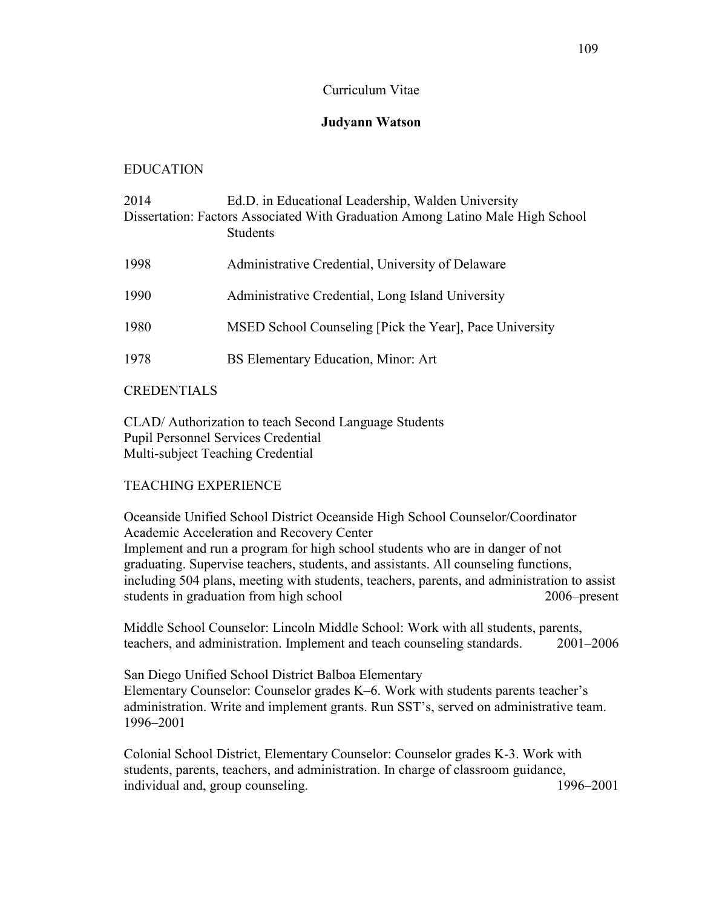### Curriculum Vitae

## **Judyann Watson**

## EDUCATION

| 2014 | Ed.D. in Educational Leadership, Walden University                                                |
|------|---------------------------------------------------------------------------------------------------|
|      | Dissertation: Factors Associated With Graduation Among Latino Male High School<br><b>Students</b> |
| 1998 | Administrative Credential, University of Delaware                                                 |
| 1990 | Administrative Credential, Long Island University                                                 |
| 1980 | MSED School Counseling [Pick the Year], Pace University                                           |
| 1978 | BS Elementary Education, Minor: Art                                                               |
|      |                                                                                                   |

## CREDENTIALS

CLAD/ Authorization to teach Second Language Students Pupil Personnel Services Credential Multi-subject Teaching Credential

# TEACHING EXPERIENCE

Oceanside Unified School District Oceanside High School Counselor/Coordinator Academic Acceleration and Recovery Center Implement and run a program for high school students who are in danger of not graduating. Supervise teachers, students, and assistants. All counseling functions, including 504 plans, meeting with students, teachers, parents, and administration to assist students in graduation from high school 2006–present

Middle School Counselor: Lincoln Middle School: Work with all students, parents, teachers, and administration. Implement and teach counseling standards. 2001–2006

San Diego Unified School District Balboa Elementary Elementary Counselor: Counselor grades K–6. Work with students parents teacher's administration. Write and implement grants. Run SST's, served on administrative team. 1996–2001

Colonial School District, Elementary Counselor: Counselor grades K-3. Work with students, parents, teachers, and administration. In charge of classroom guidance, individual and, group counseling. 1996–2001